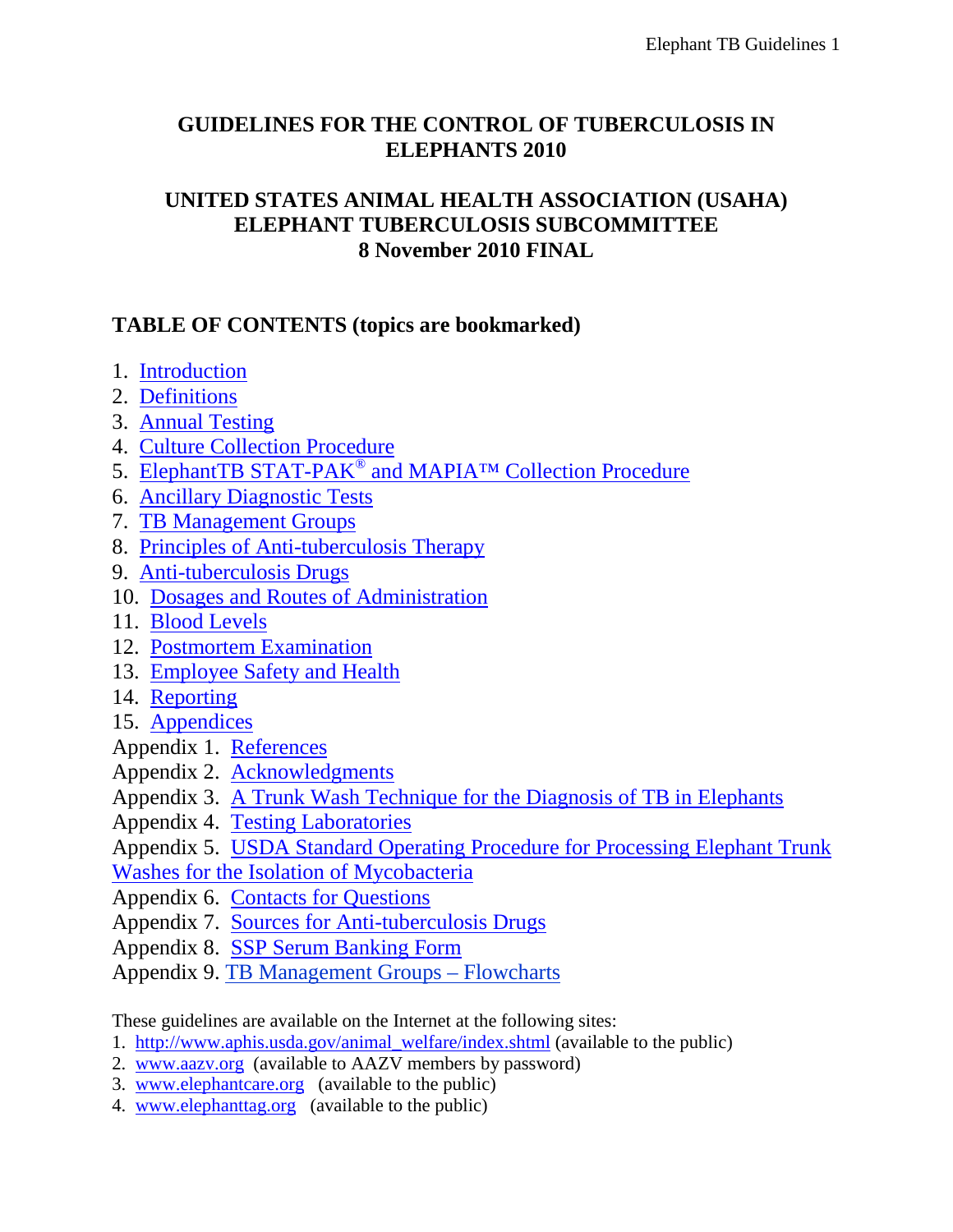# **GUIDELINES FOR THE CONTROL OF TUBERCULOSIS IN ELEPHANTS 2010**

## **UNITED STATES ANIMAL HEALTH ASSOCIATION (USAHA) ELEPHANT TUBERCULOSIS SUBCOMMITTEE 8 November 2010 FINAL**

# **TABLE OF CONTENTS (topics are bookmarked)**

- 1. [Introduction](#page-1-0)
- 2. [Definitions](#page-1-1)
- 3. [Annual Testing](#page-5-0)
- 4. [Culture Collection Procedure](#page-6-0)
- 5. ElephantTB STAT-PAK<sup>®</sup> and MAPIA<sup>™</sup> Collection Procedure
- 6. [Ancillary Diagnostic Tests](#page-8-1)
- 7. [TB Management Groups](#page-9-0)
- 8. [Principles of Anti-tuberculosis Therapy](#page-15-0)
- 9. [Anti-tuberculosis Drugs](#page-16-0)
- 10. [Dosages and Routes of Administration](#page-21-0)
- 11. [Blood Levels](#page-21-1)
- 12. [Postmortem Examination](#page-22-0)
- 13. [Employee Safety and Health](#page-24-0)
- 14. [Reporting](#page-25-0)
- 15. [Appendices](#page-25-1)
- Appendix 1. [References](#page-25-2)
- Appendix 2. [Acknowledgments](#page-29-0)
- Appendix 3. [A Trunk Wash Technique for the Diagnosis of TB in Elephants](#page-30-0)
- Appendix 4. [Testing Laboratories](#page-33-0)
- Appendix 5. [USDA Standard Operating Procedure for Processing Elephant Trunk](#page-36-0)
- [Washes for the Isolation of Mycobacteria](#page-36-0)
- Appendix 6. [Contacts for Questions](#page-42-0)
- Appendix 7. [Sources for Anti-tuberculosis Drugs](#page-43-0)
- Appendix 8. SSP Serum Banking Form
- Appendix 9. TB Management Groups Flowcharts

These guidelines are available on the Internet at the following sites:

- 1. [http://www.aphis.usda.gov/animal\\_welfare/index.shtml](http://www.aphis.usda.gov/animal_welfare/index.shtml) (available to the public)
- 2. [www.aazv.org](http://www.aazv.org/) (available to AAZV members by password)
- 3. [www.elephantcare.org](http://www.elephantcare.org/) (available to the public)
- 4. [www.elephanttag.org](http://www.elephanttag.org/) (available to the public)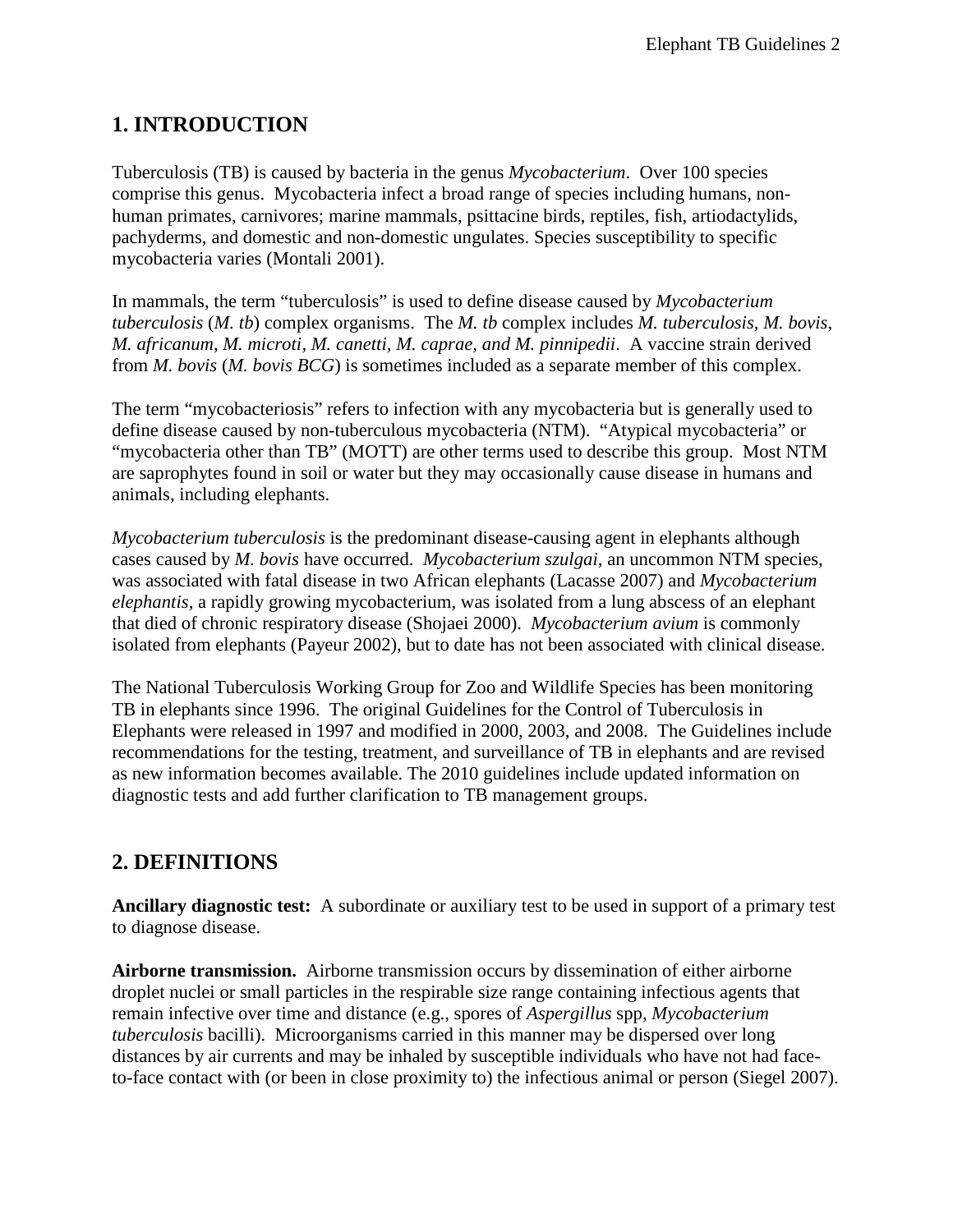# <span id="page-1-0"></span>**1. INTRODUCTION**

Tuberculosis (TB) is caused by bacteria in the genus *Mycobacterium*. Over 100 species comprise this genus. Mycobacteria infect a broad range of species including humans, nonhuman primates, carnivores; marine mammals, psittacine birds, reptiles, fish, artiodactylids, pachyderms, and domestic and non-domestic ungulates. Species susceptibility to specific mycobacteria varies (Montali 2001).

In mammals, the term "tuberculosis" is used to define disease caused by *Mycobacterium tuberculosis* (*M. tb*) complex organisms. The *M. tb* complex includes *M. tuberculosis, M. bovis*, *M. africanum*, *M. microti, M. canetti, M. caprae, and M. pinnipedii*. A vaccine strain derived from *M. bovis* (*M. bovis BCG*) is sometimes included as a separate member of this complex.

The term "mycobacteriosis" refers to infection with any mycobacteria but is generally used to define disease caused by non-tuberculous mycobacteria (NTM). "Atypical mycobacteria" or "mycobacteria other than TB" (MOTT) are other terms used to describe this group. Most NTM are saprophytes found in soil or water but they may occasionally cause disease in humans and animals, including elephants.

*Mycobacterium tuberculosis* is the predominant disease-causing agent in elephants although cases caused by *M. bovis* have occurred. *Mycobacterium szulgai*, an uncommon NTM species, was associated with fatal disease in two African elephants (Lacasse 2007) and *Mycobacterium elephantis*, a rapidly growing mycobacterium, was isolated from a lung abscess of an elephant that died of chronic respiratory disease (Shojaei 2000). *Mycobacterium avium* is commonly isolated from elephants (Payeur 2002), but to date has not been associated with clinical disease.

The National Tuberculosis Working Group for Zoo and Wildlife Species has been monitoring TB in elephants since 1996. The original Guidelines for the Control of Tuberculosis in Elephants were released in 1997 and modified in 2000, 2003, and 2008. The Guidelines include recommendations for the testing, treatment, and surveillance of TB in elephants and are revised as new information becomes available. The 2010 guidelines include updated information on diagnostic tests and add further clarification to TB management groups.

## <span id="page-1-1"></span>**2. DEFINITIONS**

**Ancillary diagnostic test:** A subordinate or auxiliary test to be used in support of a primary test to diagnose disease.

**Airborne transmission.** Airborne transmission occurs by dissemination of either airborne droplet nuclei or small particles in the respirable size range containing infectious agents that remain infective over time and distance (e.g., spores of *Aspergillus* spp, *Mycobacterium tuberculosis* bacilli). Microorganisms carried in this manner may be dispersed over long distances by air currents and may be inhaled by susceptible individuals who have not had faceto-face contact with (or been in close proximity to) the infectious animal or person (Siegel 2007).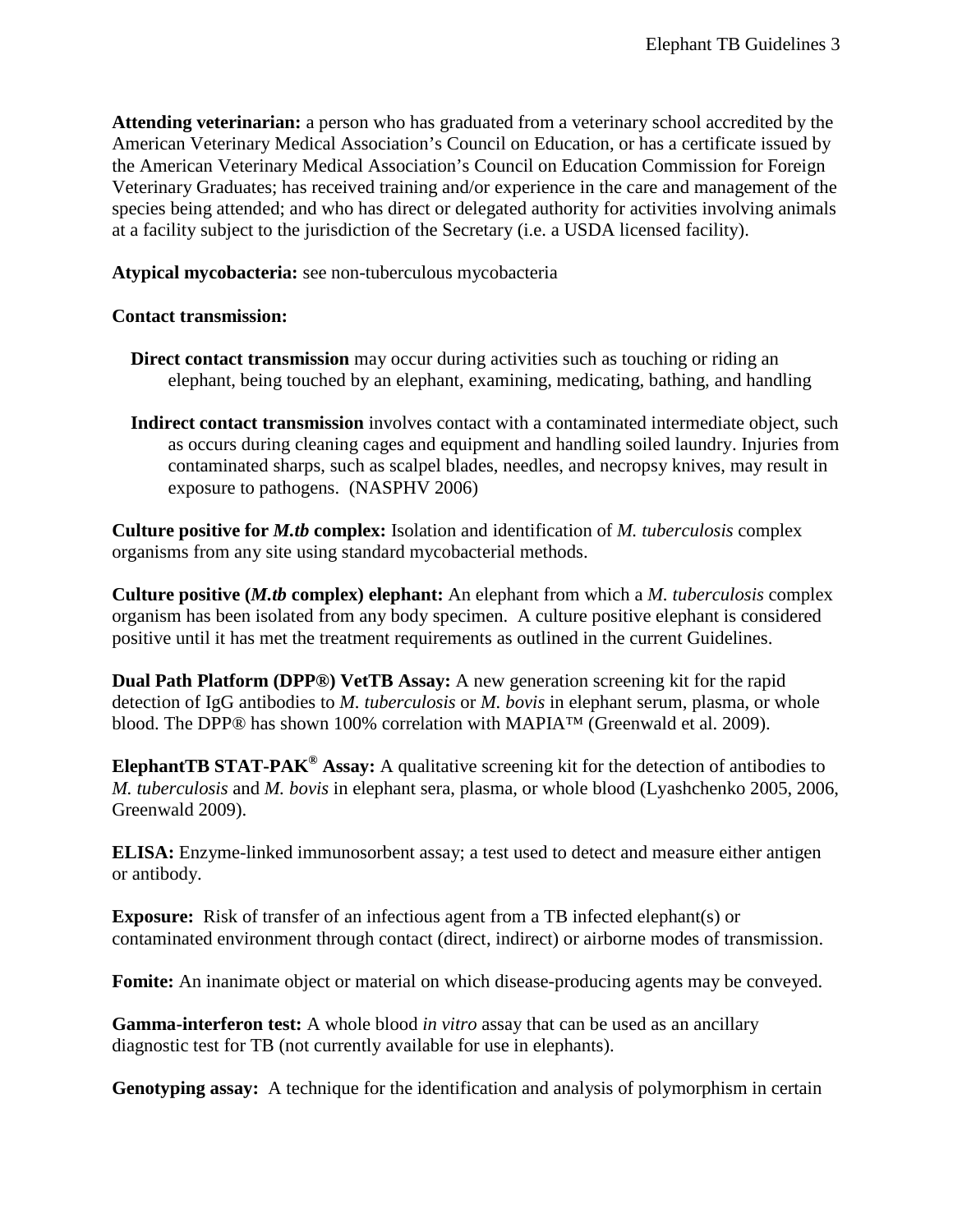**Attending veterinarian:** a person who has graduated from a veterinary school accredited by the American Veterinary Medical Association's Council on Education, or has a certificate issued by the American Veterinary Medical Association's Council on Education Commission for Foreign Veterinary Graduates; has received training and/or experience in the care and management of the species being attended; and who has direct or delegated authority for activities involving animals at a facility subject to the jurisdiction of the Secretary (i.e. a USDA licensed facility).

**Atypical mycobacteria:** see non-tuberculous mycobacteria

### **Contact transmission:**

- **Direct contact transmission** may occur during activities such as touching or riding an elephant, being touched by an elephant, examining, medicating, bathing, and handling
- **Indirect contact transmission** involves contact with a contaminated intermediate object, such as occurs during cleaning cages and equipment and handling soiled laundry. Injuries from contaminated sharps, such as scalpel blades, needles, and necropsy knives, may result in exposure to pathogens. (NASPHV 2006)

**Culture positive for** *M.tb* **complex:** Isolation and identification of *M. tuberculosis* complex organisms from any site using standard mycobacterial methods.

**Culture positive (***M.tb* **complex) elephant:** An elephant from which a *M. tuberculosis* complex organism has been isolated from any body specimen. A culture positive elephant is considered positive until it has met the treatment requirements as outlined in the current Guidelines.

**Dual Path Platform (DPP®) VetTB Assay:** A new generation screening kit for the rapid detection of IgG antibodies to *M. tuberculosis* or *M. bovis* in elephant serum, plasma, or whole blood. The DPP® has shown 100% correlation with MAPIA™ (Greenwald et al. 2009).

**ElephantTB STAT-PAK® Assay:** A qualitative screening kit for the detection of antibodies to *M. tuberculosis* and *M. bovis* in elephant sera, plasma, or whole blood (Lyashchenko 2005, 2006, Greenwald 2009).

**ELISA:** Enzyme-linked immunosorbent assay; a test used to detect and measure either antigen or antibody.

**Exposure:** Risk of transfer of an infectious agent from a TB infected elephant(s) or contaminated environment through contact (direct, indirect) or airborne modes of transmission.

**Fomite:** An inanimate object or material on which disease-producing agents may be conveyed.

**Gamma-interferon test:** A whole blood *in vitro* assay that can be used as an ancillary diagnostic test for TB (not currently available for use in elephants).

**Genotyping assay:** A technique for the identification and analysis of polymorphism in certain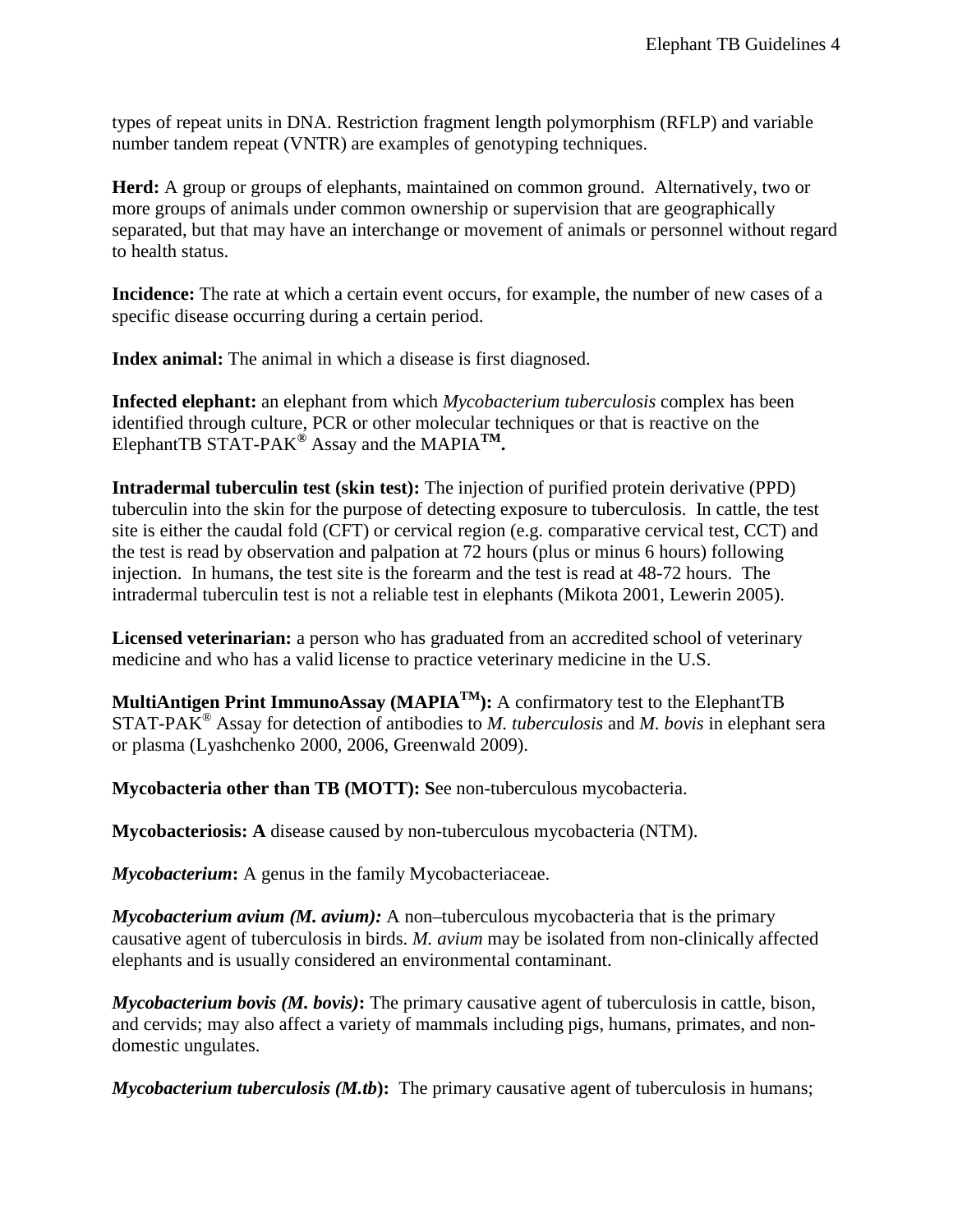types of repeat units in DNA. Restriction fragment length polymorphism (RFLP) and variable number tandem repeat (VNTR) are examples of genotyping techniques.

**Herd:** A group or groups of elephants, maintained on common ground. Alternatively, two or more groups of animals under common ownership or supervision that are geographically separated, but that may have an interchange or movement of animals or personnel without regard to health status.

**Incidence:** The rate at which a certain event occurs, for example, the number of new cases of a specific disease occurring during a certain period.

**Index animal:** The animal in which a disease is first diagnosed.

**Infected elephant:** an elephant from which *Mycobacterium tuberculosis* complex has been identified through culture, PCR or other molecular techniques or that is reactive on the ElephantTB STAT-PAK**®** Assay and the MAPIA**TM.**

**Intradermal tuberculin test (skin test):** The injection of purified protein derivative (PPD) tuberculin into the skin for the purpose of detecting exposure to tuberculosis. In cattle, the test site is either the caudal fold (CFT) or cervical region (e.g. comparative cervical test, CCT) and the test is read by observation and palpation at 72 hours (plus or minus 6 hours) following injection. In humans, the test site is the forearm and the test is read at 48-72 hours. The intradermal tuberculin test is not a reliable test in elephants (Mikota 2001, Lewerin 2005).

**Licensed veterinarian:** a person who has graduated from an accredited school of veterinary medicine and who has a valid license to practice veterinary medicine in the U.S.

MultiAntigen Print ImmunoAssay (MAPIA<sup>TM</sup>): A confirmatory test to the ElephantTB STAT-PAK® Assay for detection of antibodies to *M. tuberculosis* and *M. bovis* in elephant sera or plasma (Lyashchenko 2000, 2006, Greenwald 2009).

**Mycobacteria other than TB (MOTT): S**ee non-tuberculous mycobacteria.

**Mycobacteriosis: A** disease caused by non-tuberculous mycobacteria (NTM).

*Mycobacterium***:** A genus in the family Mycobacteriaceae.

*Mycobacterium avium (M. avium):* A non–tuberculous mycobacteria that is the primary causative agent of tuberculosis in birds. *M. avium* may be isolated from non-clinically affected elephants and is usually considered an environmental contaminant.

*Mycobacterium bovis (M. bovis)***:** The primary causative agent of tuberculosis in cattle, bison, and cervids; may also affect a variety of mammals including pigs, humans, primates, and nondomestic ungulates.

*Mycobacterium tuberculosis (M.tb***):** The primary causative agent of tuberculosis in humans;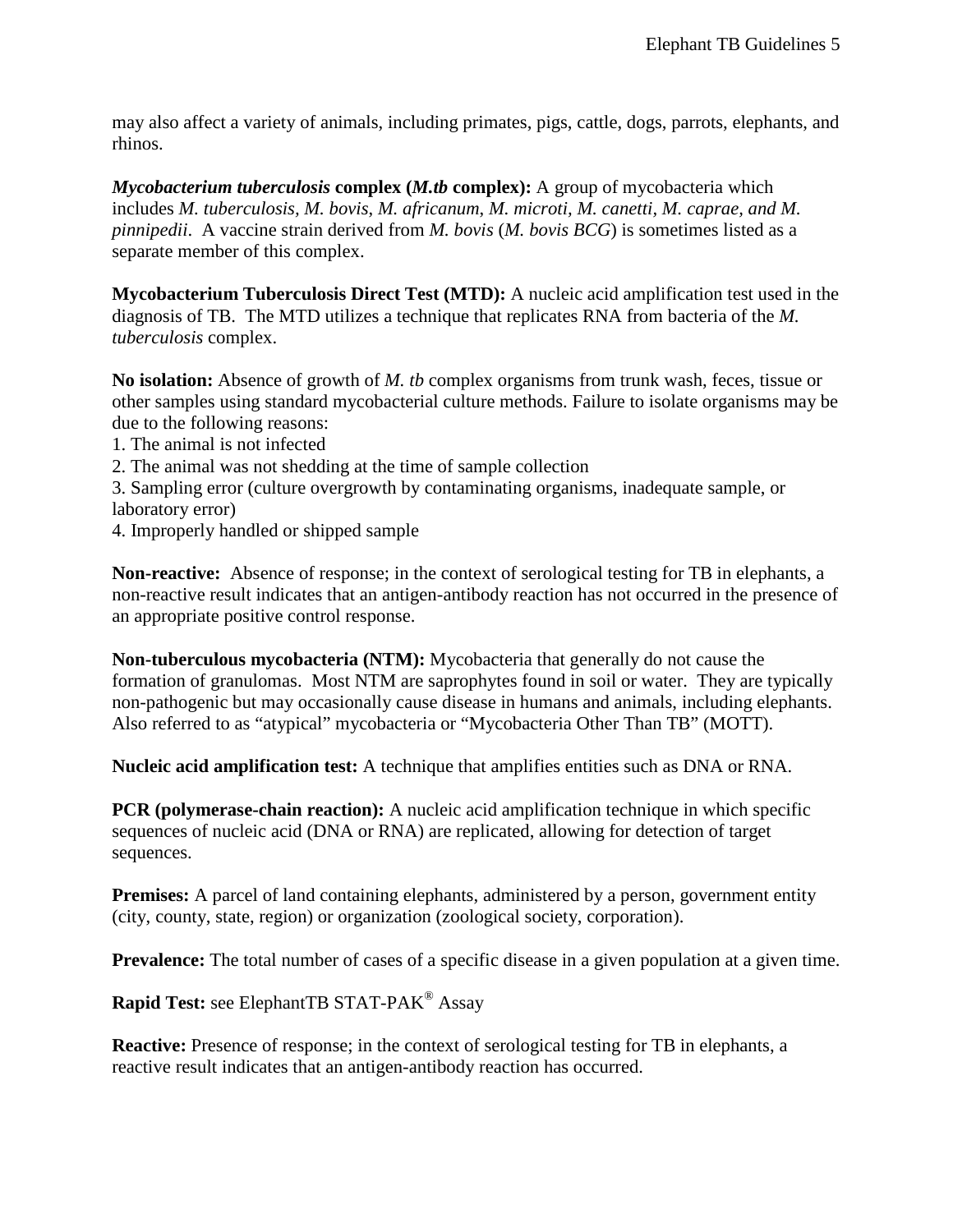may also affect a variety of animals, including primates, pigs, cattle, dogs, parrots, elephants, and rhinos.

*Mycobacterium tuberculosis* **complex (***M.tb* **complex):** A group of mycobacteria which includes *M. tuberculosis, M. bovis*, *M. africanum*, *M. microti, M. canetti, M. caprae, and M. pinnipedii*. A vaccine strain derived from *M. bovis* (*M. bovis BCG*) is sometimes listed as a separate member of this complex.

**Mycobacterium Tuberculosis Direct Test (MTD):** A nucleic acid amplification test used in the diagnosis of TB. The MTD utilizes a technique that replicates RNA from bacteria of the *M. tuberculosis* complex.

**No isolation:** Absence of growth of *M. tb* complex organisms from trunk wash, feces, tissue or other samples using standard mycobacterial culture methods. Failure to isolate organisms may be due to the following reasons:

- 1. The animal is not infected
- 2. The animal was not shedding at the time of sample collection

3. Sampling error (culture overgrowth by contaminating organisms, inadequate sample, or laboratory error)

4. Improperly handled or shipped sample

**Non-reactive:** Absence of response; in the context of serological testing for TB in elephants, a non-reactive result indicates that an antigen-antibody reaction has not occurred in the presence of an appropriate positive control response.

**Non-tuberculous mycobacteria (NTM):** Mycobacteria that generally do not cause the formation of granulomas. Most NTM are saprophytes found in soil or water. They are typically non-pathogenic but may occasionally cause disease in humans and animals, including elephants. Also referred to as "atypical" mycobacteria or "Mycobacteria Other Than TB" (MOTT).

**Nucleic acid amplification test:** A technique that amplifies entities such as DNA or RNA.

**PCR (polymerase-chain reaction):** A nucleic acid amplification technique in which specific sequences of nucleic acid (DNA or RNA) are replicated, allowing for detection of target sequences.

**Premises:** A parcel of land containing elephants, administered by a person, government entity (city, county, state, region) or organization (zoological society, corporation).

**Prevalence:** The total number of cases of a specific disease in a given population at a given time.

**Rapid Test:** see ElephantTB STAT-PAK® Assay

**Reactive:** Presence of response; in the context of serological testing for TB in elephants, a reactive result indicates that an antigen-antibody reaction has occurred.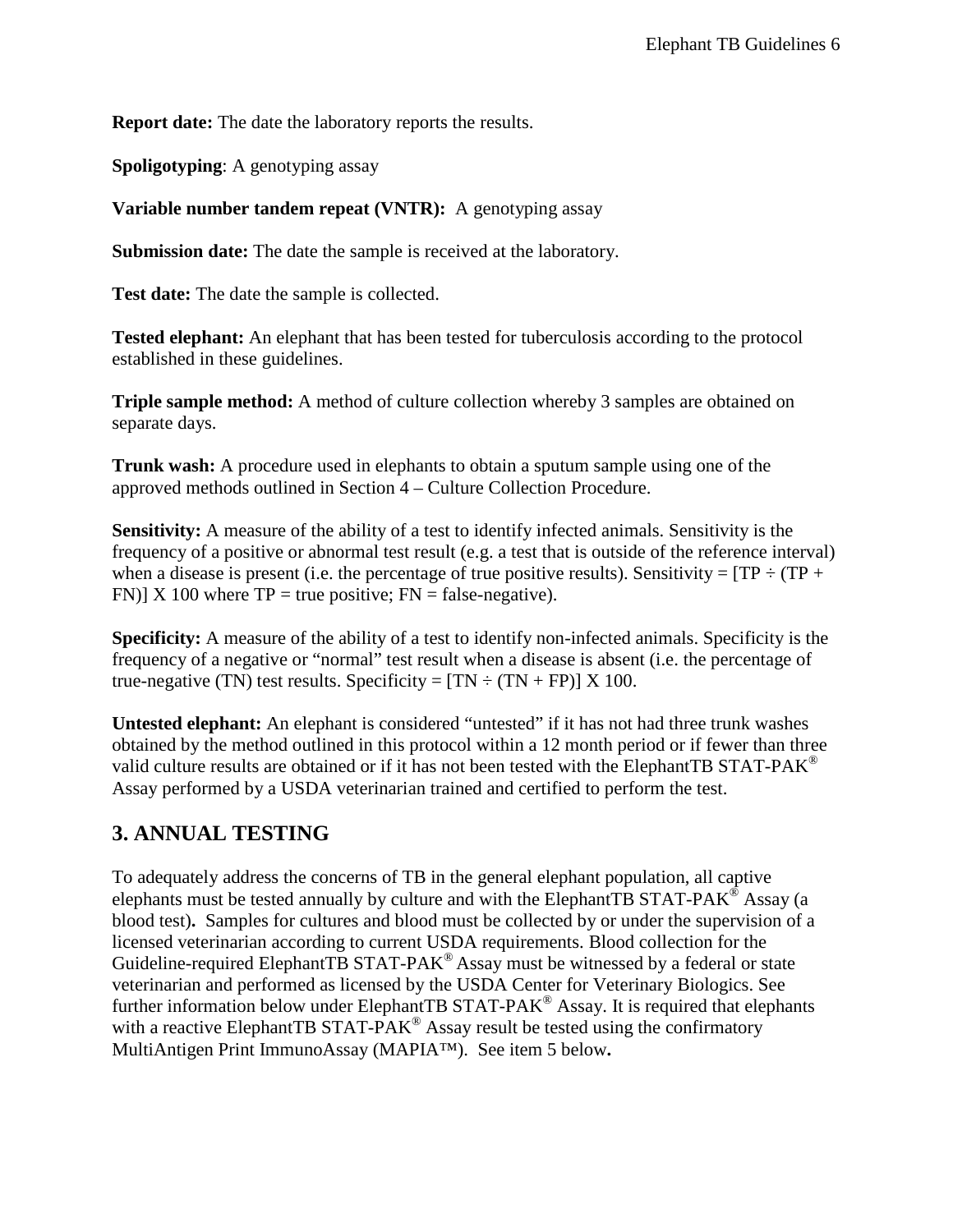**Report date:** The date the laboratory reports the results.

**Spoligotyping**: A genotyping assay

**Variable number tandem repeat (VNTR):** A genotyping assay

**Submission date:** The date the sample is received at the laboratory.

**Test date:** The date the sample is collected.

**Tested elephant:** An elephant that has been tested for tuberculosis according to the protocol established in these guidelines.

**Triple sample method:** A method of culture collection whereby 3 samples are obtained on separate days.

**Trunk wash:** A procedure used in elephants to obtain a sputum sample using one of the approved methods outlined in Section 4 – Culture Collection Procedure.

**Sensitivity:** A measure of the ability of a test to identify infected animals. Sensitivity is the frequency of a positive or abnormal test result (e.g. a test that is outside of the reference interval) when a disease is present (i.e. the percentage of true positive results). Sensitivity =  $TP \div (TP +$ FN)] X 100 where  $TP = true$  positive;  $FN = false$ -negative).

**Specificity:** A measure of the ability of a test to identify non-infected animals. Specificity is the frequency of a negative or "normal" test result when a disease is absent (i.e. the percentage of true-negative (TN) test results. Specificity =  $[TN \div (TN + FP)] X 100$ .

**Untested elephant:** An elephant is considered "untested" if it has not had three trunk washes obtained by the method outlined in this protocol within a 12 month period or if fewer than three valid culture results are obtained or if it has not been tested with the ElephantTB STAT-PAK<sup>®</sup> Assay performed by a USDA veterinarian trained and certified to perform the test.

## <span id="page-5-0"></span>**3. ANNUAL TESTING**

To adequately address the concerns of TB in the general elephant population, all captive elephants must be tested annually by culture and with the ElephantTB STAT-PAK<sup>®</sup> Assay (a blood test)**.** Samples for cultures and blood must be collected by or under the supervision of a licensed veterinarian according to current USDA requirements. Blood collection for the Guideline-required ElephantTB STAT-PA $K^{\circledR}$  Assay must be witnessed by a federal or state veterinarian and performed as licensed by the USDA Center for Veterinary Biologics. See further information below under ElephantTB STAT-PAK<sup>®</sup> Assay. It is required that elephants with a reactive ElephantTB STAT-PAK<sup>®</sup> Assay result be tested using the confirmatory MultiAntigen Print ImmunoAssay (MAPIA™). See item 5 below**.**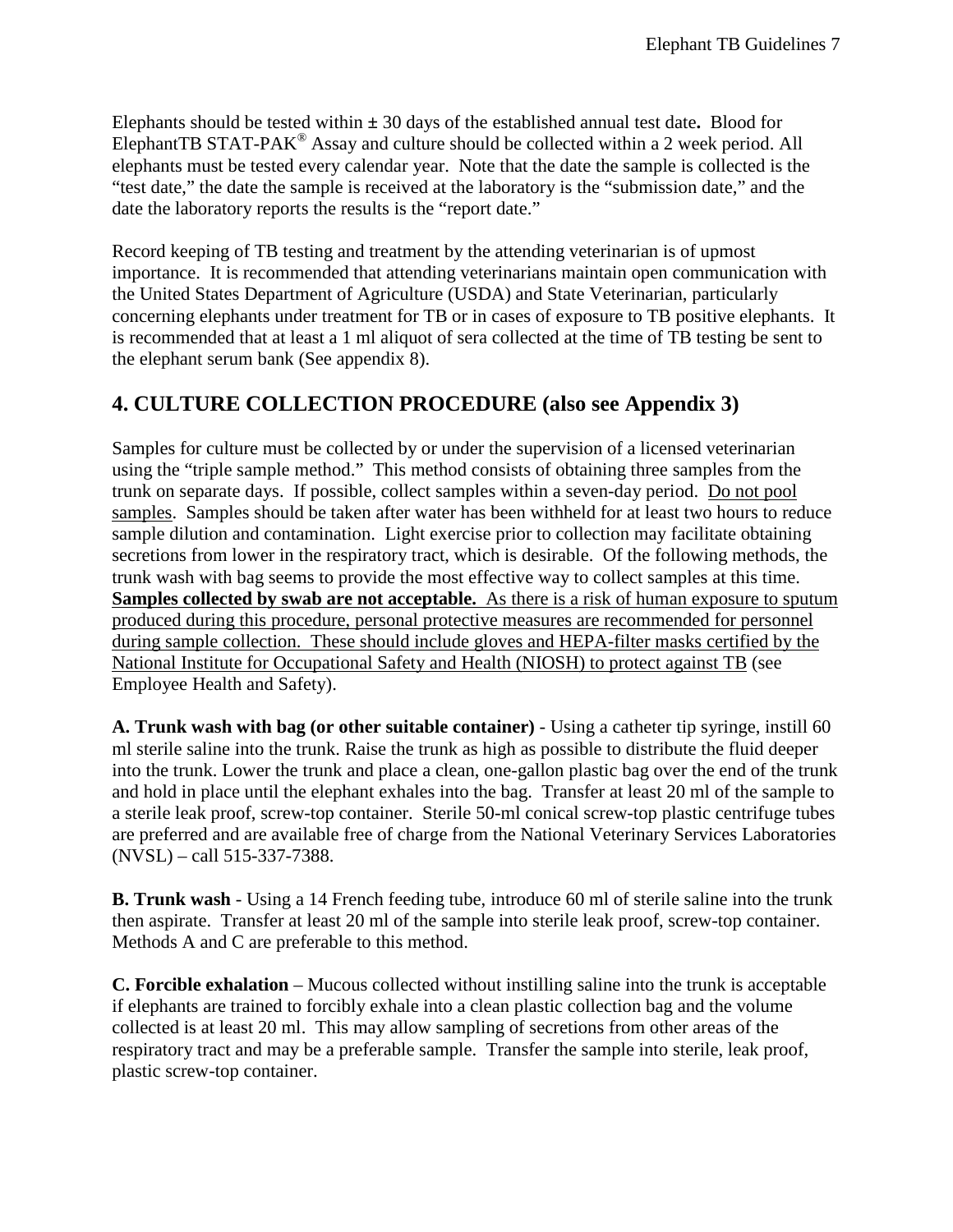Elephants should be tested within **±** 30 days of the established annual test date**.** Blood for ElephantTB STAT-PAK<sup>®</sup> Assay and culture should be collected within a 2 week period. All elephants must be tested every calendar year. Note that the date the sample is collected is the "test date," the date the sample is received at the laboratory is the "submission date," and the date the laboratory reports the results is the "report date."

Record keeping of TB testing and treatment by the attending veterinarian is of upmost importance. It is recommended that attending veterinarians maintain open communication with the United States Department of Agriculture (USDA) and State Veterinarian, particularly concerning elephants under treatment for TB or in cases of exposure to TB positive elephants. It is recommended that at least a 1 ml aliquot of sera collected at the time of TB testing be sent to the elephant serum bank (See appendix 8).

## <span id="page-6-0"></span>**4. CULTURE COLLECTION PROCEDURE (also see Appendix 3)**

Samples for culture must be collected by or under the supervision of a licensed veterinarian using the "triple sample method." This method consists of obtaining three samples from the trunk on separate days. If possible, collect samples within a seven-day period. Do not pool samples. Samples should be taken after water has been withheld for at least two hours to reduce sample dilution and contamination. Light exercise prior to collection may facilitate obtaining secretions from lower in the respiratory tract, which is desirable. Of the following methods, the trunk wash with bag seems to provide the most effective way to collect samples at this time. **Samples collected by swab are not acceptable.** As there is a risk of human exposure to sputum produced during this procedure, personal protective measures are recommended for personnel during sample collection. These should include gloves and HEPA-filter masks certified by the National Institute for Occupational Safety and Health (NIOSH) to protect against TB (see Employee Health and Safety).

**A. Trunk wash with bag (or other suitable container)** - Using a catheter tip syringe, instill 60 ml sterile saline into the trunk. Raise the trunk as high as possible to distribute the fluid deeper into the trunk. Lower the trunk and place a clean, one-gallon plastic bag over the end of the trunk and hold in place until the elephant exhales into the bag. Transfer at least 20 ml of the sample to a sterile leak proof, screw-top container. Sterile 50-ml conical screw-top plastic centrifuge tubes are preferred and are available free of charge from the National Veterinary Services Laboratories (NVSL) – call 515-337-7388.

**B. Trunk wash** - Using a 14 French feeding tube, introduce 60 ml of sterile saline into the trunk then aspirate. Transfer at least 20 ml of the sample into sterile leak proof, screw-top container. Methods A and C are preferable to this method.

**C. Forcible exhalation** – Mucous collected without instilling saline into the trunk is acceptable if elephants are trained to forcibly exhale into a clean plastic collection bag and the volume collected is at least 20 ml. This may allow sampling of secretions from other areas of the respiratory tract and may be a preferable sample. Transfer the sample into sterile, leak proof, plastic screw-top container.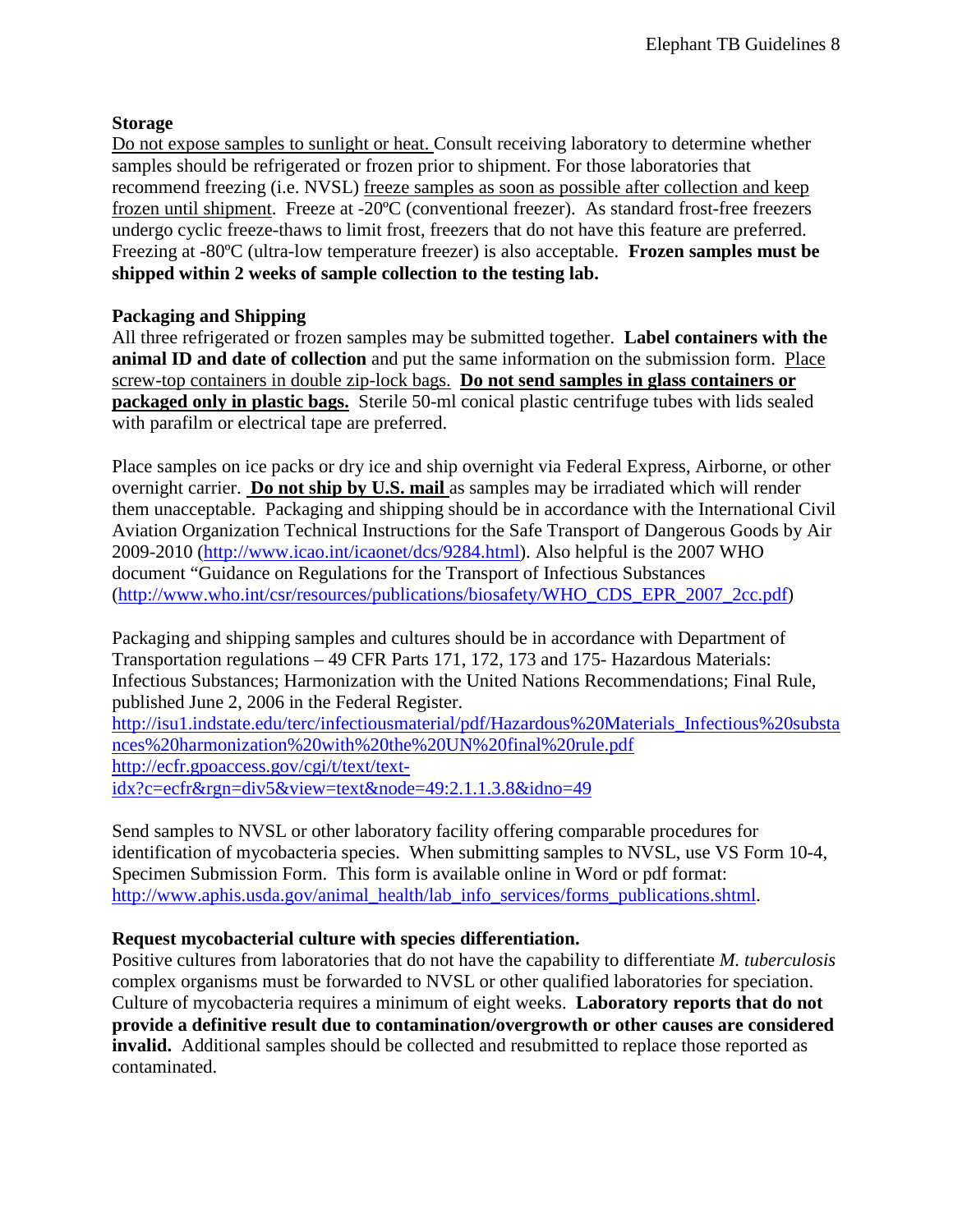### **Storage**

Do not expose samples to sunlight or heat. Consult receiving laboratory to determine whether samples should be refrigerated or frozen prior to shipment. For those laboratories that recommend freezing (i.e. NVSL) freeze samples as soon as possible after collection and keep frozen until shipment. Freeze at -20ºC (conventional freezer). As standard frost-free freezers undergo cyclic freeze-thaws to limit frost, freezers that do not have this feature are preferred. Freezing at -80ºC (ultra-low temperature freezer) is also acceptable. **Frozen samples must be shipped within 2 weeks of sample collection to the testing lab.**

### **Packaging and Shipping**

All three refrigerated or frozen samples may be submitted together. **Label containers with the animal ID and date of collection** and put the same information on the submission form. Place screw-top containers in double zip-lock bags. **Do not send samples in glass containers or packaged only in plastic bags.** Sterile 50-ml conical plastic centrifuge tubes with lids sealed with parafilm or electrical tape are preferred.

Place samples on ice packs or dry ice and ship overnight via Federal Express, Airborne, or other overnight carrier. **Do not ship by U.S. mail** as samples may be irradiated which will render them unacceptable. Packaging and shipping should be in accordance with the International Civil Aviation Organization Technical Instructions for the Safe Transport of Dangerous Goods by Air 2009-2010 [\(http://www.icao.int/icaonet/dcs/9284.html\)](http://www.icao.int/icaonet/dcs/9284.html). Also helpful is the 2007 WHO document "Guidance on Regulations for the Transport of Infectious Substances [\(http://www.who.int/csr/resources/publications/biosafety/WHO\\_CDS\\_EPR\\_2007\\_2cc.pdf\)](http://www.who.int/csr/resources/publications/biosafety/WHO_CDS_EPR_2007_2cc.pdf)

Packaging and shipping samples and cultures should be in accordance with Department of Transportation regulations – 49 CFR Parts 171, 172, 173 and 175- Hazardous Materials: Infectious Substances; Harmonization with the United Nations Recommendations; Final Rule, published June 2, 2006 in the Federal Register.

[http://isu1.indstate.edu/terc/infectiousmaterial/pdf/Hazardous%20Materials\\_Infectious%20substa](http://isu1.indstate.edu/terc/infectiousmaterial/pdf/Hazardous%20Materials_Infectious%20substances%20harmonization%20with%20the%20UN%20final%20rule.pdf) [nces%20harmonization%20with%20the%20UN%20final%20rule.pdf](http://isu1.indstate.edu/terc/infectiousmaterial/pdf/Hazardous%20Materials_Infectious%20substances%20harmonization%20with%20the%20UN%20final%20rule.pdf) [http://ecfr.gpoaccess.gov/cgi/t/text/text](http://ecfr.gpoaccess.gov/cgi/t/text/text-idx?c=ecfr&rgn=div5&view=text&node=49:2.1.1.3.8&idno=49)[idx?c=ecfr&rgn=div5&view=text&node=49:2.1.1.3.8&idno=49](http://ecfr.gpoaccess.gov/cgi/t/text/text-idx?c=ecfr&rgn=div5&view=text&node=49:2.1.1.3.8&idno=49)

Send samples to NVSL or other laboratory facility offering comparable procedures for identification of mycobacteria species. When submitting samples to NVSL, use VS Form 10-4, Specimen Submission Form. This form is available online in Word or pdf format: [http://www.aphis.usda.gov/animal\\_health/lab\\_info\\_services/forms\\_publications.shtml.](http://www.aphis.usda.gov/animal_health/lab_info_services/forms_publications.shtml)

### **Request mycobacterial culture with species differentiation.**

Positive cultures from laboratories that do not have the capability to differentiate *M. tuberculosis* complex organisms must be forwarded to NVSL or other qualified laboratories for speciation. Culture of mycobacteria requires a minimum of eight weeks. **Laboratory reports that do not provide a definitive result due to contamination/overgrowth or other causes are considered invalid.** Additional samples should be collected and resubmitted to replace those reported as contaminated.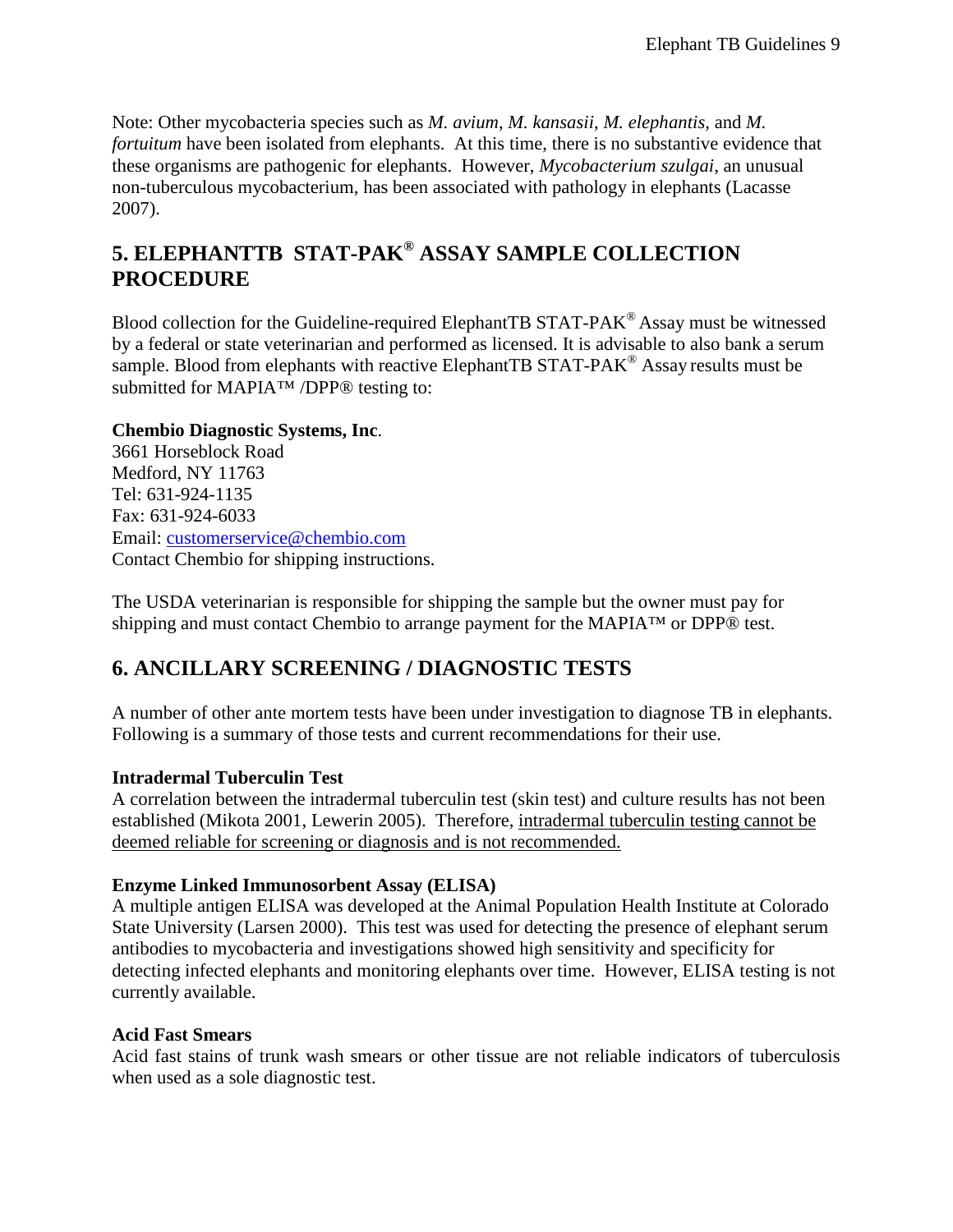Note: Other mycobacteria species such as *M. avium*, *M. kansasii*, *M. elephantis,* and *M. fortuitum* have been isolated from elephants. At this time, there is no substantive evidence that these organisms are pathogenic for elephants. However, *Mycobacterium szulgai*, an unusual non-tuberculous mycobacterium, has been associated with pathology in elephants (Lacasse 2007).

# <span id="page-8-0"></span>**5. ELEPHANTTB STAT-PAK® ASSAY SAMPLE COLLECTION PROCEDURE**

Blood collection for the Guideline-required ElephantTB STAT-PAK® Assay must be witnessed by a federal or state veterinarian and performed as licensed. It is advisable to also bank a serum sample. Blood from elephants with reactive ElephantTB STAT-PAK<sup>®</sup> Assay results must be submitted for MAPIA™ /DPP<sup>®</sup> testing to:

### **Chembio Diagnostic Systems, Inc**.

3661 Horseblock Road Medford, NY 11763 Tel: 631-924-1135 Fax: 631-924-6033 Email: [customerservice@chembio.com](mailto:customerservice@chembio.com) Contact Chembio for shipping instructions.

The USDA veterinarian is responsible for shipping the sample but the owner must pay for shipping and must contact Chembio to arrange payment for the MAPIA™ or DPP® test.

## <span id="page-8-1"></span>**6. ANCILLARY SCREENING / DIAGNOSTIC TESTS**

A number of other ante mortem tests have been under investigation to diagnose TB in elephants. Following is a summary of those tests and current recommendations for their use.

### **Intradermal Tuberculin Test**

A correlation between the intradermal tuberculin test (skin test) and culture results has not been established (Mikota 2001, Lewerin 2005). Therefore, intradermal tuberculin testing cannot be deemed reliable for screening or diagnosis and is not recommended.

### **Enzyme Linked Immunosorbent Assay (ELISA)**

A multiple antigen ELISA was developed at the Animal Population Health Institute at Colorado State University (Larsen 2000). This test was used for detecting the presence of elephant serum antibodies to mycobacteria and investigations showed high sensitivity and specificity for detecting infected elephants and monitoring elephants over time. However, ELISA testing is not currently available.

#### **Acid Fast Smears**

Acid fast stains of trunk wash smears or other tissue are not reliable indicators of tuberculosis when used as a sole diagnostic test.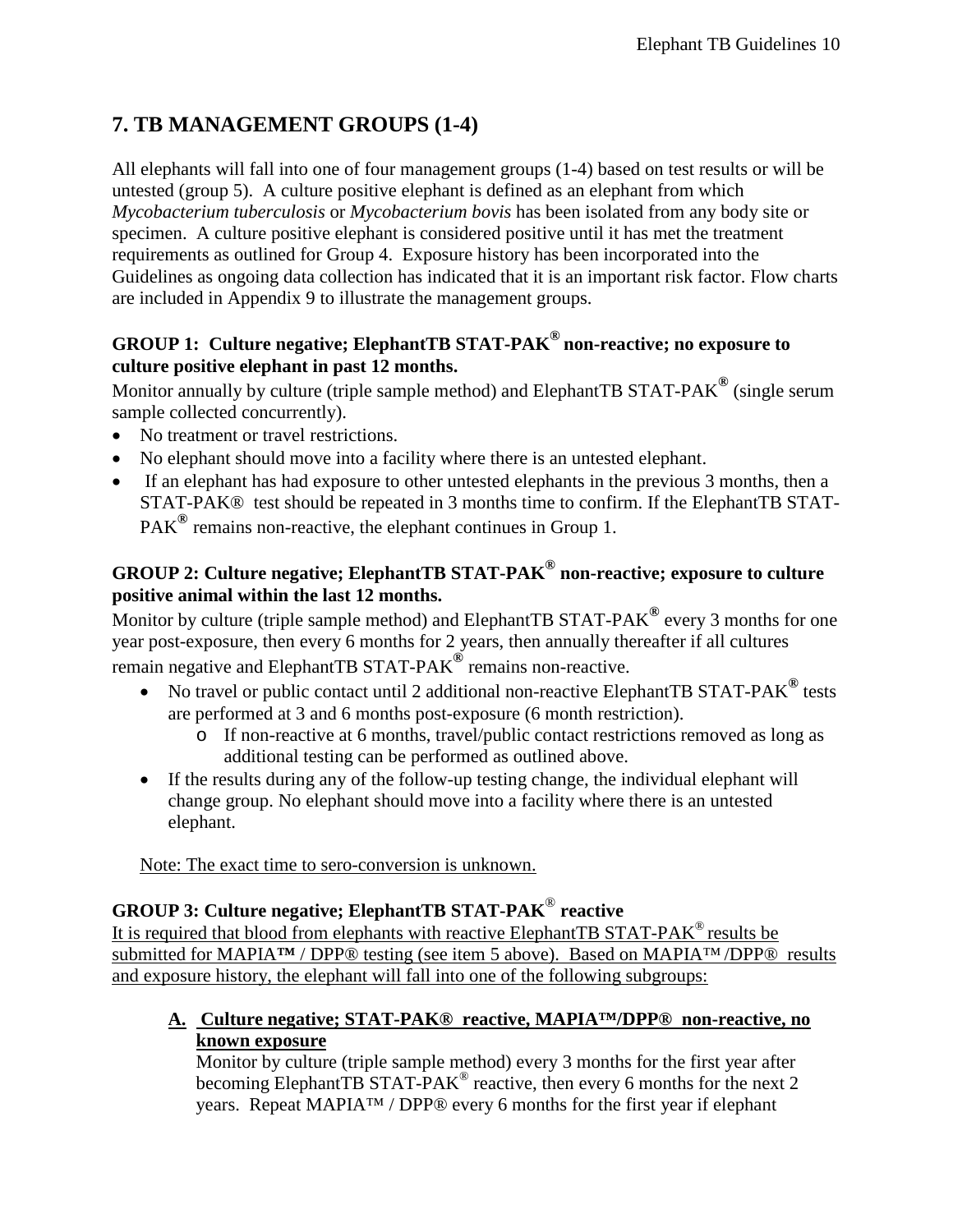# <span id="page-9-0"></span>**7. TB MANAGEMENT GROUPS (1-4)**

All elephants will fall into one of four management groups (1-4) based on test results or will be untested (group 5). A culture positive elephant is defined as an elephant from which *Mycobacterium tuberculosis* or *Mycobacterium bovis* has been isolated from any body site or specimen. A culture positive elephant is considered positive until it has met the treatment requirements as outlined for Group 4. Exposure history has been incorporated into the Guidelines as ongoing data collection has indicated that it is an important risk factor. Flow charts are included in Appendix 9 to illustrate the management groups.

## **GROUP 1: Culture negative; ElephantTB STAT-PAK® non-reactive; no exposure to culture positive elephant in past 12 months.**

Monitor annually by culture (triple sample method) and ElephantTB STAT-PAK**®** (single serum sample collected concurrently).

- No treatment or travel restrictions.
- No elephant should move into a facility where there is an untested elephant.
- If an elephant has had exposure to other untested elephants in the previous 3 months, then a STAT-PAK® test should be repeated in 3 months time to confirm. If the ElephantTB STAT-PAK**®** remains non-reactive, the elephant continues in Group 1.

## **GROUP 2: Culture negative; ElephantTB STAT-PAK® non-reactive; exposure to culture positive animal within the last 12 months.**

Monitor by culture (triple sample method) and ElephantTB STAT-PAK**®** every 3 months for one year post-exposure, then every 6 months for 2 years, then annually thereafter if all cultures remain negative and ElephantTB STAT-PAK**®** remains non-reactive.

- No travel or public contact until 2 additional non-reactive ElephantTB STAT-PAK<sup>®</sup> tests are performed at 3 and 6 months post-exposure (6 month restriction).
	- o If non-reactive at 6 months, travel/public contact restrictions removed as long as additional testing can be performed as outlined above.
- If the results during any of the follow-up testing change, the individual elephant will change group. No elephant should move into a facility where there is an untested elephant.

Note: The exact time to sero-conversion is unknown.

## **GROUP 3: Culture negative; ElephantTB STAT-PAK**® **reactive**

It is required that blood from elephants with reactive ElephantTB STAT-PAK<sup>®</sup> results be submitted for MAPIA**™** / DPP® testing (see item 5 above). Based on MAPIA™ /DPP® results and exposure history, the elephant will fall into one of the following subgroups:

**A. Culture negative; STAT-PAK® reactive, MAPIA™/DPP® non-reactive, no known exposure**

Monitor by culture (triple sample method) every 3 months for the first year after becoming ElephantTB STAT-PAK<sup>®</sup> reactive, then every 6 months for the next 2 years. Repeat MAPIA™ / DPP® every 6 months for the first year if elephant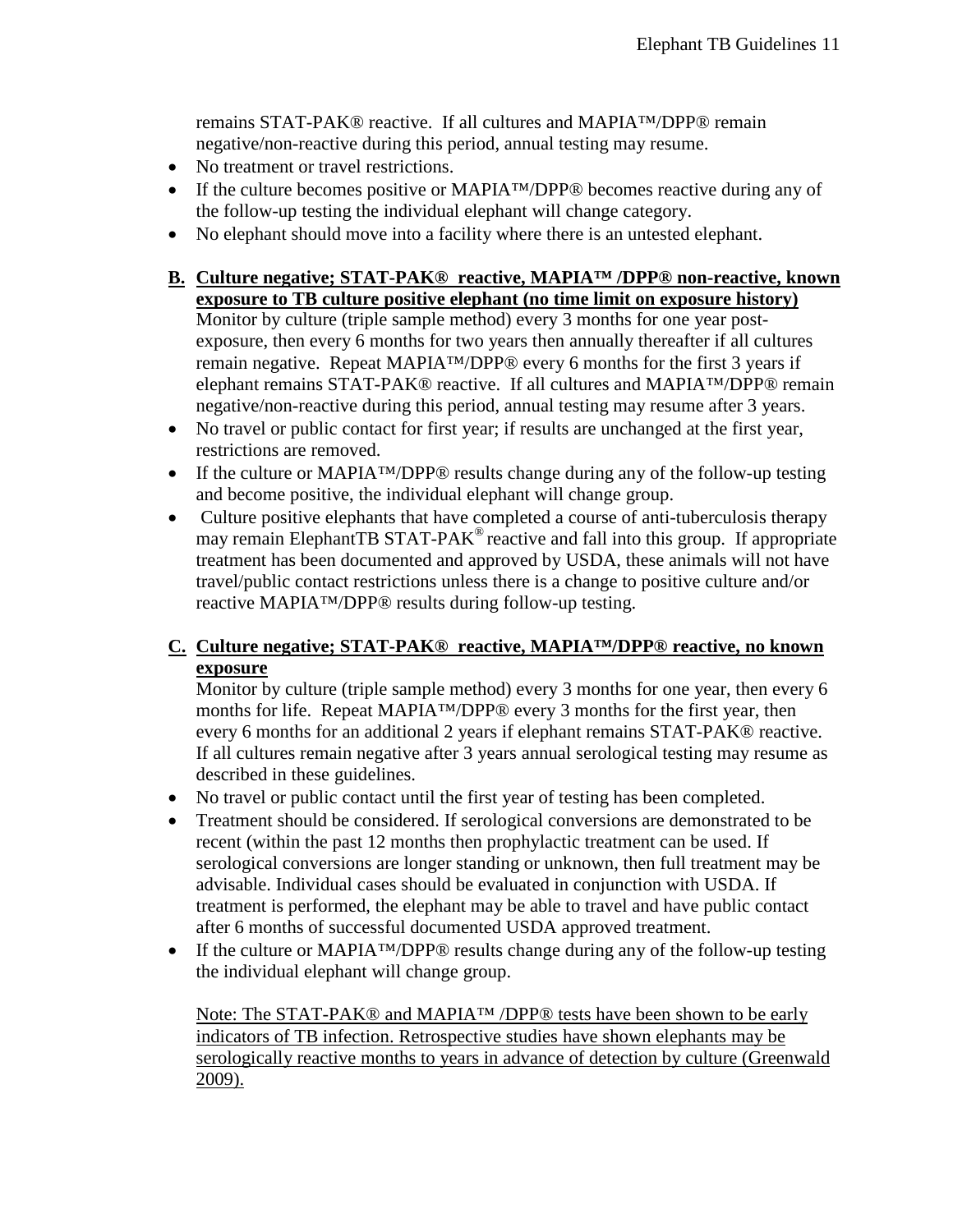remains STAT-PAK® reactive. If all cultures and MAPIA™/DPP® remain negative/non-reactive during this period, annual testing may resume.

- No treatment or travel restrictions.
- If the culture becomes positive or MAPIA™/DPP® becomes reactive during any of the follow-up testing the individual elephant will change category.
- No elephant should move into a facility where there is an untested elephant.
- **B. Culture negative; STAT-PAK® reactive, MAPIA™ /DPP® non-reactive, known exposure to TB culture positive elephant (no time limit on exposure history)** Monitor by culture (triple sample method) every 3 months for one year postexposure, then every 6 months for two years then annually thereafter if all cultures remain negative. Repeat MAPIA™/DPP® every 6 months for the first 3 years if elephant remains STAT-PAK® reactive. If all cultures and MAPIA™/DPP® remain negative/non-reactive during this period, annual testing may resume after 3 years.
- No travel or public contact for first year; if results are unchanged at the first year, restrictions are removed.
- If the culture or MAPIA™/DPP® results change during any of the follow-up testing and become positive, the individual elephant will change group.
- Culture positive elephants that have completed a course of anti-tuberculosis therapy may remain ElephantTB STAT-PAK® reactive and fall into this group. If appropriate treatment has been documented and approved by USDA, these animals will not have travel/public contact restrictions unless there is a change to positive culture and/or reactive MAPIA™/DPP® results during follow-up testing.

## **C. Culture negative; STAT-PAK® reactive, MAPIA™/DPP® reactive, no known exposure**

Monitor by culture (triple sample method) every 3 months for one year, then every 6 months for life. Repeat MAPIA™/DPP® every 3 months for the first year, then every 6 months for an additional 2 years if elephant remains STAT-PAK® reactive. If all cultures remain negative after 3 years annual serological testing may resume as described in these guidelines.

- No travel or public contact until the first year of testing has been completed.
- Treatment should be considered. If serological conversions are demonstrated to be recent (within the past 12 months then prophylactic treatment can be used. If serological conversions are longer standing or unknown, then full treatment may be advisable. Individual cases should be evaluated in conjunction with USDA. If treatment is performed, the elephant may be able to travel and have public contact after 6 months of successful documented USDA approved treatment.
- If the culture or MAPIA™/DPP® results change during any of the follow-up testing the individual elephant will change group.

Note: The STAT-PAK<sup>®</sup> and MAPIA<sup>™</sup> /DPP<sup>®</sup> tests have been shown to be early indicators of TB infection. Retrospective studies have shown elephants may be serologically reactive months to years in advance of detection by culture (Greenwald 2009).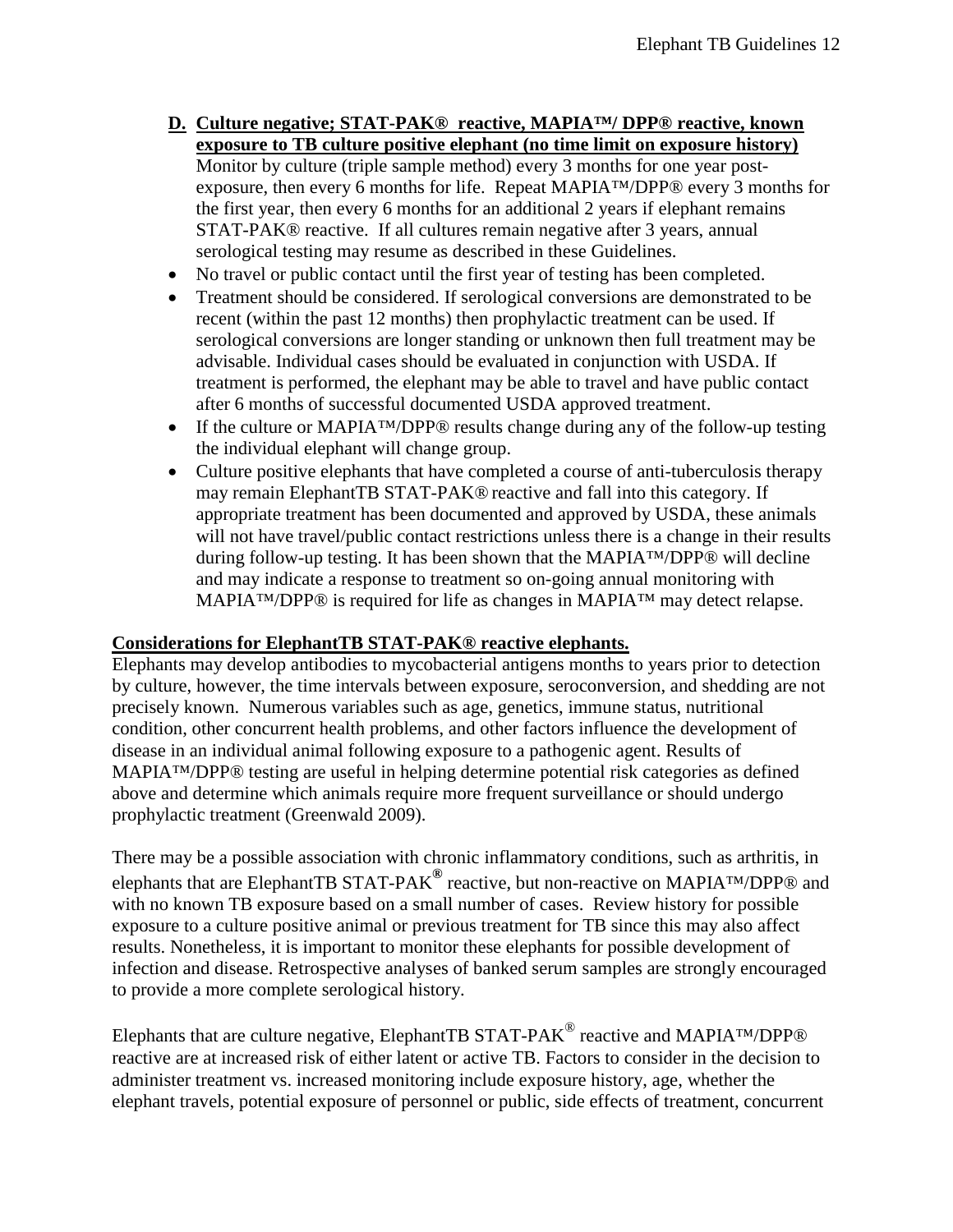- **D. Culture negative; STAT-PAK® reactive, MAPIA™/ DPP® reactive, known exposure to TB culture positive elephant (no time limit on exposure history)** Monitor by culture (triple sample method) every 3 months for one year postexposure, then every 6 months for life. Repeat MAPIA™/DPP® every 3 months for the first year, then every 6 months for an additional 2 years if elephant remains STAT-PAK® reactive. If all cultures remain negative after 3 years, annual serological testing may resume as described in these Guidelines.
- No travel or public contact until the first year of testing has been completed.
- Treatment should be considered. If serological conversions are demonstrated to be recent (within the past 12 months) then prophylactic treatment can be used. If serological conversions are longer standing or unknown then full treatment may be advisable. Individual cases should be evaluated in conjunction with USDA. If treatment is performed, the elephant may be able to travel and have public contact after 6 months of successful documented USDA approved treatment.
- If the culture or MAPIA™/DPP® results change during any of the follow-up testing the individual elephant will change group.
- Culture positive elephants that have completed a course of anti-tuberculosis therapy may remain ElephantTB STAT-PAK® reactive and fall into this category. If appropriate treatment has been documented and approved by USDA, these animals will not have travel/public contact restrictions unless there is a change in their results during follow-up testing. It has been shown that the MAPIA™/DPP® will decline and may indicate a response to treatment so on-going annual monitoring with MAPIA™/DPP® is required for life as changes in MAPIA™ may detect relapse.

#### **Considerations for ElephantTB STAT-PAK® reactive elephants.**

Elephants may develop antibodies to mycobacterial antigens months to years prior to detection by culture, however, the time intervals between exposure, seroconversion, and shedding are not precisely known. Numerous variables such as age, genetics, immune status, nutritional condition, other concurrent health problems, and other factors influence the development of disease in an individual animal following exposure to a pathogenic agent. Results of MAPIA™/DPP® testing are useful in helping determine potential risk categories as defined above and determine which animals require more frequent surveillance or should undergo prophylactic treatment (Greenwald 2009).

There may be a possible association with chronic inflammatory conditions, such as arthritis, in elephants that are ElephantTB STAT-PAK**®** reactive, but non-reactive on MAPIA™/DPP® and with no known TB exposure based on a small number of cases. Review history for possible exposure to a culture positive animal or previous treatment for TB since this may also affect results. Nonetheless, it is important to monitor these elephants for possible development of infection and disease. Retrospective analyses of banked serum samples are strongly encouraged to provide a more complete serological history.

Elephants that are culture negative, ElephantTB STAT-PAK<sup>®</sup> reactive and MAPIA<sup>™</sup>/DPP® reactive are at increased risk of either latent or active TB. Factors to consider in the decision to administer treatment vs. increased monitoring include exposure history, age, whether the elephant travels, potential exposure of personnel or public, side effects of treatment, concurrent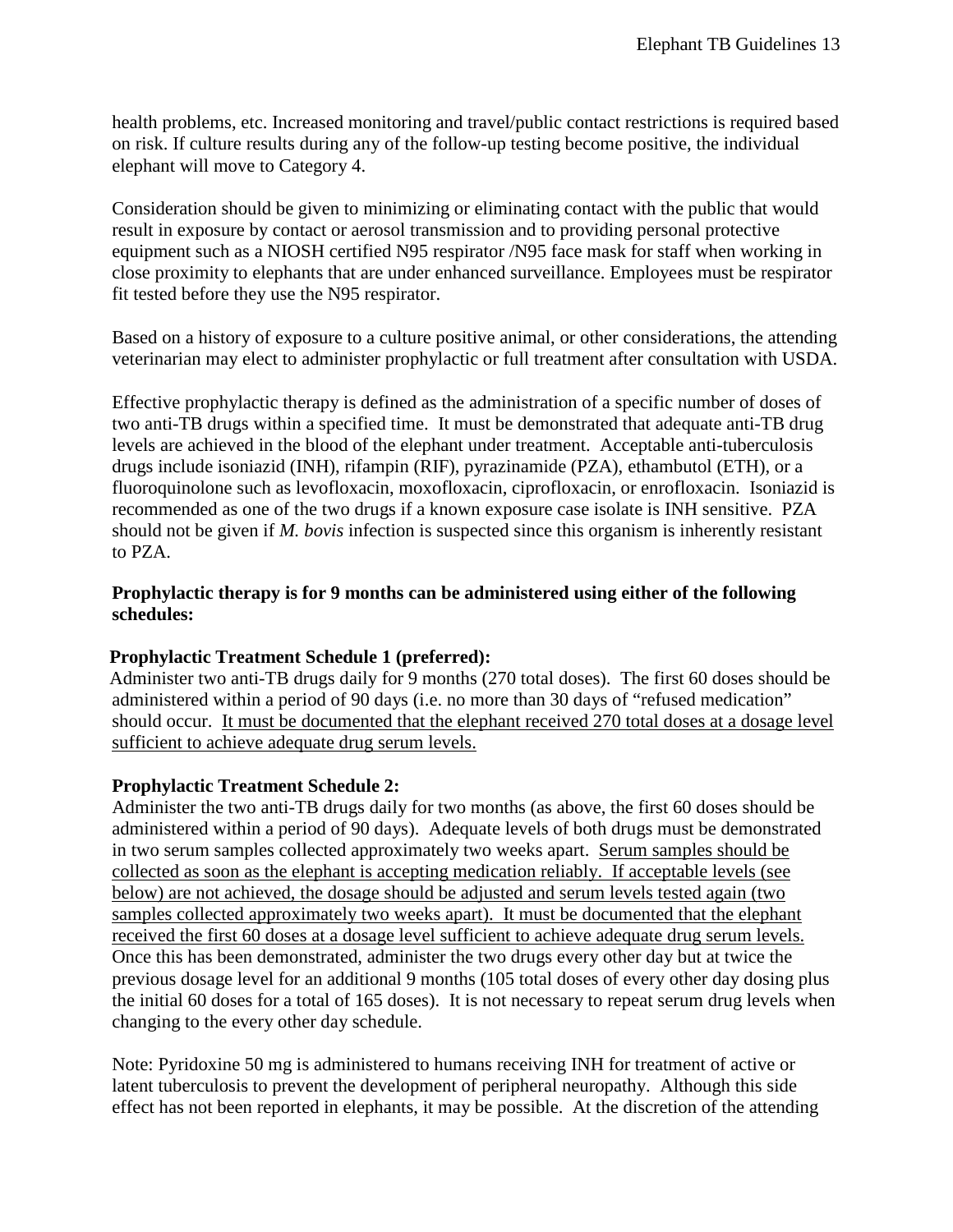health problems, etc. Increased monitoring and travel/public contact restrictions is required based on risk. If culture results during any of the follow-up testing become positive, the individual elephant will move to Category 4.

Consideration should be given to minimizing or eliminating contact with the public that would result in exposure by contact or aerosol transmission and to providing personal protective equipment such as a NIOSH certified N95 respirator /N95 face mask for staff when working in close proximity to elephants that are under enhanced surveillance. Employees must be respirator fit tested before they use the N95 respirator.

Based on a history of exposure to a culture positive animal, or other considerations, the attending veterinarian may elect to administer prophylactic or full treatment after consultation with USDA.

Effective prophylactic therapy is defined as the administration of a specific number of doses of two anti-TB drugs within a specified time. It must be demonstrated that adequate anti-TB drug levels are achieved in the blood of the elephant under treatment. Acceptable anti-tuberculosis drugs include isoniazid (INH), rifampin (RIF), pyrazinamide (PZA), ethambutol (ETH), or a fluoroquinolone such as levofloxacin, moxofloxacin, ciprofloxacin, or enrofloxacin. Isoniazid is recommended as one of the two drugs if a known exposure case isolate is INH sensitive. PZA should not be given if *M. bovis* infection is suspected since this organism is inherently resistant to PZA.

### **Prophylactic therapy is for 9 months can be administered using either of the following schedules:**

### **Prophylactic Treatment Schedule 1 (preferred):**

Administer two anti-TB drugs daily for 9 months (270 total doses). The first 60 doses should be administered within a period of 90 days (i.e. no more than 30 days of "refused medication" should occur. It must be documented that the elephant received 270 total doses at a dosage level sufficient to achieve adequate drug serum levels.

#### **Prophylactic Treatment Schedule 2:**

Administer the two anti-TB drugs daily for two months (as above, the first 60 doses should be administered within a period of 90 days). Adequate levels of both drugs must be demonstrated in two serum samples collected approximately two weeks apart. Serum samples should be collected as soon as the elephant is accepting medication reliably. If acceptable levels (see below) are not achieved, the dosage should be adjusted and serum levels tested again (two samples collected approximately two weeks apart). It must be documented that the elephant received the first 60 doses at a dosage level sufficient to achieve adequate drug serum levels. Once this has been demonstrated, administer the two drugs every other day but at twice the previous dosage level for an additional 9 months (105 total doses of every other day dosing plus the initial 60 doses for a total of 165 doses). It is not necessary to repeat serum drug levels when changing to the every other day schedule.

Note: Pyridoxine 50 mg is administered to humans receiving INH for treatment of active or latent tuberculosis to prevent the development of peripheral neuropathy. Although this side effect has not been reported in elephants, it may be possible. At the discretion of the attending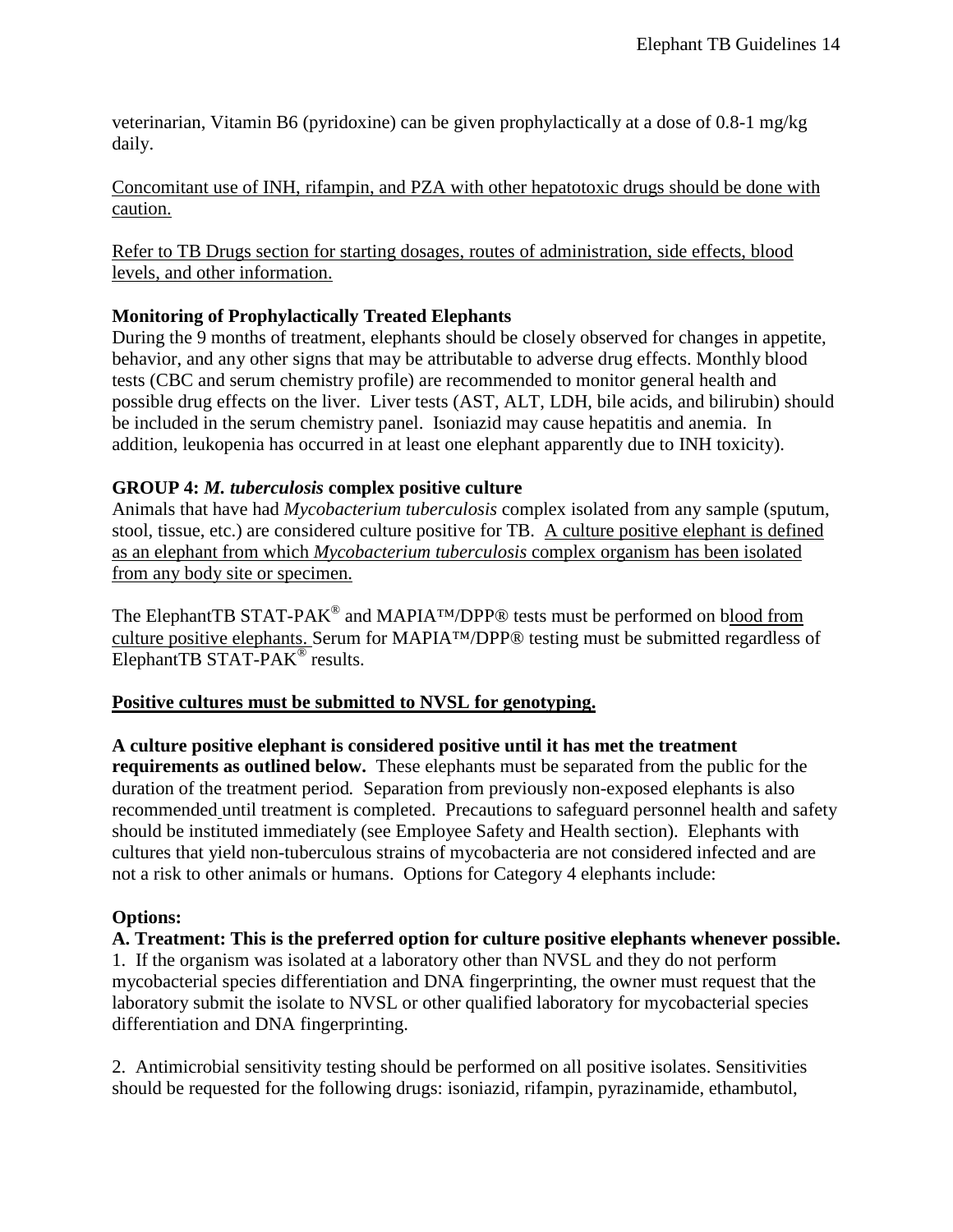veterinarian, Vitamin B6 (pyridoxine) can be given prophylactically at a dose of 0.8-1 mg/kg daily.

Concomitant use of INH, rifampin, and PZA with other hepatotoxic drugs should be done with caution.

Refer to TB Drugs section for starting dosages, routes of administration, side effects, blood levels, and other information.

## **Monitoring of Prophylactically Treated Elephants**

During the 9 months of treatment, elephants should be closely observed for changes in appetite, behavior, and any other signs that may be attributable to adverse drug effects. Monthly blood tests (CBC and serum chemistry profile) are recommended to monitor general health and possible drug effects on the liver. Liver tests (AST, ALT, LDH, bile acids, and bilirubin) should be included in the serum chemistry panel. Isoniazid may cause hepatitis and anemia. In addition, leukopenia has occurred in at least one elephant apparently due to INH toxicity).

### **GROUP 4:** *M. tuberculosis* **complex positive culture**

Animals that have had *Mycobacterium tuberculosis* complex isolated from any sample (sputum, stool, tissue, etc.) are considered culture positive for TB. A culture positive elephant is defined as an elephant from which *Mycobacterium tuberculosis* complex organism has been isolated from any body site or specimen.

The ElephantTB STAT-PAK<sup>®</sup> and MAPIA<sup>TM</sup>/DPP® tests must be performed on b<u>lood from</u> culture positive elephants. Serum for MAPIA™/DPP® testing must be submitted regardless of ElephantTB STAT-PAK<sup>®</sup> results.

### **Positive cultures must be submitted to NVSL for genotyping.**

**A culture positive elephant is considered positive until it has met the treatment requirements as outlined below.** These elephants must be separated from the public for the duration of the treatment period*.* Separation from previously non-exposed elephants is also recommended until treatment is completed. Precautions to safeguard personnel health and safety should be instituted immediately (see Employee Safety and Health section). Elephants with cultures that yield non-tuberculous strains of mycobacteria are not considered infected and are not a risk to other animals or humans. Options for Category 4 elephants include:

### **Options:**

**A. Treatment: This is the preferred option for culture positive elephants whenever possible.**  1. If the organism was isolated at a laboratory other than NVSL and they do not perform mycobacterial species differentiation and DNA fingerprinting, the owner must request that the laboratory submit the isolate to NVSL or other qualified laboratory for mycobacterial species differentiation and DNA fingerprinting.

2. Antimicrobial sensitivity testing should be performed on all positive isolates. Sensitivities should be requested for the following drugs: isoniazid, rifampin, pyrazinamide, ethambutol,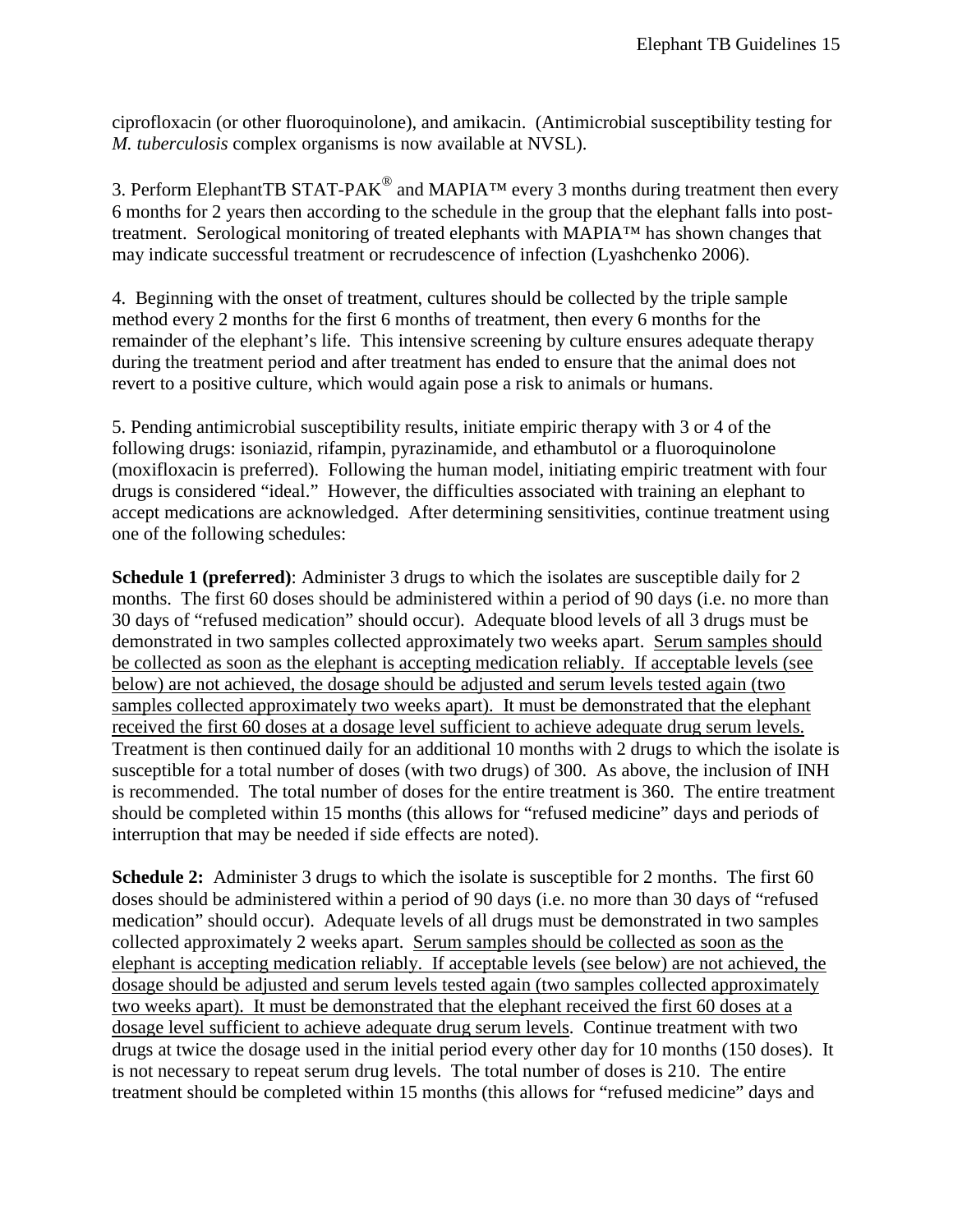ciprofloxacin (or other fluoroquinolone), and amikacin. (Antimicrobial susceptibility testing for *M. tuberculosis* complex organisms is now available at NVSL).

3. Perform ElephantTB STAT-PAK<sup>®</sup> and MAPIA<sup>TM</sup> every 3 months during treatment then every 6 months for 2 years then according to the schedule in the group that the elephant falls into posttreatment. Serological monitoring of treated elephants with MAPIA™ has shown changes that may indicate successful treatment or recrudescence of infection (Lyashchenko 2006).

4. Beginning with the onset of treatment, cultures should be collected by the triple sample method every 2 months for the first 6 months of treatment, then every 6 months for the remainder of the elephant's life. This intensive screening by culture ensures adequate therapy during the treatment period and after treatment has ended to ensure that the animal does not revert to a positive culture, which would again pose a risk to animals or humans.

5. Pending antimicrobial susceptibility results, initiate empiric therapy with 3 or 4 of the following drugs: isoniazid, rifampin, pyrazinamide, and ethambutol or a fluoroquinolone (moxifloxacin is preferred). Following the human model, initiating empiric treatment with four drugs is considered "ideal." However, the difficulties associated with training an elephant to accept medications are acknowledged. After determining sensitivities, continue treatment using one of the following schedules:

**Schedule 1 (preferred)**: Administer 3 drugs to which the isolates are susceptible daily for 2 months. The first 60 doses should be administered within a period of 90 days (i.e. no more than 30 days of "refused medication" should occur). Adequate blood levels of all 3 drugs must be demonstrated in two samples collected approximately two weeks apart. Serum samples should be collected as soon as the elephant is accepting medication reliably. If acceptable levels (see below) are not achieved, the dosage should be adjusted and serum levels tested again (two samples collected approximately two weeks apart). It must be demonstrated that the elephant received the first 60 doses at a dosage level sufficient to achieve adequate drug serum levels. Treatment is then continued daily for an additional 10 months with 2 drugs to which the isolate is susceptible for a total number of doses (with two drugs) of 300. As above, the inclusion of INH is recommended. The total number of doses for the entire treatment is 360. The entire treatment should be completed within 15 months (this allows for "refused medicine" days and periods of interruption that may be needed if side effects are noted).

**Schedule 2:** Administer 3 drugs to which the isolate is susceptible for 2 months. The first 60 doses should be administered within a period of 90 days (i.e. no more than 30 days of "refused medication" should occur). Adequate levels of all drugs must be demonstrated in two samples collected approximately 2 weeks apart. Serum samples should be collected as soon as the elephant is accepting medication reliably. If acceptable levels (see below) are not achieved, the dosage should be adjusted and serum levels tested again (two samples collected approximately two weeks apart). It must be demonstrated that the elephant received the first 60 doses at a dosage level sufficient to achieve adequate drug serum levels. Continue treatment with two drugs at twice the dosage used in the initial period every other day for 10 months (150 doses). It is not necessary to repeat serum drug levels. The total number of doses is 210. The entire treatment should be completed within 15 months (this allows for "refused medicine" days and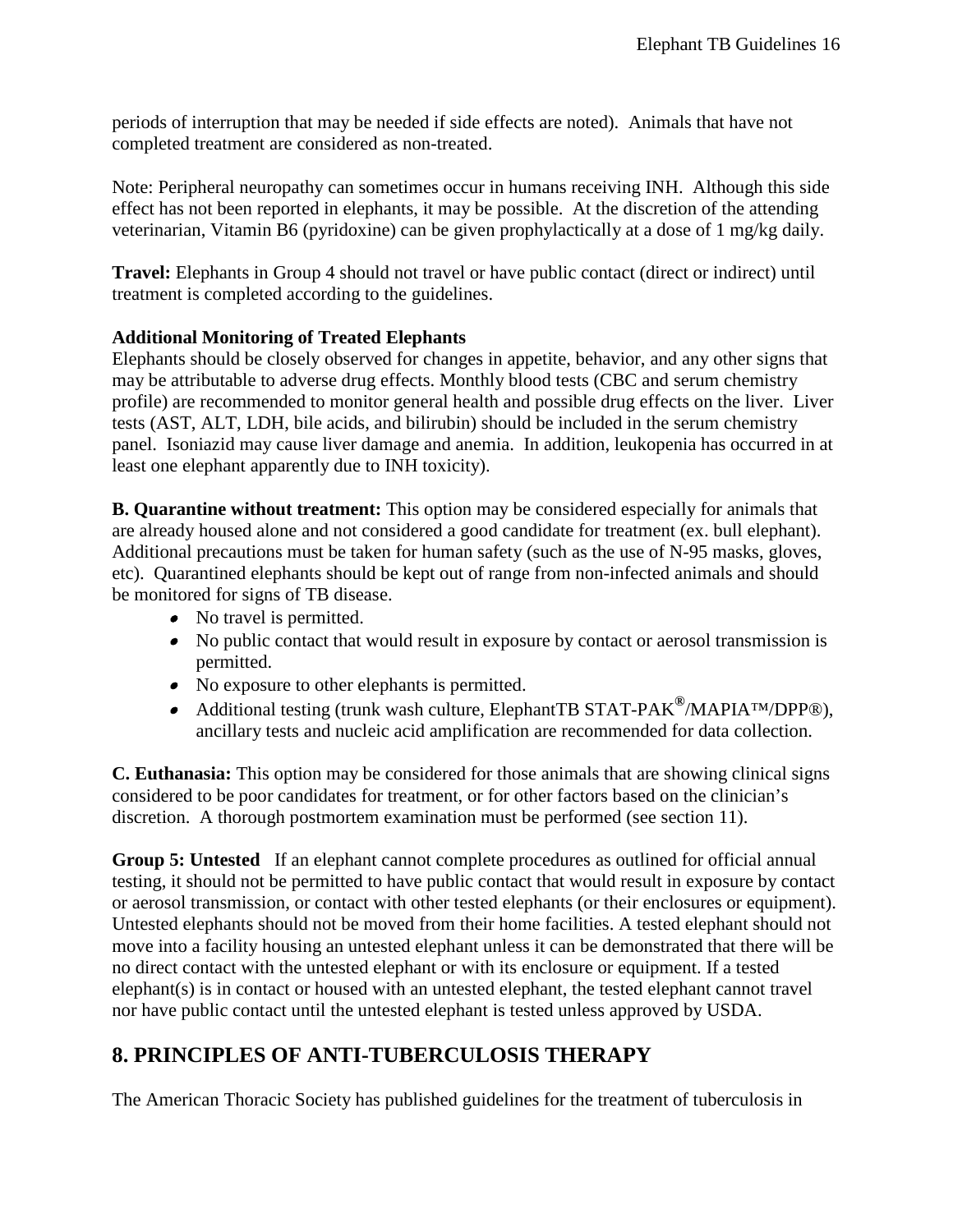periods of interruption that may be needed if side effects are noted). Animals that have not completed treatment are considered as non-treated.

Note: Peripheral neuropathy can sometimes occur in humans receiving INH. Although this side effect has not been reported in elephants, it may be possible. At the discretion of the attending veterinarian, Vitamin B6 (pyridoxine) can be given prophylactically at a dose of 1 mg/kg daily.

**Travel:** Elephants in Group 4 should not travel or have public contact (direct or indirect) until treatment is completed according to the guidelines.

### **Additional Monitoring of Treated Elephants**

Elephants should be closely observed for changes in appetite, behavior, and any other signs that may be attributable to adverse drug effects. Monthly blood tests (CBC and serum chemistry profile) are recommended to monitor general health and possible drug effects on the liver. Liver tests (AST, ALT, LDH, bile acids, and bilirubin) should be included in the serum chemistry panel. Isoniazid may cause liver damage and anemia. In addition, leukopenia has occurred in at least one elephant apparently due to INH toxicity).

**B. Quarantine without treatment:** This option may be considered especially for animals that are already housed alone and not considered a good candidate for treatment (ex. bull elephant). Additional precautions must be taken for human safety (such as the use of N-95 masks, gloves, etc). Quarantined elephants should be kept out of range from non-infected animals and should be monitored for signs of TB disease.

- No travel is permitted.
- No public contact that would result in exposure by contact or aerosol transmission is permitted.
- No exposure to other elephants is permitted.
- Additional testing (trunk wash culture, ElephantTB STAT-PAK**®**/MAPIA™/DPP®), ancillary tests and nucleic acid amplification are recommended for data collection.

**C. Euthanasia:** This option may be considered for those animals that are showing clinical signs considered to be poor candidates for treatment, or for other factors based on the clinician's discretion. A thorough postmortem examination must be performed (see section 11).

**Group 5: Untested** If an elephant cannot complete procedures as outlined for official annual testing, it should not be permitted to have public contact that would result in exposure by contact or aerosol transmission, or contact with other tested elephants (or their enclosures or equipment). Untested elephants should not be moved from their home facilities. A tested elephant should not move into a facility housing an untested elephant unless it can be demonstrated that there will be no direct contact with the untested elephant or with its enclosure or equipment. If a tested elephant(s) is in contact or housed with an untested elephant, the tested elephant cannot travel nor have public contact until the untested elephant is tested unless approved by USDA.

## <span id="page-15-0"></span>**8. PRINCIPLES OF ANTI-TUBERCULOSIS THERAPY**

The American Thoracic Society has published guidelines for the treatment of tuberculosis in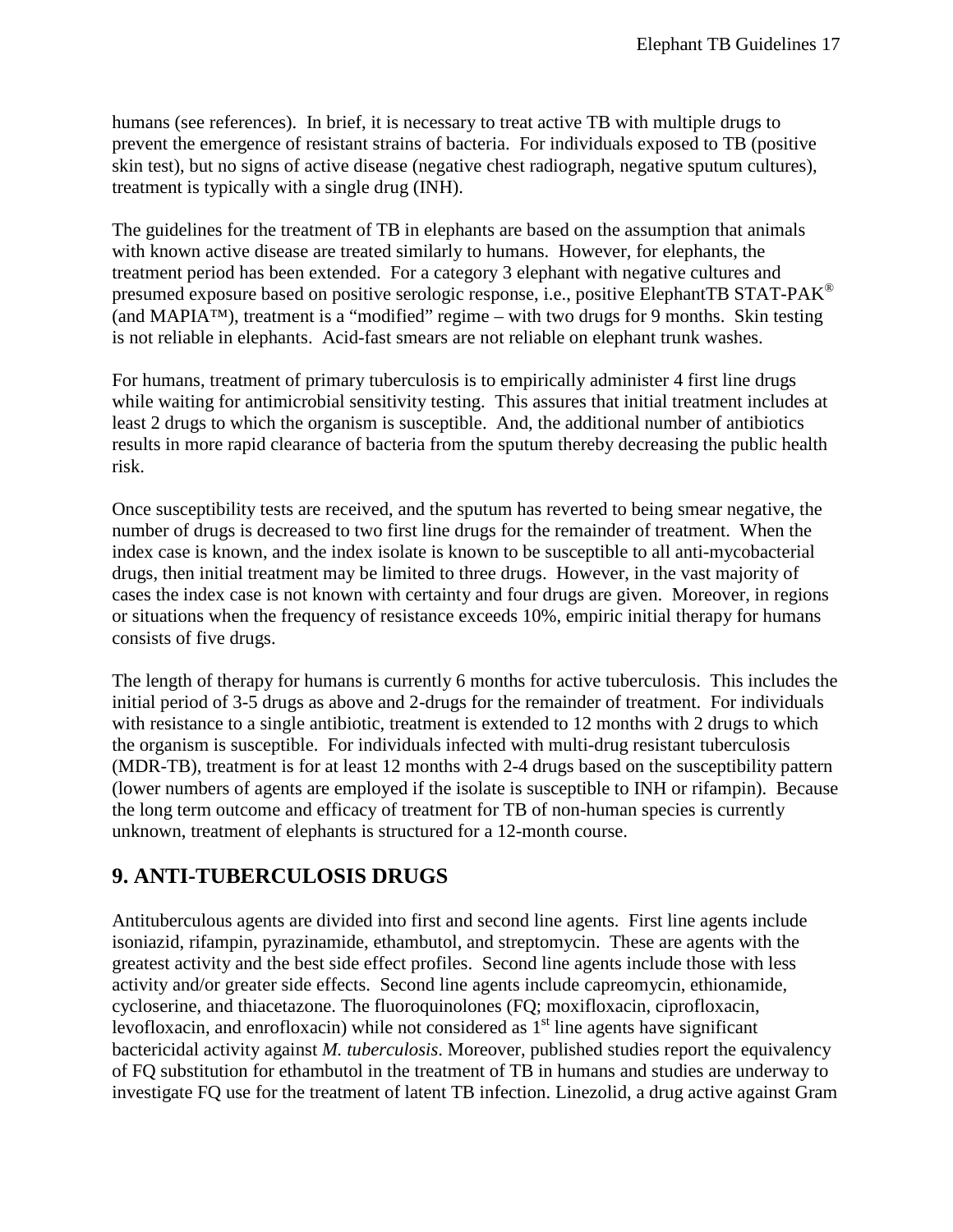humans (see references). In brief, it is necessary to treat active TB with multiple drugs to prevent the emergence of resistant strains of bacteria. For individuals exposed to TB (positive skin test), but no signs of active disease (negative chest radiograph, negative sputum cultures), treatment is typically with a single drug (INH).

The guidelines for the treatment of TB in elephants are based on the assumption that animals with known active disease are treated similarly to humans. However, for elephants, the treatment period has been extended. For a category 3 elephant with negative cultures and presumed exposure based on positive serologic response, i.e., positive ElephantTB STAT-PAK® (and MAPIA™), treatment is a "modified" regime – with two drugs for 9 months. Skin testing is not reliable in elephants. Acid-fast smears are not reliable on elephant trunk washes.

For humans, treatment of primary tuberculosis is to empirically administer 4 first line drugs while waiting for antimicrobial sensitivity testing. This assures that initial treatment includes at least 2 drugs to which the organism is susceptible. And, the additional number of antibiotics results in more rapid clearance of bacteria from the sputum thereby decreasing the public health risk.

Once susceptibility tests are received, and the sputum has reverted to being smear negative, the number of drugs is decreased to two first line drugs for the remainder of treatment. When the index case is known, and the index isolate is known to be susceptible to all anti-mycobacterial drugs, then initial treatment may be limited to three drugs. However, in the vast majority of cases the index case is not known with certainty and four drugs are given. Moreover, in regions or situations when the frequency of resistance exceeds 10%, empiric initial therapy for humans consists of five drugs.

The length of therapy for humans is currently 6 months for active tuberculosis. This includes the initial period of 3-5 drugs as above and 2-drugs for the remainder of treatment. For individuals with resistance to a single antibiotic, treatment is extended to 12 months with 2 drugs to which the organism is susceptible. For individuals infected with multi-drug resistant tuberculosis (MDR-TB), treatment is for at least 12 months with 2-4 drugs based on the susceptibility pattern (lower numbers of agents are employed if the isolate is susceptible to INH or rifampin). Because the long term outcome and efficacy of treatment for TB of non-human species is currently unknown, treatment of elephants is structured for a 12-month course.

## <span id="page-16-0"></span>**9. ANTI-TUBERCULOSIS DRUGS**

Antituberculous agents are divided into first and second line agents. First line agents include isoniazid, rifampin, pyrazinamide, ethambutol, and streptomycin. These are agents with the greatest activity and the best side effect profiles. Second line agents include those with less activity and/or greater side effects. Second line agents include capreomycin, ethionamide, cycloserine, and thiacetazone. The fluoroquinolones (FQ; moxifloxacin, ciprofloxacin, levofloxacin, and enrofloxacin) while not considered as  $1<sup>st</sup>$  line agents have significant bactericidal activity against *M. tuberculosis*. Moreover, published studies report the equivalency of FQ substitution for ethambutol in the treatment of TB in humans and studies are underway to investigate FQ use for the treatment of latent TB infection. Linezolid, a drug active against Gram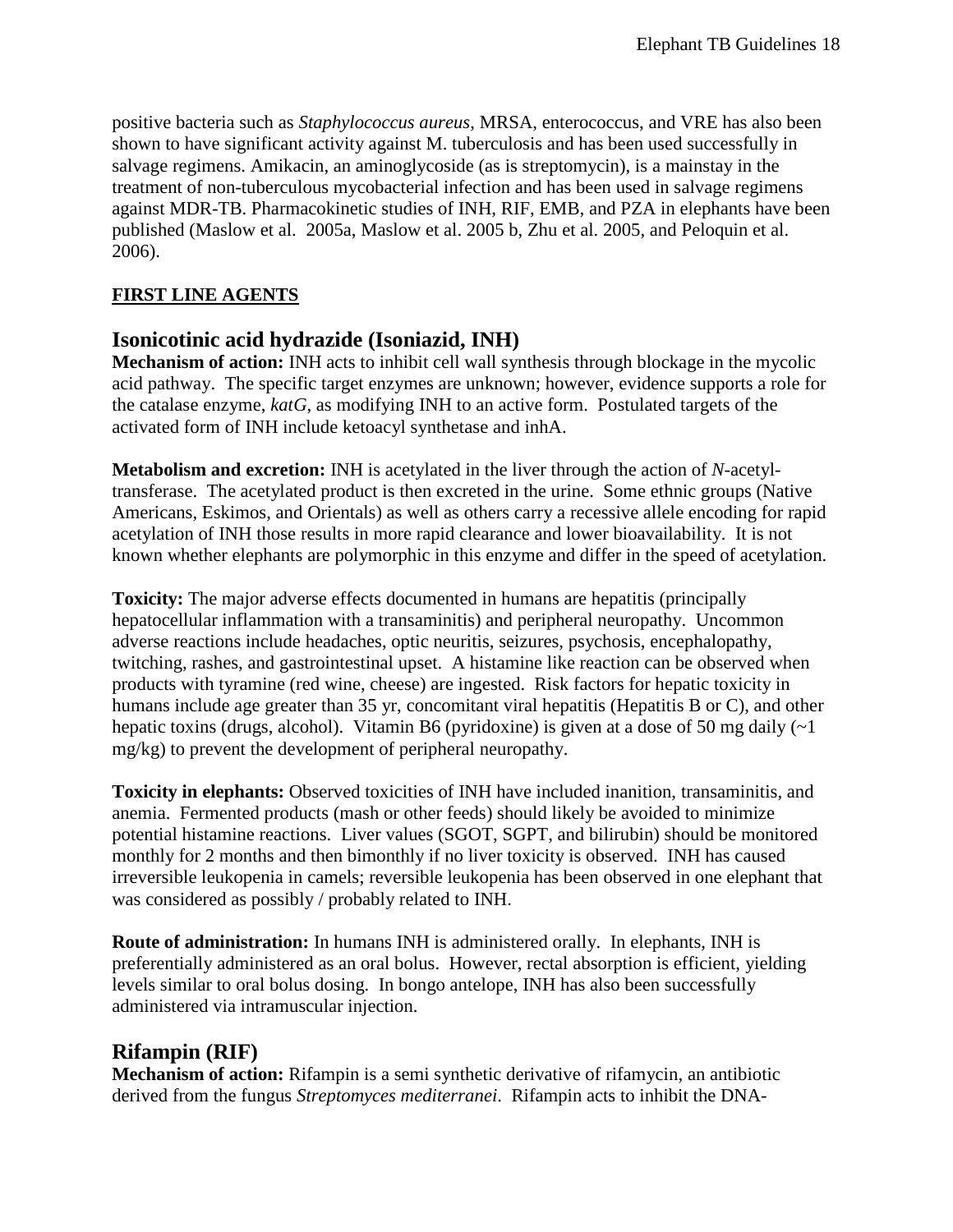positive bacteria such as *Staphylococcus aureus*, MRSA, enterococcus, and VRE has also been shown to have significant activity against M. tuberculosis and has been used successfully in salvage regimens. Amikacin, an aminoglycoside (as is streptomycin), is a mainstay in the treatment of non-tuberculous mycobacterial infection and has been used in salvage regimens against MDR-TB. Pharmacokinetic studies of INH, RIF, EMB, and PZA in elephants have been published (Maslow et al. 2005a, Maslow et al. 2005 b, Zhu et al. 2005, and Peloquin et al. 2006).

## **FIRST LINE AGENTS**

## **Isonicotinic acid hydrazide (Isoniazid, INH)**

**Mechanism of action:** INH acts to inhibit cell wall synthesis through blockage in the mycolic acid pathway. The specific target enzymes are unknown; however, evidence supports a role for the catalase enzyme, *katG*, as modifying INH to an active form. Postulated targets of the activated form of INH include ketoacyl synthetase and inhA.

**Metabolism and excretion:** INH is acetylated in the liver through the action of *N*-acetyltransferase. The acetylated product is then excreted in the urine. Some ethnic groups (Native Americans, Eskimos, and Orientals) as well as others carry a recessive allele encoding for rapid acetylation of INH those results in more rapid clearance and lower bioavailability. It is not known whether elephants are polymorphic in this enzyme and differ in the speed of acetylation.

**Toxicity:** The major adverse effects documented in humans are hepatitis (principally hepatocellular inflammation with a transaminitis) and peripheral neuropathy. Uncommon adverse reactions include headaches, optic neuritis, seizures, psychosis, encephalopathy, twitching, rashes, and gastrointestinal upset. A histamine like reaction can be observed when products with tyramine (red wine, cheese) are ingested. Risk factors for hepatic toxicity in humans include age greater than 35 yr, concomitant viral hepatitis (Hepatitis B or C), and other hepatic toxins (drugs, alcohol). Vitamin B6 (pyridoxine) is given at a dose of 50 mg daily  $(\sim 1$ mg/kg) to prevent the development of peripheral neuropathy.

**Toxicity in elephants:** Observed toxicities of INH have included inanition, transaminitis, and anemia. Fermented products (mash or other feeds) should likely be avoided to minimize potential histamine reactions. Liver values (SGOT, SGPT, and bilirubin) should be monitored monthly for 2 months and then bimonthly if no liver toxicity is observed. INH has caused irreversible leukopenia in camels; reversible leukopenia has been observed in one elephant that was considered as possibly / probably related to INH.

**Route of administration:** In humans INH is administered orally. In elephants, INH is preferentially administered as an oral bolus. However, rectal absorption is efficient, yielding levels similar to oral bolus dosing. In bongo antelope, INH has also been successfully administered via intramuscular injection.

## **Rifampin (RIF)**

**Mechanism of action:** Rifampin is a semi synthetic derivative of rifamycin, an antibiotic derived from the fungus *Streptomyces mediterranei*. Rifampin acts to inhibit the DNA-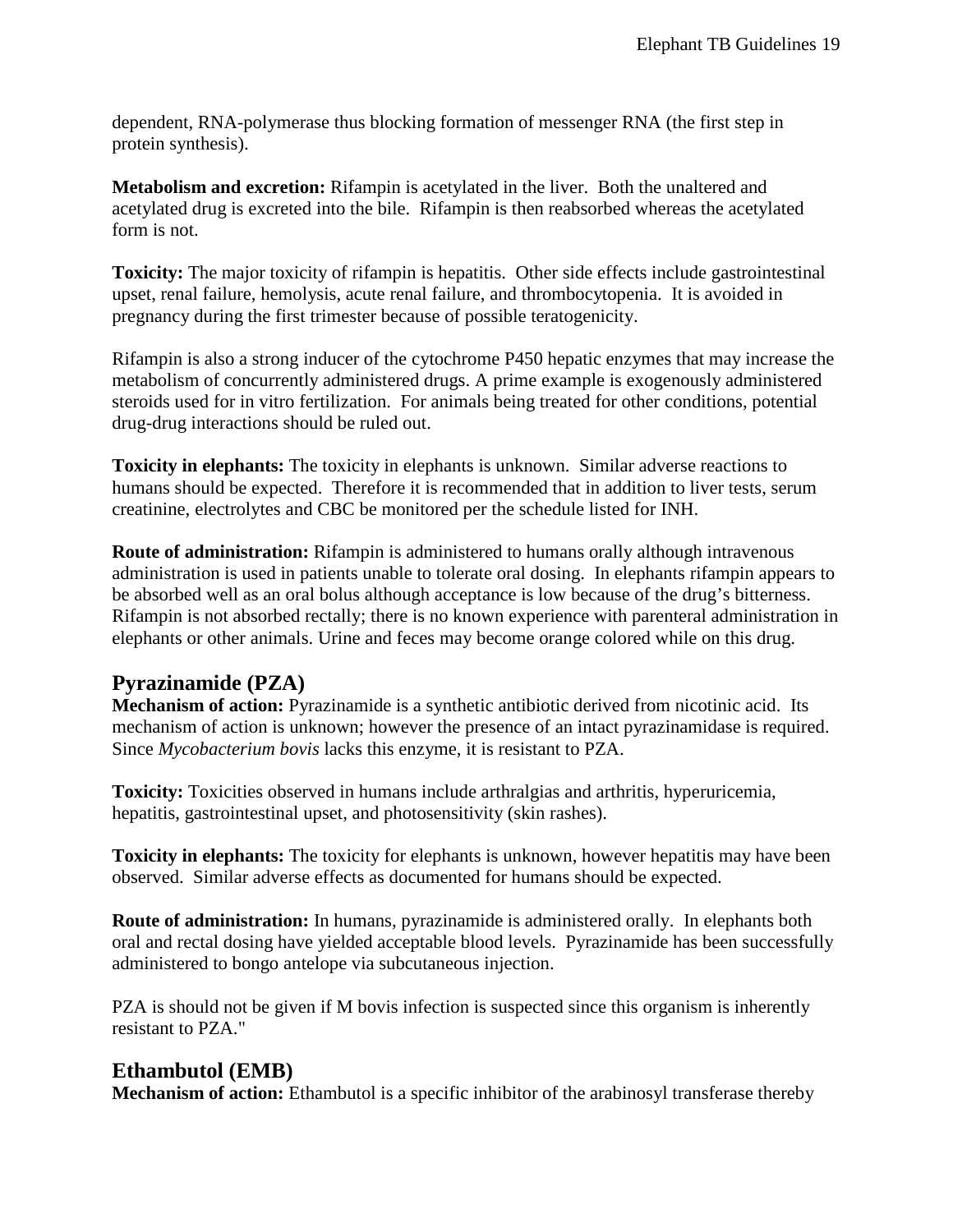dependent, RNA-polymerase thus blocking formation of messenger RNA (the first step in protein synthesis).

**Metabolism and excretion:** Rifampin is acetylated in the liver. Both the unaltered and acetylated drug is excreted into the bile. Rifampin is then reabsorbed whereas the acetylated form is not.

**Toxicity:** The major toxicity of rifampin is hepatitis. Other side effects include gastrointestinal upset, renal failure, hemolysis, acute renal failure, and thrombocytopenia. It is avoided in pregnancy during the first trimester because of possible teratogenicity.

Rifampin is also a strong inducer of the cytochrome P450 hepatic enzymes that may increase the metabolism of concurrently administered drugs. A prime example is exogenously administered steroids used for in vitro fertilization. For animals being treated for other conditions, potential drug-drug interactions should be ruled out.

**Toxicity in elephants:** The toxicity in elephants is unknown. Similar adverse reactions to humans should be expected. Therefore it is recommended that in addition to liver tests, serum creatinine, electrolytes and CBC be monitored per the schedule listed for INH.

**Route of administration:** Rifampin is administered to humans orally although intravenous administration is used in patients unable to tolerate oral dosing. In elephants rifampin appears to be absorbed well as an oral bolus although acceptance is low because of the drug's bitterness. Rifampin is not absorbed rectally; there is no known experience with parenteral administration in elephants or other animals. Urine and feces may become orange colored while on this drug.

## **Pyrazinamide (PZA)**

**Mechanism of action:** Pyrazinamide is a synthetic antibiotic derived from nicotinic acid. Its mechanism of action is unknown; however the presence of an intact pyrazinamidase is required. Since *Mycobacterium bovis* lacks this enzyme, it is resistant to PZA.

**Toxicity:** Toxicities observed in humans include arthralgias and arthritis, hyperuricemia, hepatitis, gastrointestinal upset, and photosensitivity (skin rashes).

**Toxicity in elephants:** The toxicity for elephants is unknown, however hepatitis may have been observed. Similar adverse effects as documented for humans should be expected.

**Route of administration:** In humans, pyrazinamide is administered orally. In elephants both oral and rectal dosing have yielded acceptable blood levels. Pyrazinamide has been successfully administered to bongo antelope via subcutaneous injection.

PZA is should not be given if M bovis infection is suspected since this organism is inherently resistant to PZA."

## **Ethambutol (EMB)**

**Mechanism of action:** Ethambutol is a specific inhibitor of the arabinosyl transferase thereby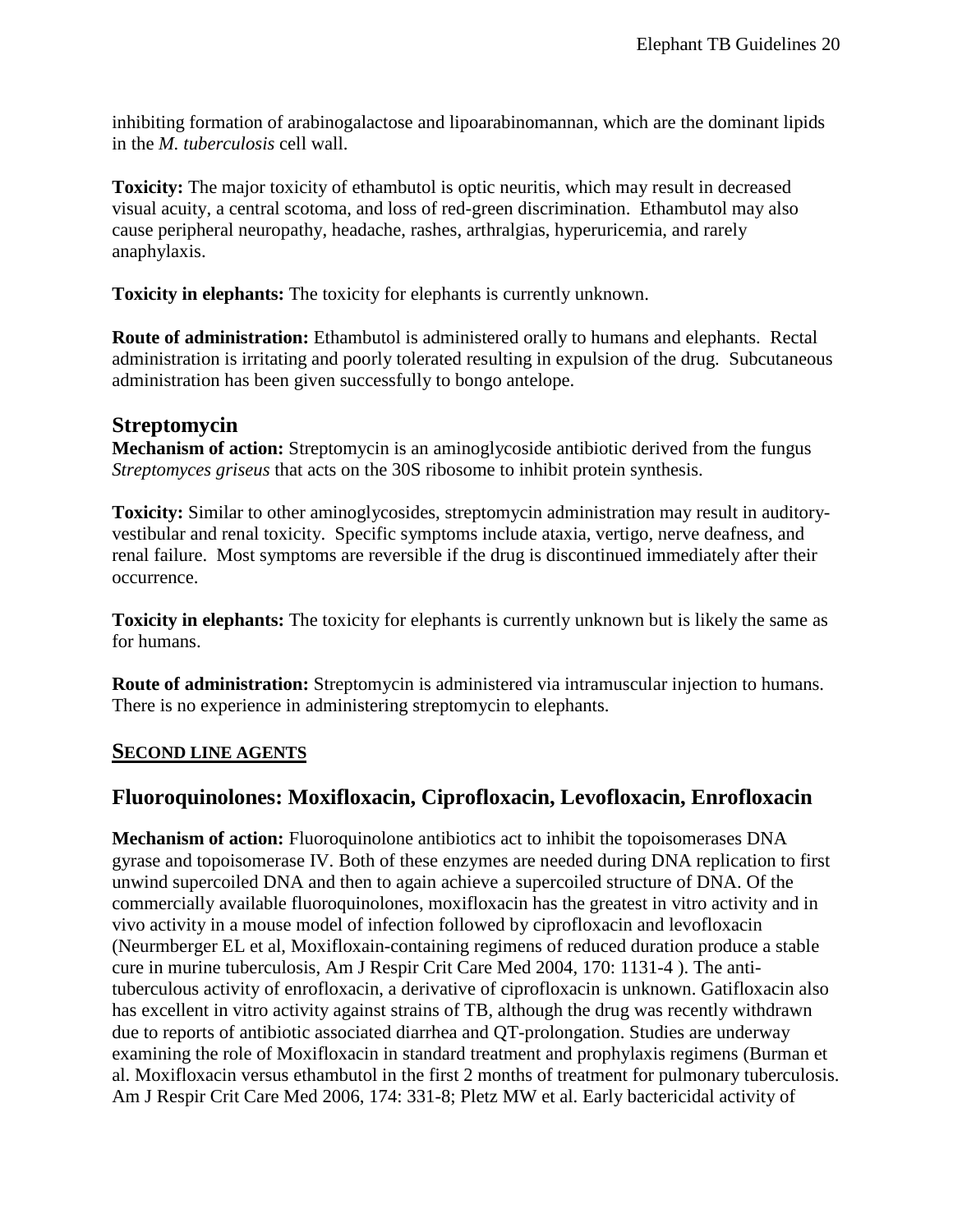inhibiting formation of arabinogalactose and lipoarabinomannan, which are the dominant lipids in the *M. tuberculosis* cell wall.

**Toxicity:** The major toxicity of ethambutol is optic neuritis, which may result in decreased visual acuity, a central scotoma, and loss of red-green discrimination. Ethambutol may also cause peripheral neuropathy, headache, rashes, arthralgias, hyperuricemia, and rarely anaphylaxis.

**Toxicity in elephants:** The toxicity for elephants is currently unknown.

**Route of administration:** Ethambutol is administered orally to humans and elephants. Rectal administration is irritating and poorly tolerated resulting in expulsion of the drug. Subcutaneous administration has been given successfully to bongo antelope.

## **Streptomycin**

**Mechanism of action:** Streptomycin is an aminoglycoside antibiotic derived from the fungus *Streptomyces griseus* that acts on the 30S ribosome to inhibit protein synthesis.

**Toxicity:** Similar to other aminoglycosides, streptomycin administration may result in auditoryvestibular and renal toxicity. Specific symptoms include ataxia, vertigo, nerve deafness, and renal failure. Most symptoms are reversible if the drug is discontinued immediately after their occurrence.

**Toxicity in elephants:** The toxicity for elephants is currently unknown but is likely the same as for humans.

**Route of administration:** Streptomycin is administered via intramuscular injection to humans. There is no experience in administering streptomycin to elephants.

### **SECOND LINE AGENTS**

## **Fluoroquinolones: Moxifloxacin, Ciprofloxacin, Levofloxacin, Enrofloxacin**

**Mechanism of action:** Fluoroquinolone antibiotics act to inhibit the topoisomerases DNA gyrase and topoisomerase IV. Both of these enzymes are needed during DNA replication to first unwind supercoiled DNA and then to again achieve a supercoiled structure of DNA. Of the commercially available fluoroquinolones, moxifloxacin has the greatest in vitro activity and in vivo activity in a mouse model of infection followed by ciprofloxacin and levofloxacin (Neurmberger EL et al, Moxifloxain-containing regimens of reduced duration produce a stable cure in murine tuberculosis, Am J Respir Crit Care Med 2004, 170: 1131-4 ). The antituberculous activity of enrofloxacin, a derivative of ciprofloxacin is unknown. Gatifloxacin also has excellent in vitro activity against strains of TB, although the drug was recently withdrawn due to reports of antibiotic associated diarrhea and QT-prolongation. Studies are underway examining the role of Moxifloxacin in standard treatment and prophylaxis regimens (Burman et al. Moxifloxacin versus ethambutol in the first 2 months of treatment for pulmonary tuberculosis. Am J Respir Crit Care Med 2006, 174: 331-8; Pletz MW et al. Early bactericidal activity of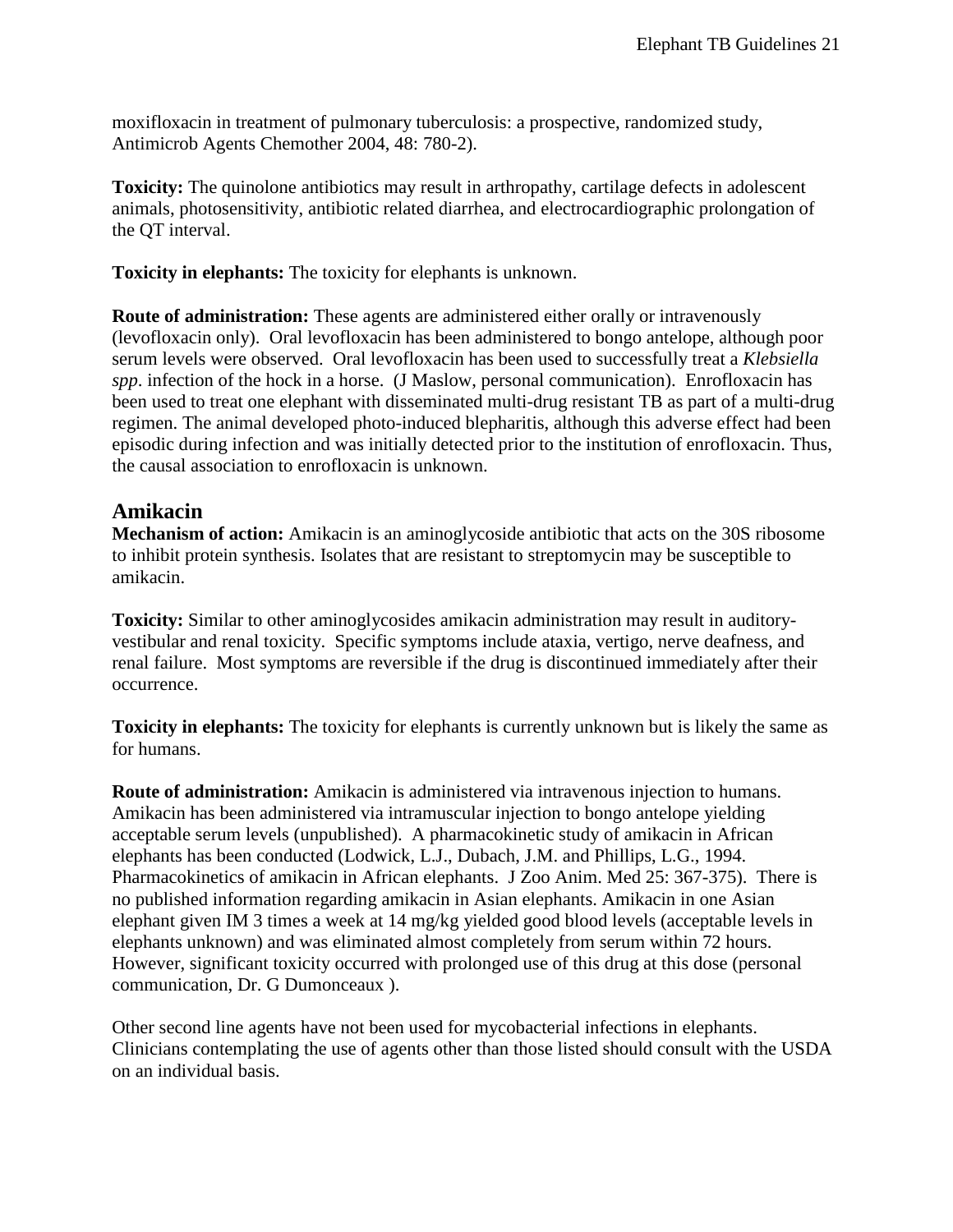moxifloxacin in treatment of pulmonary tuberculosis: a prospective, randomized study, Antimicrob Agents Chemother 2004, 48: 780-2).

**Toxicity:** The quinolone antibiotics may result in arthropathy, cartilage defects in adolescent animals, photosensitivity, antibiotic related diarrhea, and electrocardiographic prolongation of the QT interval.

**Toxicity in elephants:** The toxicity for elephants is unknown.

**Route of administration:** These agents are administered either orally or intravenously (levofloxacin only). Oral levofloxacin has been administered to bongo antelope, although poor serum levels were observed. Oral levofloxacin has been used to successfully treat a *Klebsiella spp*. infection of the hock in a horse. (J Maslow, personal communication). Enrofloxacin has been used to treat one elephant with disseminated multi-drug resistant TB as part of a multi-drug regimen. The animal developed photo-induced blepharitis, although this adverse effect had been episodic during infection and was initially detected prior to the institution of enrofloxacin. Thus, the causal association to enrofloxacin is unknown.

## **Amikacin**

**Mechanism of action:** Amikacin is an aminoglycoside antibiotic that acts on the 30S ribosome to inhibit protein synthesis. Isolates that are resistant to streptomycin may be susceptible to amikacin.

**Toxicity:** Similar to other aminoglycosides amikacin administration may result in auditoryvestibular and renal toxicity. Specific symptoms include ataxia, vertigo, nerve deafness, and renal failure. Most symptoms are reversible if the drug is discontinued immediately after their occurrence.

**Toxicity in elephants:** The toxicity for elephants is currently unknown but is likely the same as for humans.

**Route of administration:** Amikacin is administered via intravenous injection to humans. Amikacin has been administered via intramuscular injection to bongo antelope yielding acceptable serum levels (unpublished). A pharmacokinetic study of amikacin in African elephants has been conducted (Lodwick, L.J., Dubach, J.M. and Phillips, L.G., 1994. Pharmacokinetics of amikacin in African elephants. J Zoo Anim. Med 25: 367-375). There is no published information regarding amikacin in Asian elephants. Amikacin in one Asian elephant given IM 3 times a week at 14 mg/kg yielded good blood levels (acceptable levels in elephants unknown) and was eliminated almost completely from serum within 72 hours. However, significant toxicity occurred with prolonged use of this drug at this dose (personal communication, Dr. G Dumonceaux ).

Other second line agents have not been used for mycobacterial infections in elephants. Clinicians contemplating the use of agents other than those listed should consult with the USDA on an individual basis.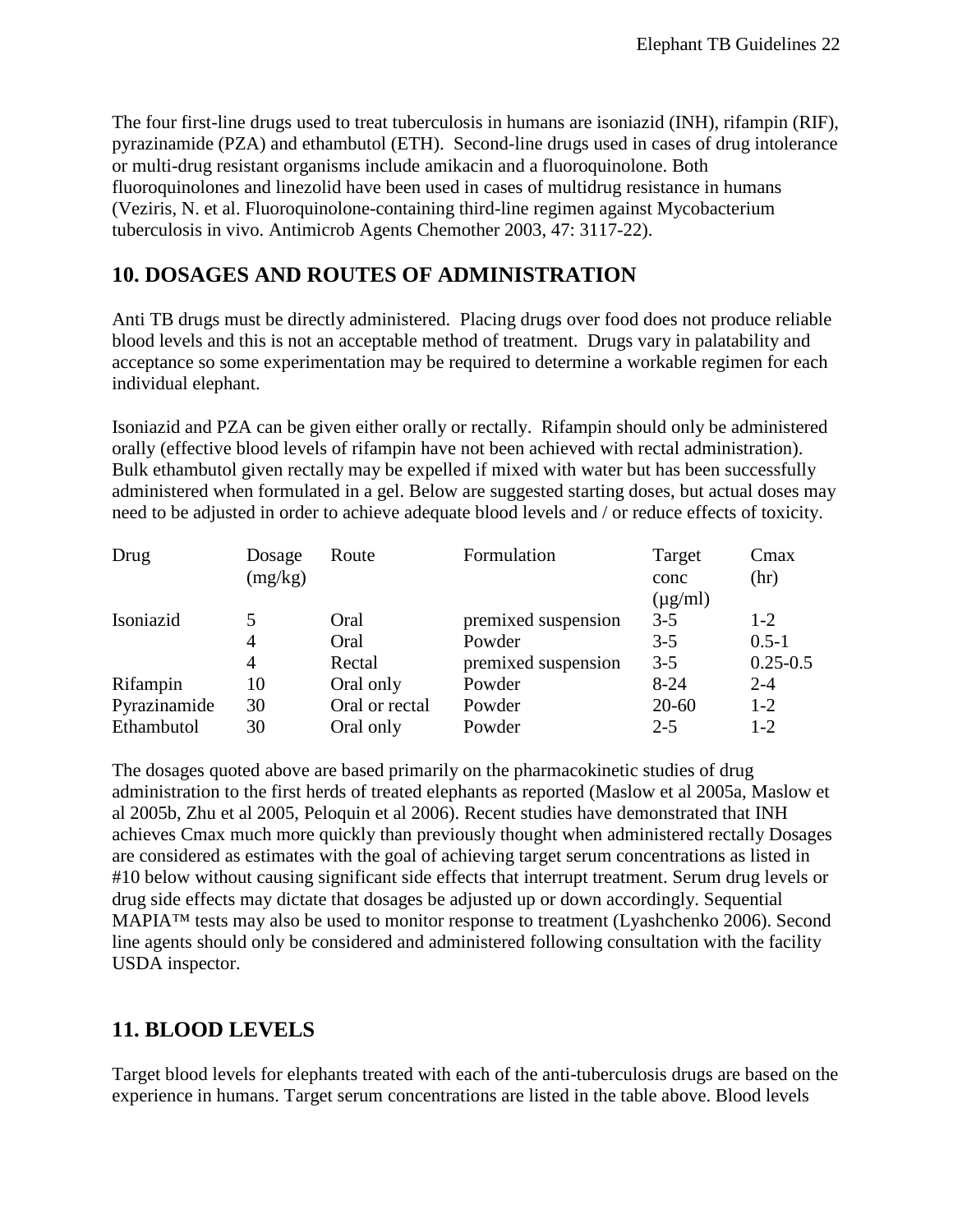The four first-line drugs used to treat tuberculosis in humans are isoniazid (INH), rifampin (RIF), pyrazinamide (PZA) and ethambutol (ETH). Second-line drugs used in cases of drug intolerance or multi-drug resistant organisms include amikacin and a fluoroquinolone. Both fluoroquinolones and linezolid have been used in cases of multidrug resistance in humans (Veziris, N. et al. Fluoroquinolone-containing third-line regimen against Mycobacterium tuberculosis in vivo. Antimicrob Agents Chemother 2003, 47: 3117-22).

## <span id="page-21-0"></span>**10. DOSAGES AND ROUTES OF ADMINISTRATION**

Anti TB drugs must be directly administered. Placing drugs over food does not produce reliable blood levels and this is not an acceptable method of treatment. Drugs vary in palatability and acceptance so some experimentation may be required to determine a workable regimen for each individual elephant.

Isoniazid and PZA can be given either orally or rectally. Rifampin should only be administered orally (effective blood levels of rifampin have not been achieved with rectal administration). Bulk ethambutol given rectally may be expelled if mixed with water but has been successfully administered when formulated in a gel. Below are suggested starting doses, but actual doses may need to be adjusted in order to achieve adequate blood levels and / or reduce effects of toxicity.

| Drug         | Dosage<br>(mg/kg) | Route          | Formulation         | Target<br>conc<br>$(\mu g/ml)$ | Cmax<br>(hr) |
|--------------|-------------------|----------------|---------------------|--------------------------------|--------------|
| Isoniazid    | 5                 | Oral           | premixed suspension | $3-5$                          | $1 - 2$      |
|              | 4                 | Oral           | Powder              | $3-5$                          | $0.5 - 1$    |
|              | 4                 | Rectal         | premixed suspension | $3 - 5$                        | $0.25 - 0.5$ |
| Rifampin     | 10                | Oral only      | Powder              | $8 - 24$                       | $2 - 4$      |
| Pyrazinamide | 30                | Oral or rectal | Powder              | $20 - 60$                      | $1-2$        |
| Ethambutol   | 30                | Oral only      | Powder              | $2 - 5$                        | $1-2$        |

The dosages quoted above are based primarily on the pharmacokinetic studies of drug administration to the first herds of treated elephants as reported (Maslow et al 2005a, Maslow et al 2005b, Zhu et al 2005, Peloquin et al 2006). Recent studies have demonstrated that INH achieves Cmax much more quickly than previously thought when administered rectally Dosages are considered as estimates with the goal of achieving target serum concentrations as listed in #10 below without causing significant side effects that interrupt treatment. Serum drug levels or drug side effects may dictate that dosages be adjusted up or down accordingly. Sequential MAPIA™ tests may also be used to monitor response to treatment (Lyashchenko 2006). Second line agents should only be considered and administered following consultation with the facility USDA inspector.

## <span id="page-21-1"></span>**11. BLOOD LEVELS**

Target blood levels for elephants treated with each of the anti-tuberculosis drugs are based on the experience in humans. Target serum concentrations are listed in the table above. Blood levels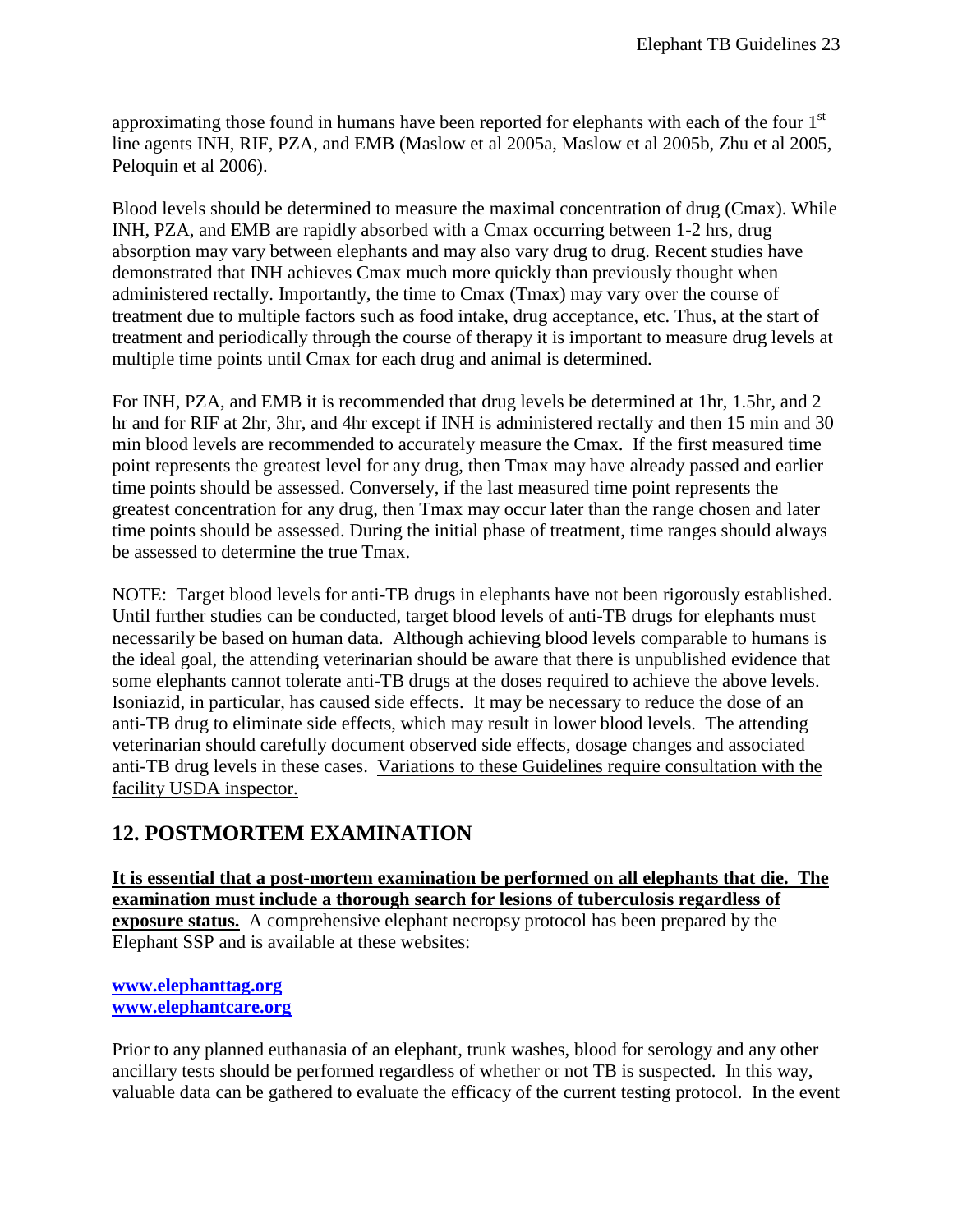approximating those found in humans have been reported for elephants with each of the four  $1<sup>st</sup>$ line agents INH, RIF, PZA, and EMB (Maslow et al 2005a, Maslow et al 2005b, Zhu et al 2005, Peloquin et al 2006).

Blood levels should be determined to measure the maximal concentration of drug (Cmax). While INH, PZA, and EMB are rapidly absorbed with a Cmax occurring between 1-2 hrs, drug absorption may vary between elephants and may also vary drug to drug. Recent studies have demonstrated that INH achieves Cmax much more quickly than previously thought when administered rectally. Importantly, the time to Cmax (Tmax) may vary over the course of treatment due to multiple factors such as food intake, drug acceptance, etc. Thus, at the start of treatment and periodically through the course of therapy it is important to measure drug levels at multiple time points until Cmax for each drug and animal is determined.

For INH, PZA, and EMB it is recommended that drug levels be determined at 1hr, 1.5hr, and 2 hr and for RIF at 2hr, 3hr, and 4hr except if INH is administered rectally and then 15 min and 30 min blood levels are recommended to accurately measure the Cmax. If the first measured time point represents the greatest level for any drug, then Tmax may have already passed and earlier time points should be assessed. Conversely, if the last measured time point represents the greatest concentration for any drug, then Tmax may occur later than the range chosen and later time points should be assessed. During the initial phase of treatment, time ranges should always be assessed to determine the true Tmax.

NOTE: Target blood levels for anti-TB drugs in elephants have not been rigorously established. Until further studies can be conducted, target blood levels of anti-TB drugs for elephants must necessarily be based on human data. Although achieving blood levels comparable to humans is the ideal goal, the attending veterinarian should be aware that there is unpublished evidence that some elephants cannot tolerate anti-TB drugs at the doses required to achieve the above levels. Isoniazid, in particular, has caused side effects. It may be necessary to reduce the dose of an anti-TB drug to eliminate side effects, which may result in lower blood levels. The attending veterinarian should carefully document observed side effects, dosage changes and associated anti-TB drug levels in these cases. Variations to these Guidelines require consultation with the facility USDA inspector.

## <span id="page-22-0"></span>**12. POSTMORTEM EXAMINATION**

**It is essential that a post-mortem examination be performed on all elephants that die. The examination must include a thorough search for lesions of tuberculosis regardless of exposure status.** A comprehensive elephant necropsy protocol has been prepared by the Elephant SSP and is available at these websites:

#### **[www.elephanttag.org](http://www.elephanttag.org/) [www.elephantcare.org](http://www.elephantcare.org/)**

Prior to any planned euthanasia of an elephant, trunk washes, blood for serology and any other ancillary tests should be performed regardless of whether or not TB is suspected. In this way, valuable data can be gathered to evaluate the efficacy of the current testing protocol. In the event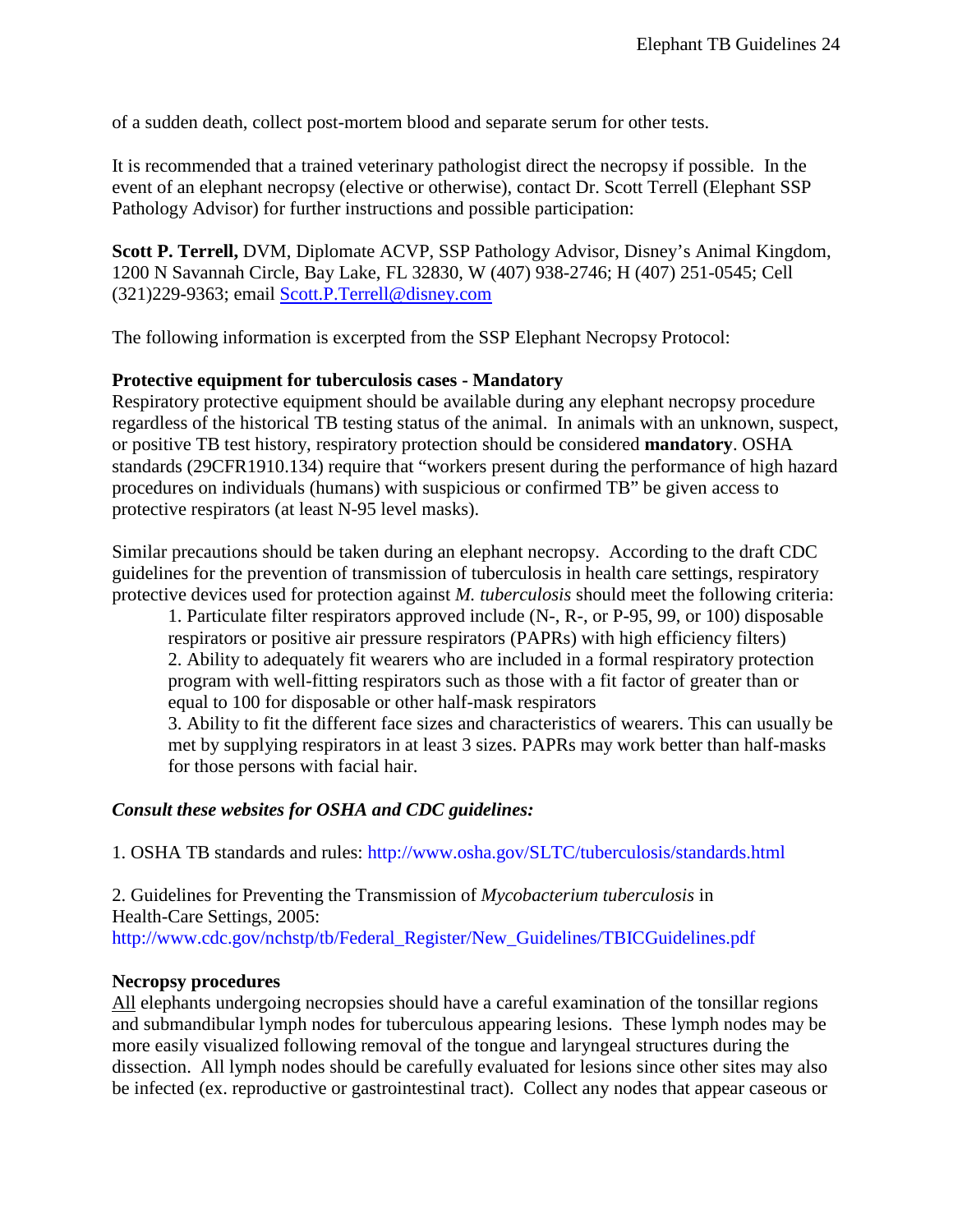of a sudden death, collect post-mortem blood and separate serum for other tests.

It is recommended that a trained veterinary pathologist direct the necropsy if possible. In the event of an elephant necropsy (elective or otherwise), contact Dr. Scott Terrell (Elephant SSP Pathology Advisor) for further instructions and possible participation:

**Scott P. Terrell,** DVM, Diplomate ACVP, SSP Pathology Advisor, Disney's Animal Kingdom, 1200 N Savannah Circle, Bay Lake, FL 32830, W (407) 938-2746; H (407) 251-0545; Cell (321)229-9363; email [Scott.P.Terrell@disney.com](mailto:Scott.P.Terrell@disney.com)

The following information is excerpted from the SSP Elephant Necropsy Protocol:

#### **Protective equipment for tuberculosis cases - Mandatory**

Respiratory protective equipment should be available during any elephant necropsy procedure regardless of the historical TB testing status of the animal. In animals with an unknown, suspect, or positive TB test history, respiratory protection should be considered **mandatory**. OSHA standards (29CFR1910.134) require that "workers present during the performance of high hazard procedures on individuals (humans) with suspicious or confirmed TB" be given access to protective respirators (at least N-95 level masks).

Similar precautions should be taken during an elephant necropsy. According to the draft CDC guidelines for the prevention of transmission of tuberculosis in health care settings, respiratory protective devices used for protection against *M. tuberculosis* should meet the following criteria:

1. Particulate filter respirators approved include (N-, R-, or P-95, 99, or 100) disposable respirators or positive air pressure respirators (PAPRs) with high efficiency filters) 2. Ability to adequately fit wearers who are included in a formal respiratory protection program with well-fitting respirators such as those with a fit factor of greater than or equal to 100 for disposable or other half-mask respirators

3. Ability to fit the different face sizes and characteristics of wearers. This can usually be met by supplying respirators in at least 3 sizes. PAPRs may work better than half-masks for those persons with facial hair.

#### *Consult these websites for OSHA and CDC guidelines:*

1. OSHA TB standards and rules: http://www.osha.gov/SLTC/tuberculosis/standards.html

2. Guidelines for Preventing the Transmission of *Mycobacterium tuberculosis* in Health-Care Settings, 2005: http://www.cdc.gov/nchstp/tb/Federal\_Register/New\_Guidelines/TBICGuidelines.pdf

#### **Necropsy procedures**

All elephants undergoing necropsies should have a careful examination of the tonsillar regions and submandibular lymph nodes for tuberculous appearing lesions. These lymph nodes may be more easily visualized following removal of the tongue and laryngeal structures during the dissection. All lymph nodes should be carefully evaluated for lesions since other sites may also be infected (ex. reproductive or gastrointestinal tract). Collect any nodes that appear caseous or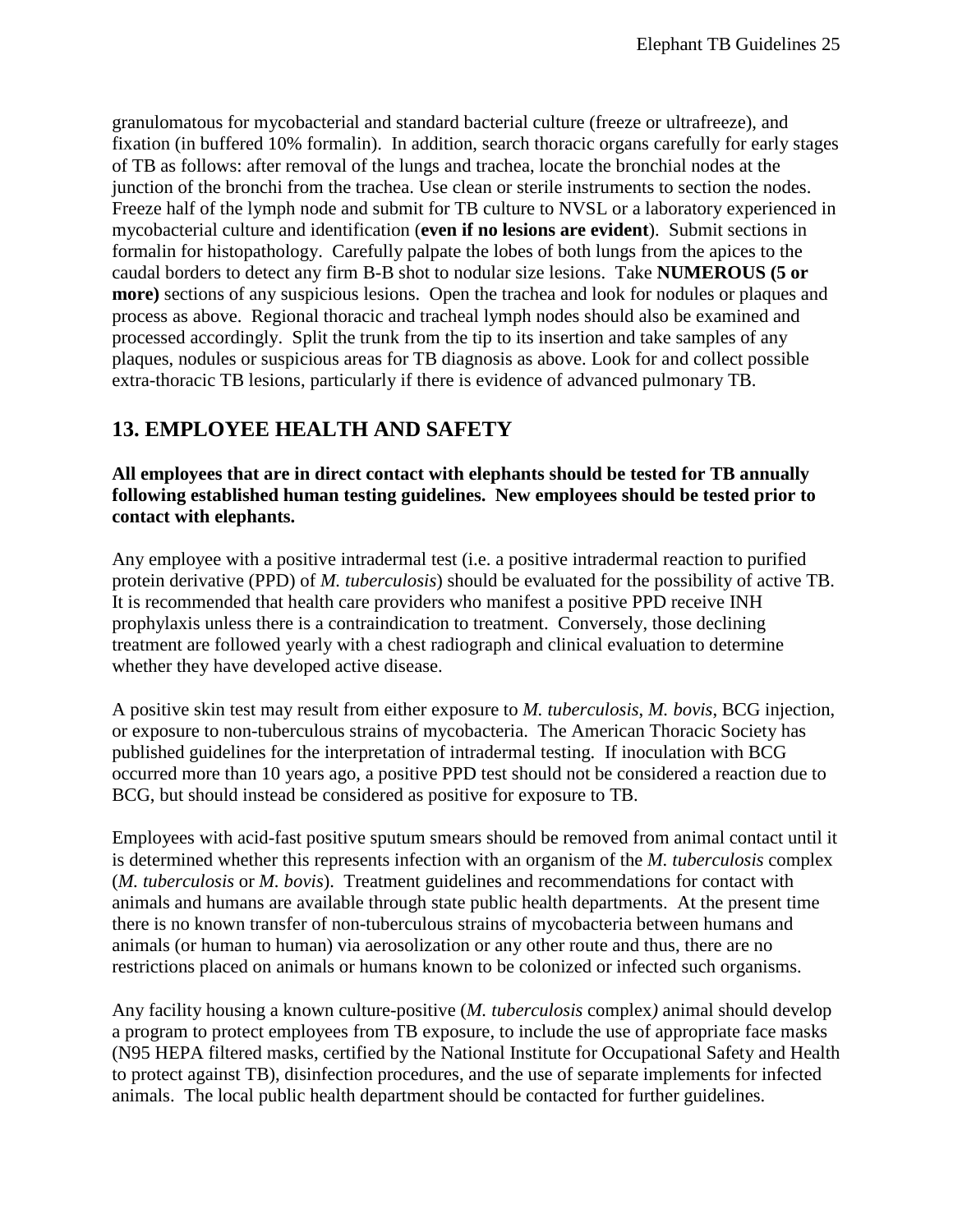granulomatous for mycobacterial and standard bacterial culture (freeze or ultrafreeze), and fixation (in buffered 10% formalin). In addition, search thoracic organs carefully for early stages of TB as follows: after removal of the lungs and trachea, locate the bronchial nodes at the junction of the bronchi from the trachea. Use clean or sterile instruments to section the nodes. Freeze half of the lymph node and submit for TB culture to NVSL or a laboratory experienced in mycobacterial culture and identification (**even if no lesions are evident**). Submit sections in formalin for histopathology. Carefully palpate the lobes of both lungs from the apices to the caudal borders to detect any firm B-B shot to nodular size lesions. Take **NUMEROUS (5 or more)** sections of any suspicious lesions. Open the trachea and look for nodules or plaques and process as above. Regional thoracic and tracheal lymph nodes should also be examined and processed accordingly. Split the trunk from the tip to its insertion and take samples of any plaques, nodules or suspicious areas for TB diagnosis as above. Look for and collect possible extra-thoracic TB lesions, particularly if there is evidence of advanced pulmonary TB.

## <span id="page-24-0"></span>**13. EMPLOYEE HEALTH AND SAFETY**

**All employees that are in direct contact with elephants should be tested for TB annually following established human testing guidelines. New employees should be tested prior to contact with elephants.**

Any employee with a positive intradermal test (i.e. a positive intradermal reaction to purified protein derivative (PPD) of *M. tuberculosis*) should be evaluated for the possibility of active TB. It is recommended that health care providers who manifest a positive PPD receive INH prophylaxis unless there is a contraindication to treatment. Conversely, those declining treatment are followed yearly with a chest radiograph and clinical evaluation to determine whether they have developed active disease.

A positive skin test may result from either exposure to *M. tuberculosis*, *M. bovis*, BCG injection, or exposure to non-tuberculous strains of mycobacteria. The American Thoracic Society has published guidelines for the interpretation of intradermal testing. If inoculation with BCG occurred more than 10 years ago, a positive PPD test should not be considered a reaction due to BCG, but should instead be considered as positive for exposure to TB.

Employees with acid-fast positive sputum smears should be removed from animal contact until it is determined whether this represents infection with an organism of the *M. tuberculosis* complex (*M. tuberculosis* or *M. bovis*). Treatment guidelines and recommendations for contact with animals and humans are available through state public health departments. At the present time there is no known transfer of non-tuberculous strains of mycobacteria between humans and animals (or human to human) via aerosolization or any other route and thus, there are no restrictions placed on animals or humans known to be colonized or infected such organisms.

Any facility housing a known culture-positive (*M. tuberculosis* complex*)* animal should develop a program to protect employees from TB exposure, to include the use of appropriate face masks (N95 HEPA filtered masks, certified by the National Institute for Occupational Safety and Health to protect against TB), disinfection procedures, and the use of separate implements for infected animals. The local public health department should be contacted for further guidelines.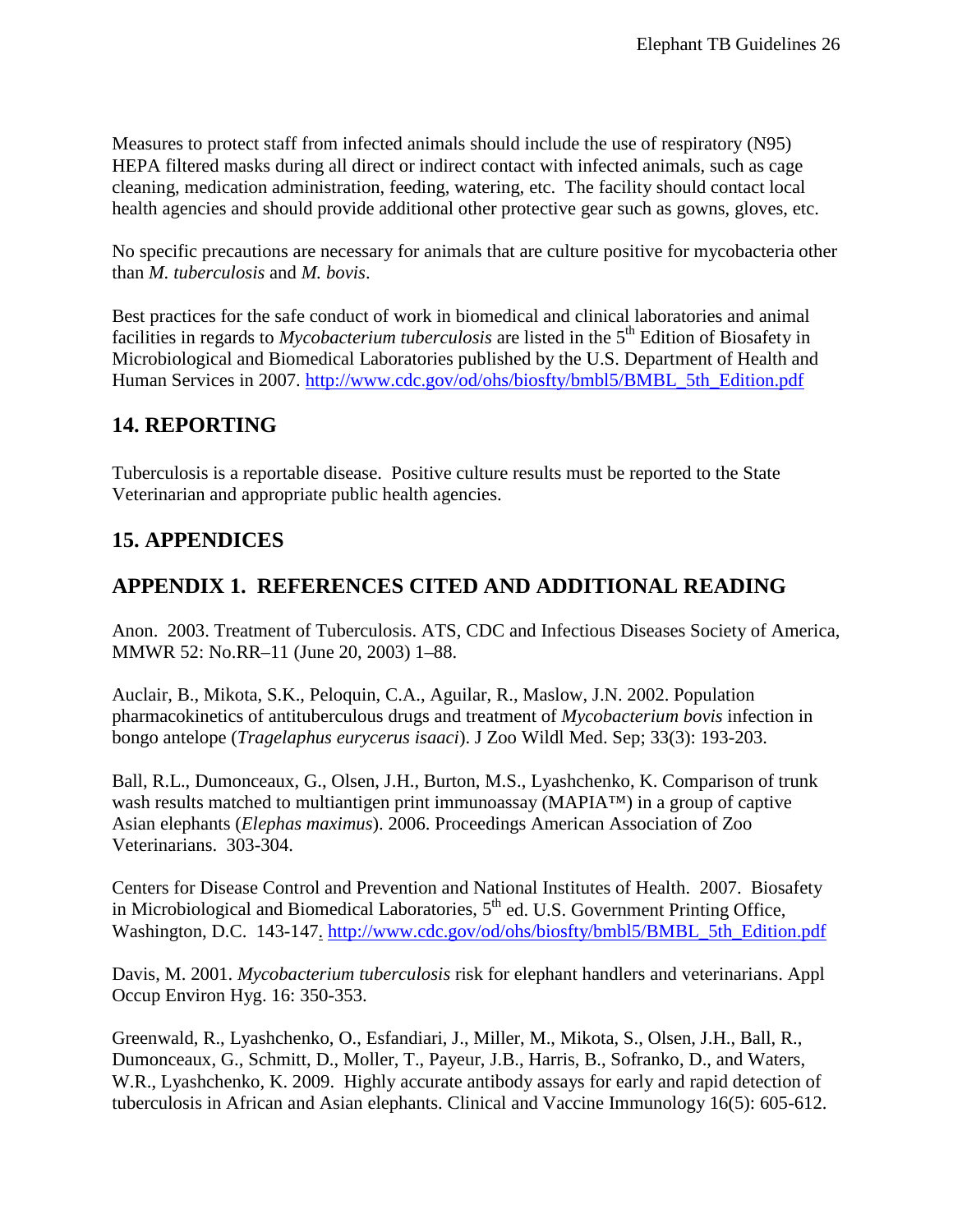Measures to protect staff from infected animals should include the use of respiratory (N95) HEPA filtered masks during all direct or indirect contact with infected animals, such as cage cleaning, medication administration, feeding, watering, etc. The facility should contact local health agencies and should provide additional other protective gear such as gowns, gloves, etc.

No specific precautions are necessary for animals that are culture positive for mycobacteria other than *M. tuberculosis* and *M. bovis*.

Best practices for the safe conduct of work in biomedical and clinical laboratories and animal facilities in regards to *Mycobacterium tuberculosis* are listed in the 5<sup>th</sup> Edition of Biosafety in Microbiological and Biomedical Laboratories published by the U.S. Department of Health and Human Services in 2007. [http://www.cdc.gov/od/ohs/biosfty/bmbl5/BMBL\\_5th\\_Edition.pdf](http://www.cdc.gov/od/ohs/biosfty/bmbl5/BMBL_5th_Edition.pdf)

## <span id="page-25-0"></span>**14. REPORTING**

Tuberculosis is a reportable disease. Positive culture results must be reported to the State Veterinarian and appropriate public health agencies.

## <span id="page-25-1"></span>**15. APPENDICES**

## <span id="page-25-2"></span>**APPENDIX 1. REFERENCES CITED AND ADDITIONAL READING**

Anon. 2003. Treatment of Tuberculosis. ATS, CDC and Infectious Diseases Society of America, MMWR 52: No.RR–11 (June 20, 2003) 1–88.

Auclair, B., Mikota, S.K., Peloquin, C.A., Aguilar, R., Maslow, J.N. 2002. Population pharmacokinetics of antituberculous drugs and treatment of *Mycobacterium bovis* infection in bongo antelope (*Tragelaphus eurycerus isaaci*). J Zoo Wildl Med. Sep; 33(3): 193-203.

Ball, R.L., Dumonceaux, G., Olsen, J.H., Burton, M.S., Lyashchenko, K. Comparison of trunk wash results matched to multiantigen print immunoassay (MAPIA™) in a group of captive Asian elephants (*Elephas maximus*). 2006. Proceedings American Association of Zoo Veterinarians. 303-304.

Centers for Disease Control and Prevention and National Institutes of Health. 2007. Biosafety in Microbiological and Biomedical Laboratories,  $5<sup>th</sup>$  ed. U.S. Government Printing Office, Washington, D.C. 143-147. [http://www.cdc.gov/od/ohs/biosfty/bmbl5/BMBL\\_5th\\_Edition.pdf](http://www.cdc.gov/od/ohs/biosfty/bmbl5/BMBL_5th_Edition.pdf)

Davis, M. 2001. *Mycobacterium tuberculosis* risk for elephant handlers and veterinarians. Appl Occup Environ Hyg. 16: 350-353.

Greenwald, R., Lyashchenko, O., Esfandiari, J., Miller, M., Mikota, S., Olsen, J.H., Ball, R., Dumonceaux, G., Schmitt, D., Moller, T., Payeur, J.B., Harris, B., Sofranko, D., and Waters, W.R., Lyashchenko, K. 2009. Highly accurate antibody assays for early and rapid detection of tuberculosis in African and Asian elephants. Clinical and Vaccine Immunology 16(5): 605-612.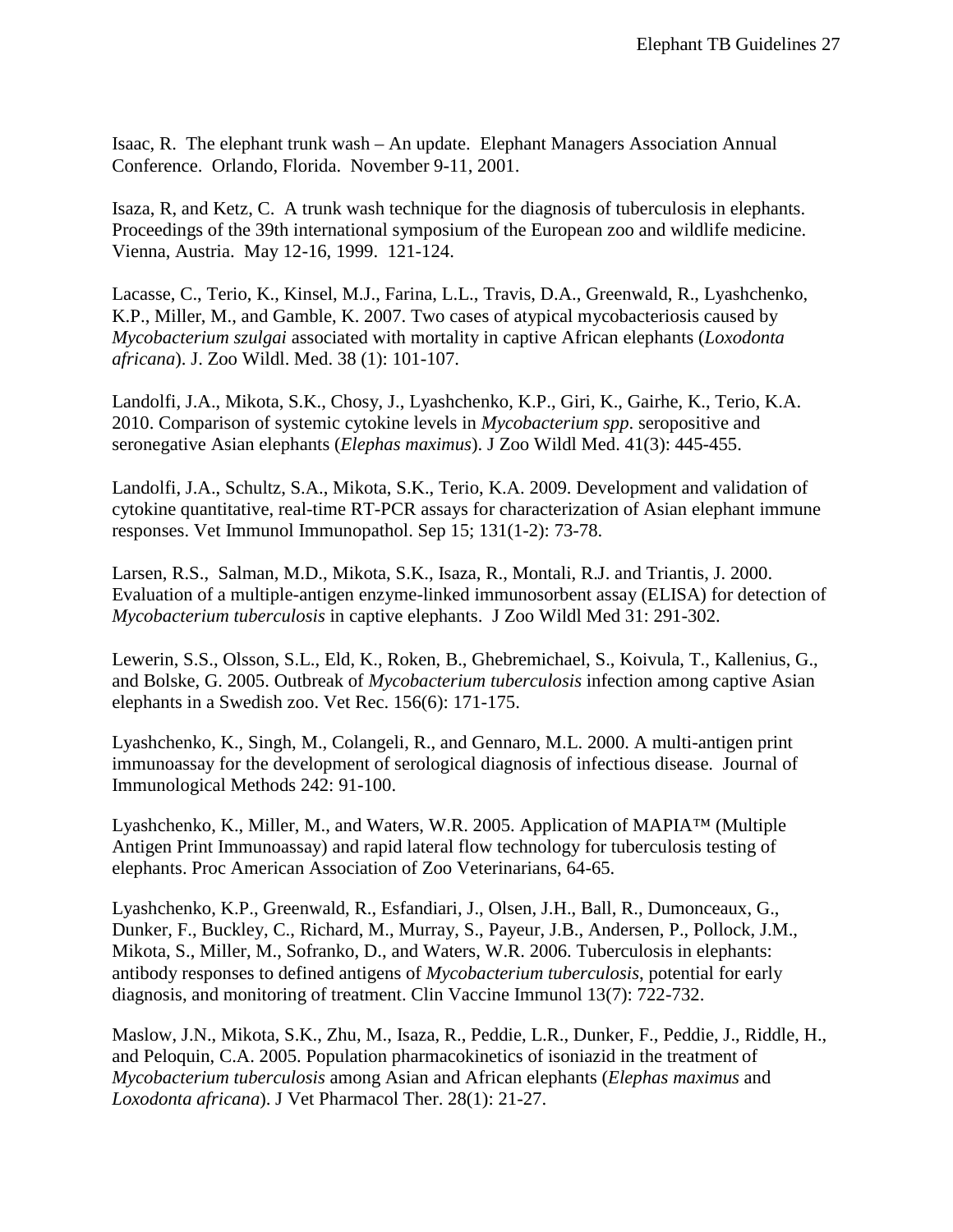Isaac, R. The elephant trunk wash – An update. Elephant Managers Association Annual Conference. Orlando, Florida. November 9-11, 2001.

Isaza, R, and Ketz, C. A trunk wash technique for the diagnosis of tuberculosis in elephants. Proceedings of the 39th international symposium of the European zoo and wildlife medicine. Vienna, Austria. May 12-16, 1999. 121-124.

Lacasse, C., Terio, K., Kinsel, M.J., Farina, L.L., Travis, D.A., Greenwald, R., Lyashchenko, K.P., Miller, M., and Gamble, K. 2007. Two cases of atypical mycobacteriosis caused by *Mycobacterium szulgai* associated with mortality in captive African elephants (*Loxodonta africana*). J. Zoo Wildl. Med. 38 (1): 101-107.

Landolfi, J.A., Mikota, S.K., Chosy, J., Lyashchenko, K.P., Giri, K., Gairhe, K., Terio, K.A. 2010. Comparison of systemic cytokine levels in *Mycobacterium spp*. seropositive and seronegative Asian elephants (*Elephas maximus*). J Zoo Wildl Med. 41(3): 445-455.

Landolfi, J.A., Schultz, S.A., Mikota, S.K., Terio, K.A. 2009. Development and validation of cytokine quantitative, real-time RT-PCR assays for characterization of Asian elephant immune responses. Vet Immunol Immunopathol. Sep 15; 131(1-2): 73-78.

Larsen, R.S., Salman, M.D., Mikota, S.K., Isaza, R., Montali, R.J. and Triantis, J. 2000. Evaluation of a multiple-antigen enzyme-linked immunosorbent assay (ELISA) for detection of *Mycobacterium tuberculosis* in captive elephants. J Zoo Wildl Med 31: 291-302.

Lewerin, S.S., Olsson, S.L., Eld, K., Roken, B., Ghebremichael, S., Koivula, T., Kallenius, G., and Bolske, G. 2005. Outbreak of *Mycobacterium tuberculosis* infection among captive Asian elephants in a Swedish zoo. Vet Rec. 156(6): 171-175.

Lyashchenko, K., Singh, M., Colangeli, R., and Gennaro, M.L. 2000. A multi-antigen print immunoassay for the development of serological diagnosis of infectious disease. Journal of Immunological Methods 242: 91-100.

Lyashchenko, K., Miller, M., and Waters, W.R. 2005. Application of MAPIA™ (Multiple Antigen Print Immunoassay) and rapid lateral flow technology for tuberculosis testing of elephants. Proc American Association of Zoo Veterinarians, 64-65.

Lyashchenko, K.P., Greenwald, R., Esfandiari, J., Olsen, J.H., Ball, R., Dumonceaux, G., Dunker, F., Buckley, C., Richard, M., Murray, S., Payeur, J.B., Andersen, P., Pollock, J.M., Mikota, S., Miller, M., Sofranko, D., and Waters, W.R. 2006. Tuberculosis in elephants: antibody responses to defined antigens of *Mycobacterium tuberculosis*, potential for early diagnosis, and monitoring of treatment. Clin Vaccine Immunol 13(7): 722-732.

Maslow, J.N., Mikota, S.K., Zhu, M., Isaza, R., Peddie, L.R., Dunker, F., Peddie, J., Riddle, H., and Peloquin, C.A. 2005. Population pharmacokinetics of isoniazid in the treatment of *Mycobacterium tuberculosis* among Asian and African elephants (*Elephas maximus* and *Loxodonta africana*). J Vet Pharmacol Ther. 28(1): 21-27.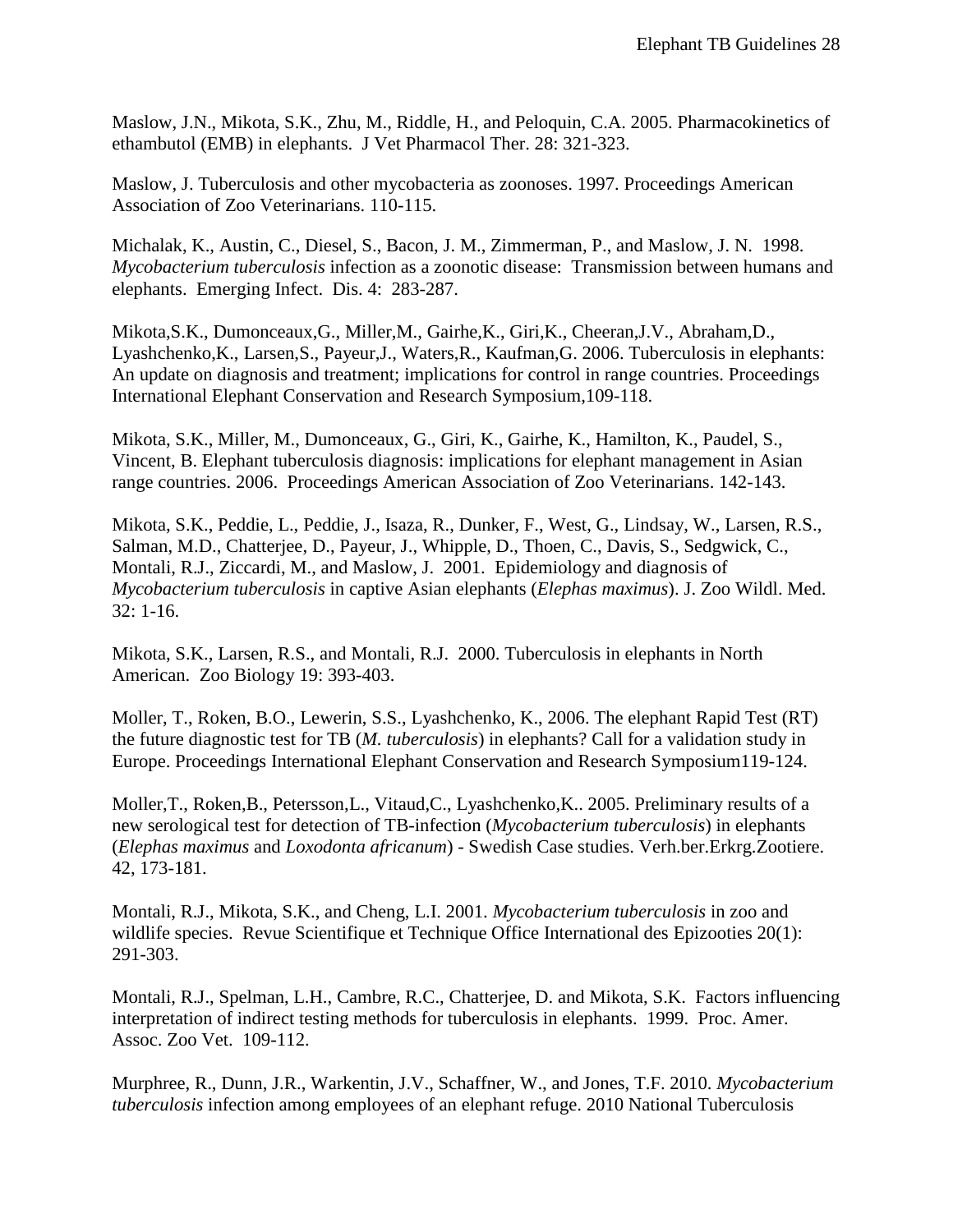Maslow, J.N., Mikota, S.K., Zhu, M., Riddle, H., and Peloquin, C.A. 2005. Pharmacokinetics of ethambutol (EMB) in elephants. J Vet Pharmacol Ther. 28: 321-323.

Maslow, J. Tuberculosis and other mycobacteria as zoonoses. 1997. Proceedings American Association of Zoo Veterinarians. 110-115.

Michalak, K., Austin, C., Diesel, S., Bacon, J. M., Zimmerman, P., and Maslow, J. N. 1998. *Mycobacterium tuberculosis* infection as a zoonotic disease: Transmission between humans and elephants. Emerging Infect. Dis. 4: 283-287.

Mikota,S.K., Dumonceaux,G., Miller,M., Gairhe,K., Giri,K., Cheeran,J.V., Abraham,D., Lyashchenko,K., Larsen,S., Payeur,J., Waters,R., Kaufman,G. 2006. Tuberculosis in elephants: An update on diagnosis and treatment; implications for control in range countries. Proceedings International Elephant Conservation and Research Symposium,109-118.

Mikota, S.K., Miller, M., Dumonceaux, G., Giri, K., Gairhe, K., Hamilton, K., Paudel, S., Vincent, B. Elephant tuberculosis diagnosis: implications for elephant management in Asian range countries. 2006. Proceedings American Association of Zoo Veterinarians. 142-143.

Mikota, S.K., Peddie, L., Peddie, J., Isaza, R., Dunker, F., West, G., Lindsay, W., Larsen, R.S., Salman, M.D., Chatterjee, D., Payeur, J., Whipple, D., Thoen, C., Davis, S., Sedgwick, C., Montali, R.J., Ziccardi, M., and Maslow, J. 2001. Epidemiology and diagnosis of *Mycobacterium tuberculosis* in captive Asian elephants (*Elephas maximus*). J. Zoo Wildl. Med. 32: 1-16.

Mikota, S.K., Larsen, R.S., and Montali, R.J. 2000. Tuberculosis in elephants in North American. Zoo Biology 19: 393-403.

Moller, T., Roken, B.O., Lewerin, S.S., Lyashchenko, K., 2006. The elephant Rapid Test (RT) the future diagnostic test for TB (*M. tuberculosis*) in elephants? Call for a validation study in Europe. Proceedings International Elephant Conservation and Research Symposium119-124.

Moller,T., Roken,B., Petersson,L., Vitaud,C., Lyashchenko,K.. 2005. Preliminary results of a new serological test for detection of TB-infection (*Mycobacterium tuberculosis*) in elephants (*Elephas maximus* and *Loxodonta africanum*) - Swedish Case studies. Verh.ber.Erkrg.Zootiere. 42, 173-181.

Montali, R.J., Mikota, S.K., and Cheng, L.I. 2001. *Mycobacterium tuberculosis* in zoo and wildlife species. Revue Scientifique et Technique Office International des Epizooties 20(1): 291-303.

Montali, R.J., Spelman, L.H., Cambre, R.C., Chatterjee, D. and Mikota, S.K. Factors influencing interpretation of indirect testing methods for tuberculosis in elephants. 1999. Proc. Amer. Assoc. Zoo Vet. 109-112.

Murphree, R., Dunn, J.R., Warkentin, J.V., Schaffner, W., and Jones, T.F. 2010. *Mycobacterium tuberculosis* infection among employees of an elephant refuge. 2010 National Tuberculosis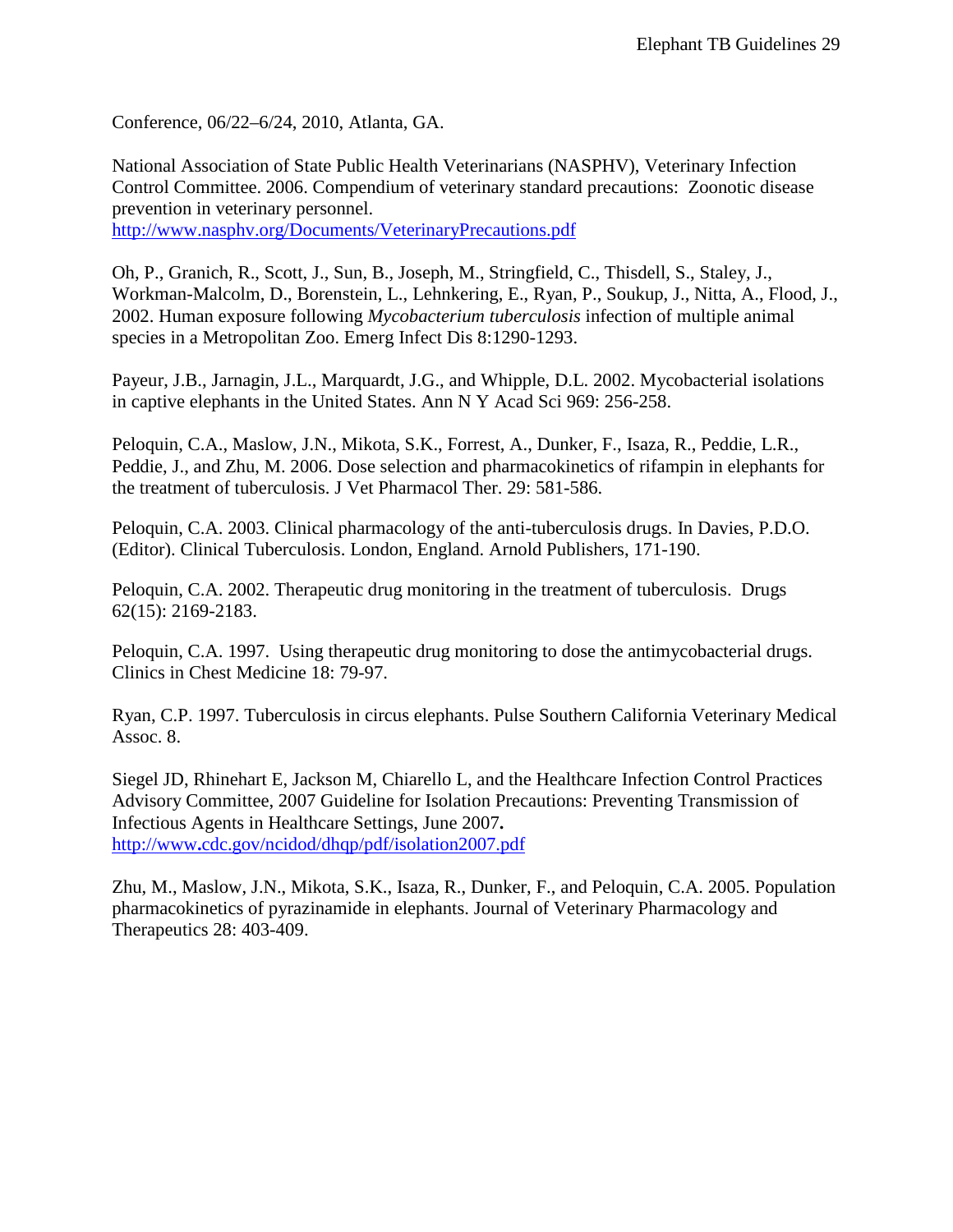Conference, 06/22–6/24, 2010, Atlanta, GA.

National Association of State Public Health Veterinarians (NASPHV), Veterinary Infection Control Committee. 2006. Compendium of veterinary standard precautions: Zoonotic disease prevention in veterinary personnel. <http://www.nasphv.org/Documents/VeterinaryPrecautions.pdf>

Oh, P., Granich, R., Scott, J., Sun, B., Joseph, M., Stringfield, C., Thisdell, S., Staley, J., Workman-Malcolm, D., Borenstein, L., Lehnkering, E., Ryan, P., Soukup, J., Nitta, A., Flood, J., 2002. Human exposure following *Mycobacterium tuberculosis* infection of multiple animal species in a Metropolitan Zoo. Emerg Infect Dis 8:1290-1293.

Payeur, J.B., Jarnagin, J.L., Marquardt, J.G., and Whipple, D.L. 2002. Mycobacterial isolations in captive elephants in the United States. Ann N Y Acad Sci 969: 256-258.

Peloquin, C.A., Maslow, J.N., Mikota, S.K., Forrest, A., Dunker, F., Isaza, R., Peddie, L.R., Peddie, J., and Zhu, M. 2006. Dose selection and pharmacokinetics of rifampin in elephants for the treatment of tuberculosis. J Vet Pharmacol Ther. 29: 581-586.

Peloquin, C.A. 2003. Clinical pharmacology of the anti-tuberculosis drugs. In Davies, P.D.O. (Editor). Clinical Tuberculosis. London, England. Arnold Publishers, 171-190.

Peloquin, C.A. 2002. Therapeutic drug monitoring in the treatment of tuberculosis. Drugs 62(15): 2169-2183.

Peloquin, C.A. 1997. Using therapeutic drug monitoring to dose the antimycobacterial drugs. Clinics in Chest Medicine 18: 79-97.

Ryan, C.P. 1997. Tuberculosis in circus elephants. Pulse Southern California Veterinary Medical Assoc. 8.

Siegel JD, Rhinehart E, Jackson M, Chiarello L, and the Healthcare Infection Control Practices Advisory Committee, 2007 Guideline for Isolation Precautions: Preventing Transmission of Infectious Agents in Healthcare Settings, June 2007**.** http://www**.**[cdc.gov/ncidod/dhqp/pdf/isolation2007.pdf](http://www.cdc.gov/ncidod/dhqp/pdf/isolation2007.pdf)

Zhu, M., Maslow, J.N., Mikota, S.K., Isaza, R., Dunker, F., and Peloquin, C.A. 2005. Population pharmacokinetics of pyrazinamide in elephants. Journal of Veterinary Pharmacology and Therapeutics 28: 403-409.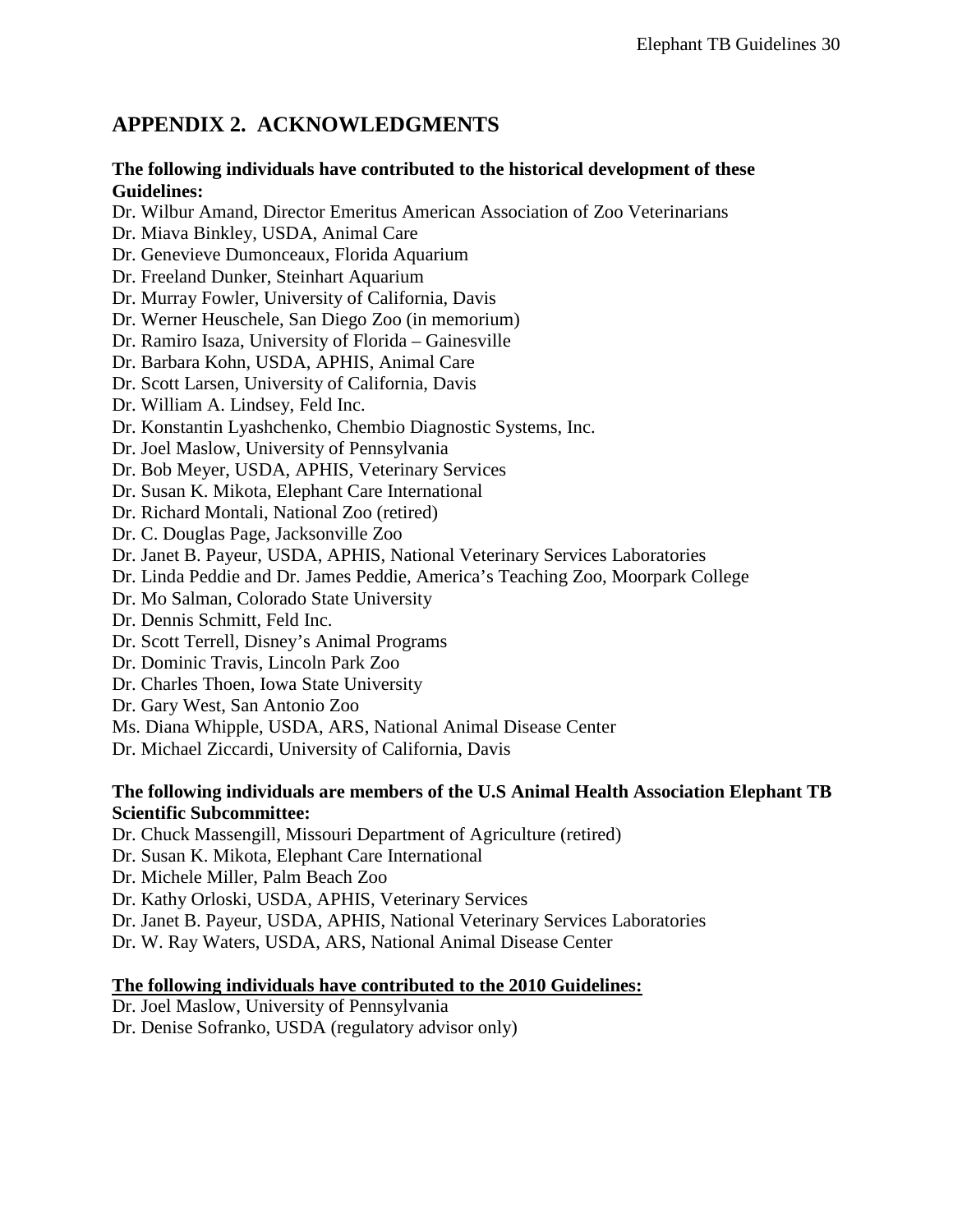# <span id="page-29-0"></span>**APPENDIX 2. ACKNOWLEDGMENTS**

#### **The following individuals have contributed to the historical development of these Guidelines:**

Dr. Wilbur Amand, Director Emeritus American Association of Zoo Veterinarians

Dr. Miava Binkley, USDA, Animal Care

Dr. Genevieve Dumonceaux, Florida Aquarium

Dr. Freeland Dunker, Steinhart Aquarium

Dr. Murray Fowler, University of California, Davis

Dr. Werner Heuschele, San Diego Zoo (in memorium)

Dr. Ramiro Isaza, University of Florida – Gainesville

Dr. Barbara Kohn, USDA, APHIS, Animal Care

Dr. Scott Larsen, University of California, Davis

Dr. William A. Lindsey, Feld Inc.

Dr. Konstantin Lyashchenko, Chembio Diagnostic Systems, Inc.

Dr. Joel Maslow, University of Pennsylvania

Dr. Bob Meyer, USDA, APHIS, Veterinary Services

Dr. Susan K. Mikota, Elephant Care International

Dr. Richard Montali, National Zoo (retired)

Dr. C. Douglas Page, Jacksonville Zoo

Dr. Janet B. Payeur, USDA, APHIS, National Veterinary Services Laboratories

Dr. Linda Peddie and Dr. James Peddie, America's Teaching Zoo, Moorpark College

Dr. Mo Salman, Colorado State University

Dr. Dennis Schmitt, Feld Inc.

Dr. Scott Terrell, Disney's Animal Programs

Dr. Dominic Travis, Lincoln Park Zoo

Dr. Charles Thoen, Iowa State University

Dr. Gary West, San Antonio Zoo

Ms. Diana Whipple, USDA, ARS, National Animal Disease Center

Dr. Michael Ziccardi, University of California, Davis

### **The following individuals are members of the U.S Animal Health Association Elephant TB Scientific Subcommittee:**

Dr. Chuck Massengill, Missouri Department of Agriculture (retired)

Dr. Susan K. Mikota, Elephant Care International

Dr. Michele Miller, Palm Beach Zoo

Dr. Kathy Orloski, USDA, APHIS, Veterinary Services

Dr. Janet B. Payeur, USDA, APHIS, National Veterinary Services Laboratories

Dr. W. Ray Waters, USDA, ARS, National Animal Disease Center

### **The following individuals have contributed to the 2010 Guidelines:**

Dr. Joel Maslow, University of Pennsylvania

Dr. Denise Sofranko, USDA (regulatory advisor only)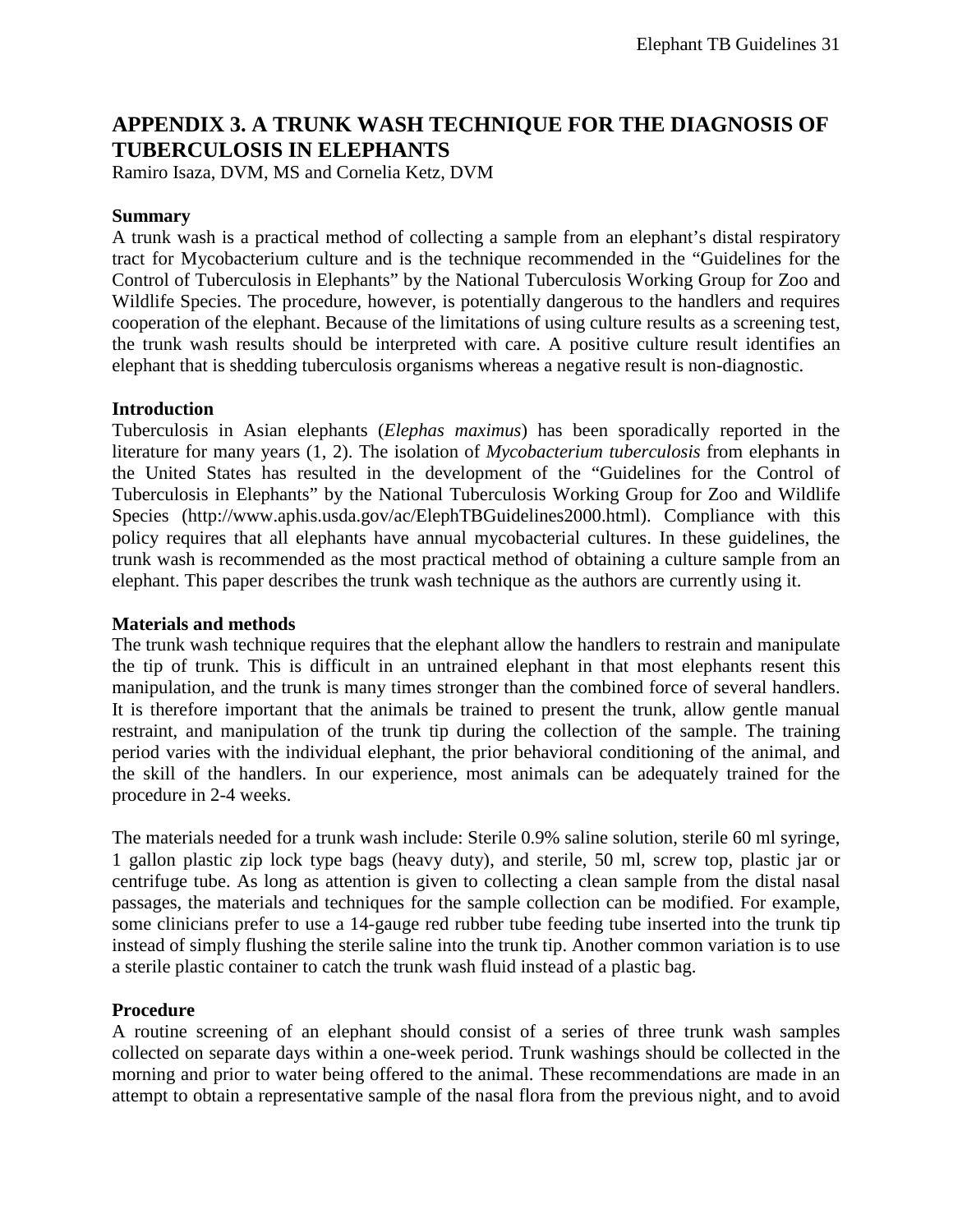## <span id="page-30-0"></span>**APPENDIX 3. A TRUNK WASH TECHNIQUE FOR THE DIAGNOSIS OF TUBERCULOSIS IN ELEPHANTS**

Ramiro Isaza, DVM, MS and Cornelia Ketz, DVM

#### **Summary**

A trunk wash is a practical method of collecting a sample from an elephant's distal respiratory tract for Mycobacterium culture and is the technique recommended in the "Guidelines for the Control of Tuberculosis in Elephants" by the National Tuberculosis Working Group for Zoo and Wildlife Species. The procedure, however, is potentially dangerous to the handlers and requires cooperation of the elephant. Because of the limitations of using culture results as a screening test, the trunk wash results should be interpreted with care. A positive culture result identifies an elephant that is shedding tuberculosis organisms whereas a negative result is non-diagnostic.

#### **Introduction**

Tuberculosis in Asian elephants (*Elephas maximus*) has been sporadically reported in the literature for many years (1, 2). The isolation of *Mycobacterium tuberculosis* from elephants in the United States has resulted in the development of the "Guidelines for the Control of Tuberculosis in Elephants" by the National Tuberculosis Working Group for Zoo and Wildlife Species (http://www.aphis.usda.gov/ac/ElephTBGuidelines2000.html). Compliance with this policy requires that all elephants have annual mycobacterial cultures. In these guidelines, the trunk wash is recommended as the most practical method of obtaining a culture sample from an elephant. This paper describes the trunk wash technique as the authors are currently using it.

#### **Materials and methods**

The trunk wash technique requires that the elephant allow the handlers to restrain and manipulate the tip of trunk. This is difficult in an untrained elephant in that most elephants resent this manipulation, and the trunk is many times stronger than the combined force of several handlers. It is therefore important that the animals be trained to present the trunk, allow gentle manual restraint, and manipulation of the trunk tip during the collection of the sample. The training period varies with the individual elephant, the prior behavioral conditioning of the animal, and the skill of the handlers. In our experience, most animals can be adequately trained for the procedure in 2-4 weeks.

The materials needed for a trunk wash include: Sterile 0.9% saline solution, sterile 60 ml syringe, 1 gallon plastic zip lock type bags (heavy duty), and sterile, 50 ml, screw top, plastic jar or centrifuge tube. As long as attention is given to collecting a clean sample from the distal nasal passages, the materials and techniques for the sample collection can be modified. For example, some clinicians prefer to use a 14-gauge red rubber tube feeding tube inserted into the trunk tip instead of simply flushing the sterile saline into the trunk tip. Another common variation is to use a sterile plastic container to catch the trunk wash fluid instead of a plastic bag.

#### **Procedure**

A routine screening of an elephant should consist of a series of three trunk wash samples collected on separate days within a one-week period. Trunk washings should be collected in the morning and prior to water being offered to the animal. These recommendations are made in an attempt to obtain a representative sample of the nasal flora from the previous night, and to avoid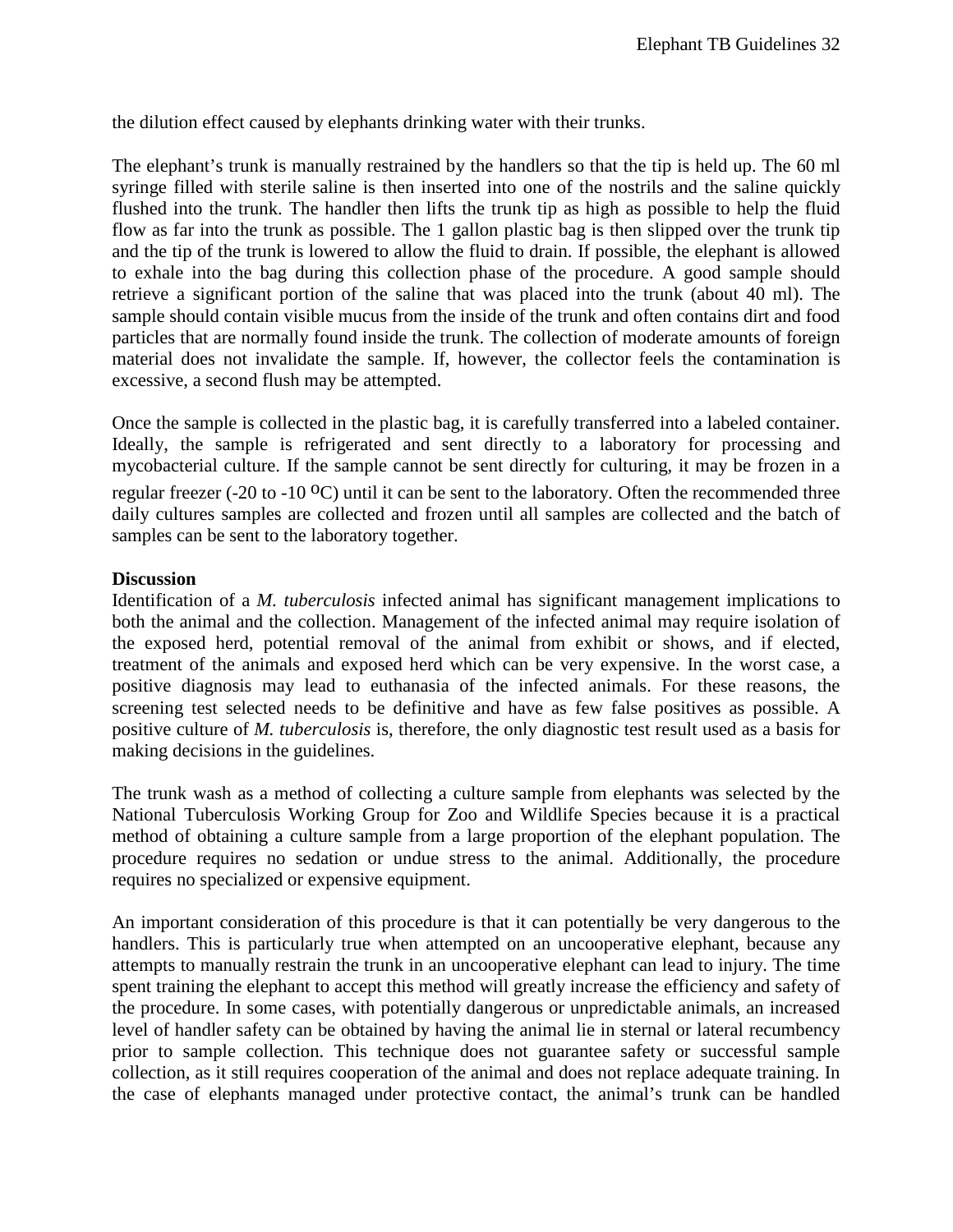the dilution effect caused by elephants drinking water with their trunks.

The elephant's trunk is manually restrained by the handlers so that the tip is held up. The 60 ml syringe filled with sterile saline is then inserted into one of the nostrils and the saline quickly flushed into the trunk. The handler then lifts the trunk tip as high as possible to help the fluid flow as far into the trunk as possible. The 1 gallon plastic bag is then slipped over the trunk tip and the tip of the trunk is lowered to allow the fluid to drain. If possible, the elephant is allowed to exhale into the bag during this collection phase of the procedure. A good sample should retrieve a significant portion of the saline that was placed into the trunk (about 40 ml). The sample should contain visible mucus from the inside of the trunk and often contains dirt and food particles that are normally found inside the trunk. The collection of moderate amounts of foreign material does not invalidate the sample. If, however, the collector feels the contamination is excessive, a second flush may be attempted.

Once the sample is collected in the plastic bag, it is carefully transferred into a labeled container. Ideally, the sample is refrigerated and sent directly to a laboratory for processing and mycobacterial culture. If the sample cannot be sent directly for culturing, it may be frozen in a regular freezer (-20 to -10  $^{\circ}$ C) until it can be sent to the laboratory. Often the recommended three daily cultures samples are collected and frozen until all samples are collected and the batch of samples can be sent to the laboratory together.

#### **Discussion**

Identification of a *M. tuberculosis* infected animal has significant management implications to both the animal and the collection. Management of the infected animal may require isolation of the exposed herd, potential removal of the animal from exhibit or shows, and if elected, treatment of the animals and exposed herd which can be very expensive. In the worst case, a positive diagnosis may lead to euthanasia of the infected animals. For these reasons, the screening test selected needs to be definitive and have as few false positives as possible. A positive culture of *M. tuberculosis* is, therefore, the only diagnostic test result used as a basis for making decisions in the guidelines.

The trunk wash as a method of collecting a culture sample from elephants was selected by the National Tuberculosis Working Group for Zoo and Wildlife Species because it is a practical method of obtaining a culture sample from a large proportion of the elephant population. The procedure requires no sedation or undue stress to the animal. Additionally, the procedure requires no specialized or expensive equipment.

An important consideration of this procedure is that it can potentially be very dangerous to the handlers. This is particularly true when attempted on an uncooperative elephant, because any attempts to manually restrain the trunk in an uncooperative elephant can lead to injury. The time spent training the elephant to accept this method will greatly increase the efficiency and safety of the procedure. In some cases, with potentially dangerous or unpredictable animals, an increased level of handler safety can be obtained by having the animal lie in sternal or lateral recumbency prior to sample collection. This technique does not guarantee safety or successful sample collection, as it still requires cooperation of the animal and does not replace adequate training. In the case of elephants managed under protective contact, the animal's trunk can be handled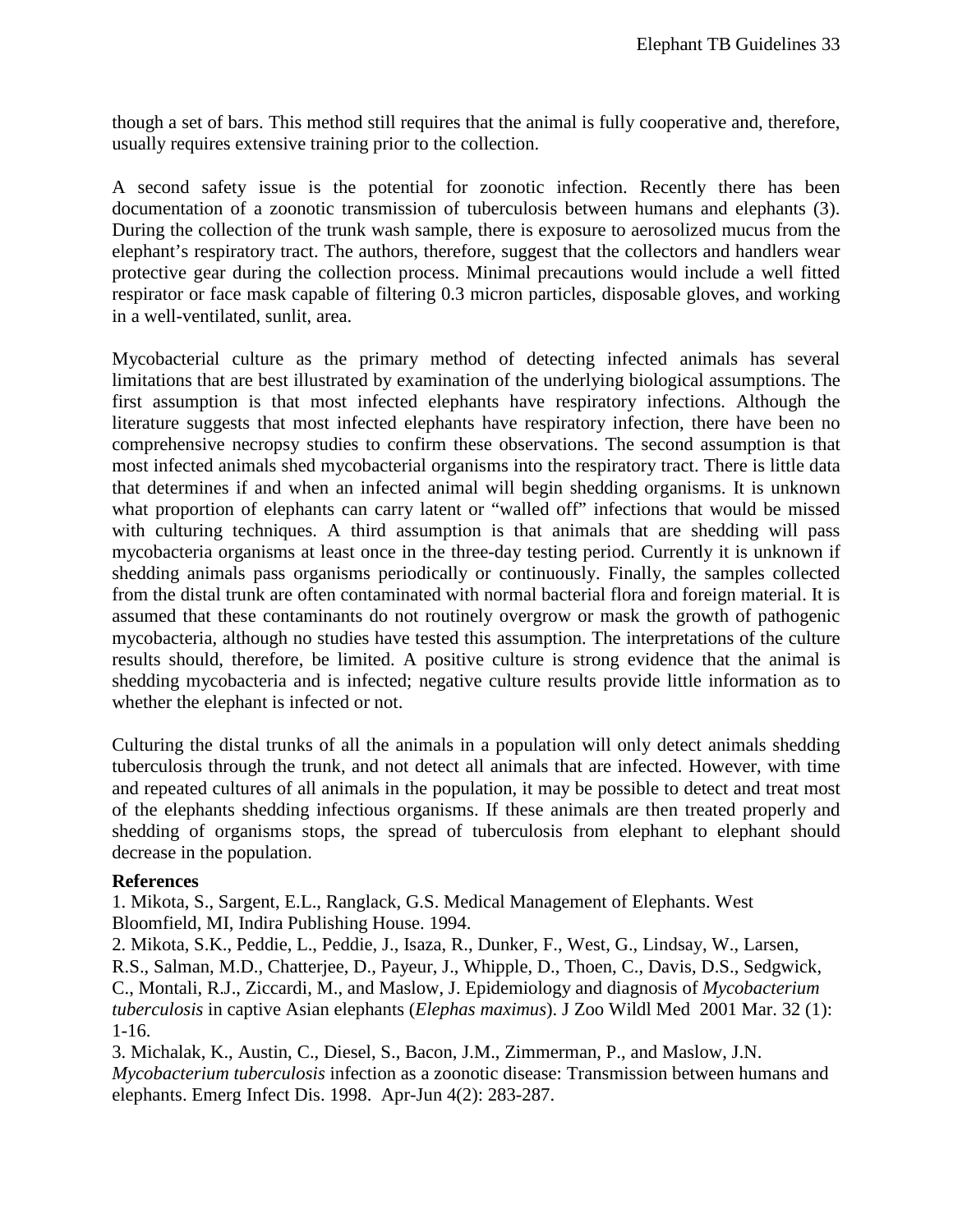though a set of bars. This method still requires that the animal is fully cooperative and, therefore, usually requires extensive training prior to the collection.

A second safety issue is the potential for zoonotic infection. Recently there has been documentation of a zoonotic transmission of tuberculosis between humans and elephants (3). During the collection of the trunk wash sample, there is exposure to aerosolized mucus from the elephant's respiratory tract. The authors, therefore, suggest that the collectors and handlers wear protective gear during the collection process. Minimal precautions would include a well fitted respirator or face mask capable of filtering 0.3 micron particles, disposable gloves, and working in a well-ventilated, sunlit, area.

Mycobacterial culture as the primary method of detecting infected animals has several limitations that are best illustrated by examination of the underlying biological assumptions. The first assumption is that most infected elephants have respiratory infections. Although the literature suggests that most infected elephants have respiratory infection, there have been no comprehensive necropsy studies to confirm these observations. The second assumption is that most infected animals shed mycobacterial organisms into the respiratory tract. There is little data that determines if and when an infected animal will begin shedding organisms. It is unknown what proportion of elephants can carry latent or "walled off" infections that would be missed with culturing techniques. A third assumption is that animals that are shedding will pass mycobacteria organisms at least once in the three-day testing period. Currently it is unknown if shedding animals pass organisms periodically or continuously. Finally, the samples collected from the distal trunk are often contaminated with normal bacterial flora and foreign material. It is assumed that these contaminants do not routinely overgrow or mask the growth of pathogenic mycobacteria, although no studies have tested this assumption. The interpretations of the culture results should, therefore, be limited. A positive culture is strong evidence that the animal is shedding mycobacteria and is infected; negative culture results provide little information as to whether the elephant is infected or not.

Culturing the distal trunks of all the animals in a population will only detect animals shedding tuberculosis through the trunk, and not detect all animals that are infected. However, with time and repeated cultures of all animals in the population, it may be possible to detect and treat most of the elephants shedding infectious organisms. If these animals are then treated properly and shedding of organisms stops, the spread of tuberculosis from elephant to elephant should decrease in the population.

#### **References**

1. Mikota, S., Sargent, E.L., Ranglack, G.S. Medical Management of Elephants. West Bloomfield, MI, Indira Publishing House. 1994.

2. Mikota, S.K., Peddie, L., Peddie, J., Isaza, R., Dunker, F., West, G., Lindsay, W., Larsen, R.S., Salman, M.D., Chatterjee, D., Payeur, J., Whipple, D., Thoen, C., Davis, D.S., Sedgwick, C., Montali, R.J., Ziccardi, M., and Maslow, J. Epidemiology and diagnosis of *Mycobacterium tuberculosis* in captive Asian elephants (*Elephas maximus*). J Zoo Wildl Med 2001 Mar. 32 (1): 1-16.

3. Michalak, K., Austin, C., Diesel, S., Bacon, J.M., Zimmerman, P., and Maslow, J.N. *Mycobacterium tuberculosis* infection as a zoonotic disease: Transmission between humans and elephants. Emerg Infect Dis. 1998. Apr-Jun 4(2): 283-287.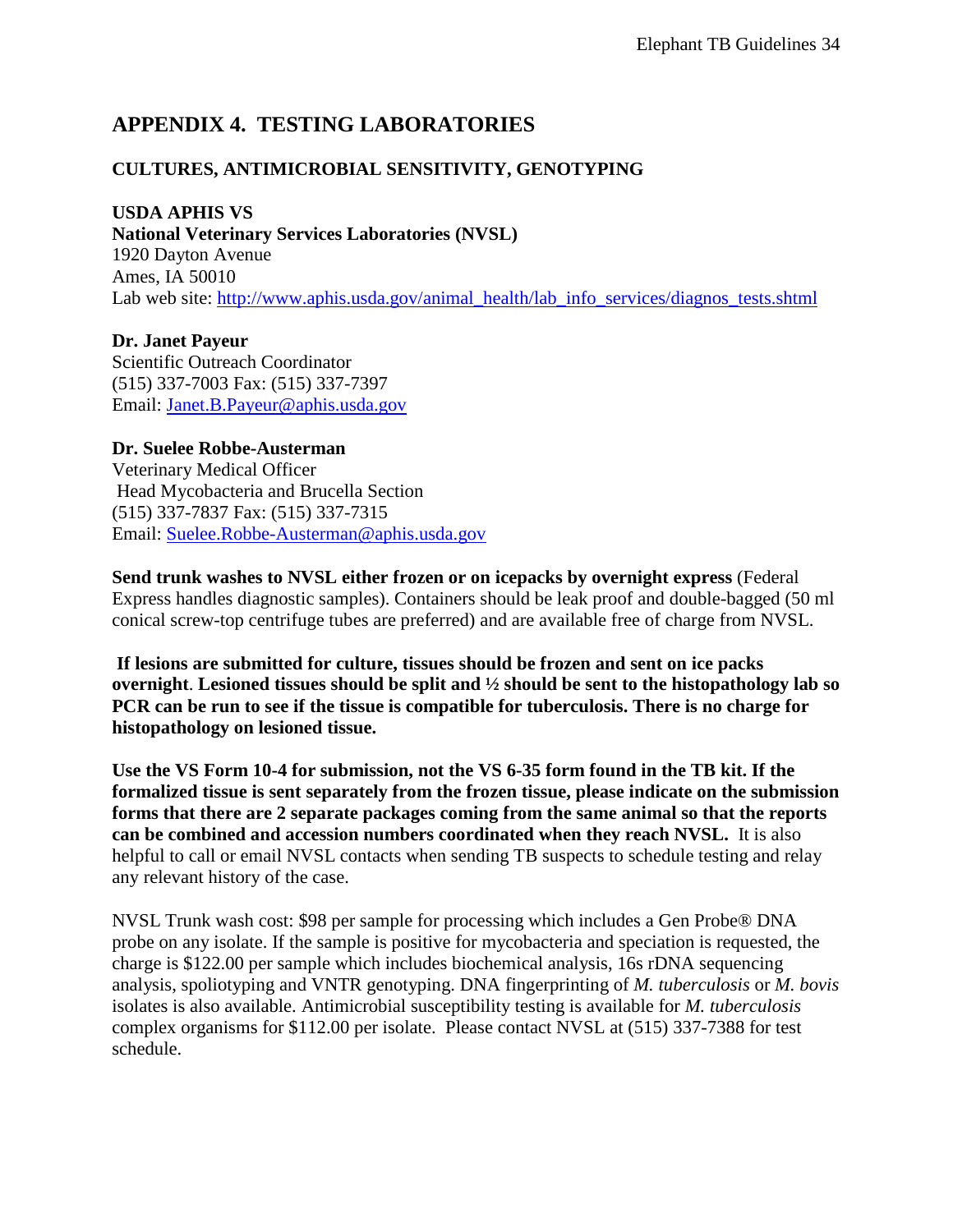## <span id="page-33-0"></span>**APPENDIX 4. TESTING LABORATORIES**

## **CULTURES, ANTIMICROBIAL SENSITIVITY, GENOTYPING**

### **USDA APHIS VS**

**National Veterinary Services Laboratories (NVSL)**  1920 Dayton Avenue Ames, IA 50010 Lab web site: [http://www.aphis.usda.gov/animal\\_health/lab\\_info\\_services/diagnos\\_tests.shtml](http://www.aphis.usda.gov/animal_health/lab_info_services/diagnos_tests.shtml)

**Dr. Janet Payeur**  Scientific Outreach Coordinator (515) 337-7003 Fax: (515) 337-7397 Email: [Janet.B.Payeur@aphis.usda.gov](mailto:Janet.B.Payeur@aphis.usda.gov)

**Dr. Suelee Robbe-Austerman** Veterinary Medical Officer Head Mycobacteria and Brucella Section (515) 337-7837 Fax: (515) 337-7315 Email: [Suelee.Robbe-Austerman@aphis.usda.gov](mailto:Suelee.Robbe-Austerman@aphis.usda.gov)

**Send trunk washes to NVSL either frozen or on icepacks by overnight express** (Federal Express handles diagnostic samples). Containers should be leak proof and double-bagged (50 ml conical screw-top centrifuge tubes are preferred) and are available free of charge from NVSL.

**If lesions are submitted for culture, tissues should be frozen and sent on ice packs overnight**. **Lesioned tissues should be split and ½ should be sent to the histopathology lab so PCR can be run to see if the tissue is compatible for tuberculosis. There is no charge for histopathology on lesioned tissue.** 

**Use the VS Form 10-4 for submission, not the VS 6-35 form found in the TB kit. If the formalized tissue is sent separately from the frozen tissue, please indicate on the submission forms that there are 2 separate packages coming from the same animal so that the reports can be combined and accession numbers coordinated when they reach NVSL.** It is also helpful to call or email NVSL contacts when sending TB suspects to schedule testing and relay any relevant history of the case.

NVSL Trunk wash cost: \$98 per sample for processing which includes a Gen Probe® DNA probe on any isolate. If the sample is positive for mycobacteria and speciation is requested, the charge is \$122.00 per sample which includes biochemical analysis, 16s rDNA sequencing analysis, spoliotyping and VNTR genotyping. DNA fingerprinting of *M. tuberculosis* or *M. bovis* isolates is also available. Antimicrobial susceptibility testing is available for *M. tuberculosis*  complex organisms for \$112.00 per isolate. Please contact NVSL at (515) 337-7388 for test schedule.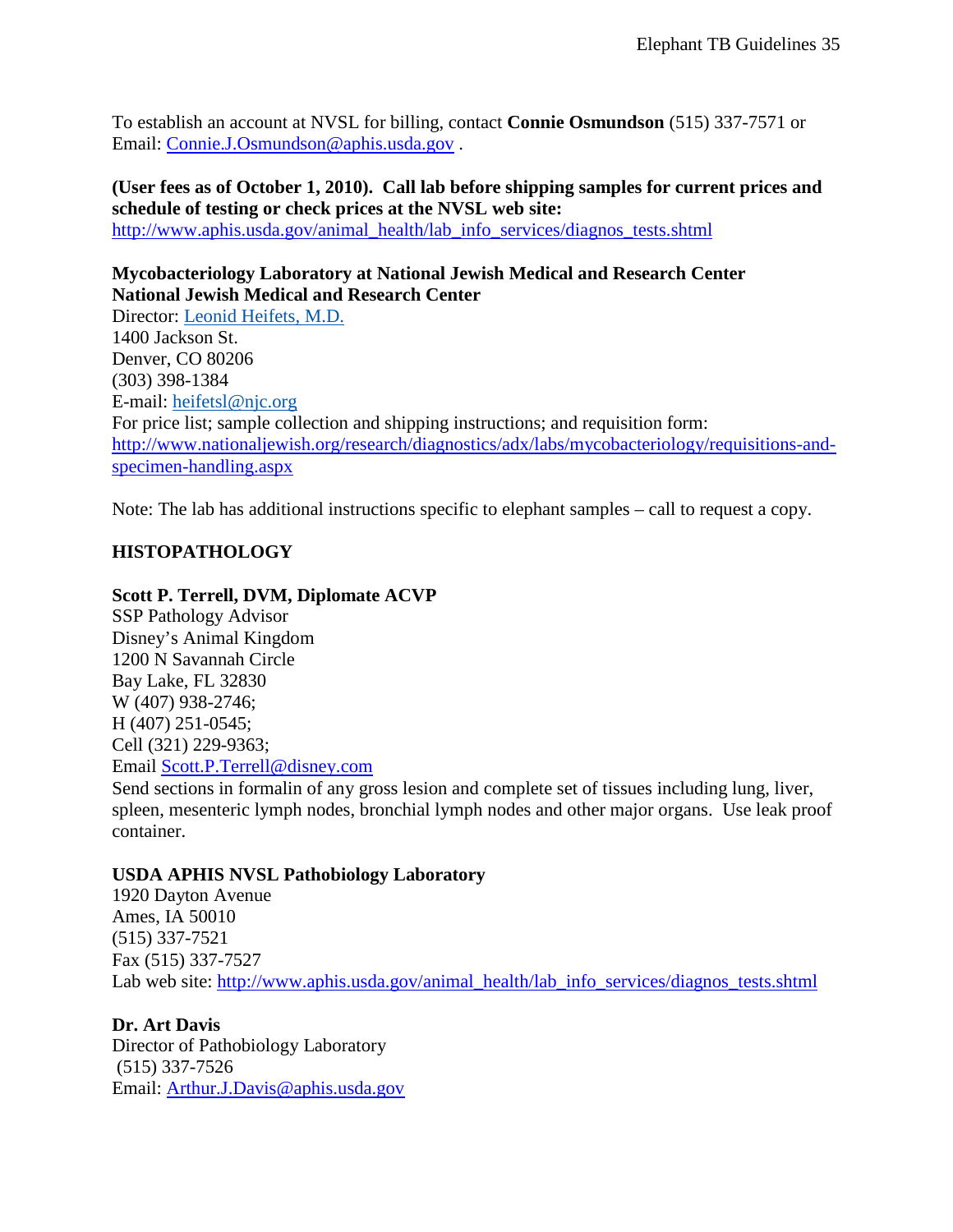To establish an account at NVSL for billing, contact **Connie Osmundson** (515) 337-7571 or Email: [Connie.J.Osmundson@aphis.usda.gov](mailto:Connie.J.Osmundson@aphis.usda.gov) .

## **(User fees as of October 1, 2010). Call lab before shipping samples for current prices and schedule of testing or check prices at the NVSL web site:**

[http://www.aphis.usda.gov/animal\\_health/lab\\_info\\_services/diagnos\\_tests.shtml](http://www.aphis.usda.gov/animal_health/lab_info_services/diagnos_tests.shtml)

## **Mycobacteriology Laboratory at National Jewish Medical and Research Center National Jewish Medical and Research Center**

Director: [Leonid Heifets, M.D.](http://www.nationaljewish.org/about/phys-fac/detail.aspx?doctorID=89) 1400 Jackson St. Denver, CO 80206 (303) 398-1384 E-mail: [heifetsl@njc.org](mailto:heifetsl@njc.org) For price list; sample collection and shipping instructions; and requisition form: [http://www.nationaljewish.org/research/diagnostics/adx/labs/mycobacteriology/requisitions-and](http://www.nationaljewish.org/research/diagnostics/adx/labs/mycobacteriology/requisitions-and-specimen-handling.aspx)[specimen-handling.aspx](http://www.nationaljewish.org/research/diagnostics/adx/labs/mycobacteriology/requisitions-and-specimen-handling.aspx)

Note: The lab has additional instructions specific to elephant samples – call to request a copy.

## **HISTOPATHOLOGY**

### **Scott P. Terrell, DVM, Diplomate ACVP**

SSP Pathology Advisor Disney's Animal Kingdom 1200 N Savannah Circle Bay Lake, FL 32830 W (407) 938-2746; H (407) 251-0545; Cell (321) 229-9363; Email [Scott.P.Terrell@disney.com](mailto:Scott.P.Terrell@disney.com)

Send sections in formalin of any gross lesion and complete set of tissues including lung, liver, spleen, mesenteric lymph nodes, bronchial lymph nodes and other major organs. Use leak proof container.

#### **USDA APHIS NVSL Pathobiology Laboratory**

1920 Dayton Avenue Ames, IA 50010 (515) 337-7521 Fax (515) 337-7527 Lab web site: [http://www.aphis.usda.gov/animal\\_health/lab\\_info\\_services/diagnos\\_tests.shtml](http://www.aphis.usda.gov/animal_health/lab_info_services/diagnos_tests.shtml)

### **Dr. Art Davis**

Director of Pathobiology Laboratory (515) 337-7526 Email: [Arthur.J.Davis@aphis.usda.gov](mailto:Arthur.J.Davis@aphis.usda.gov)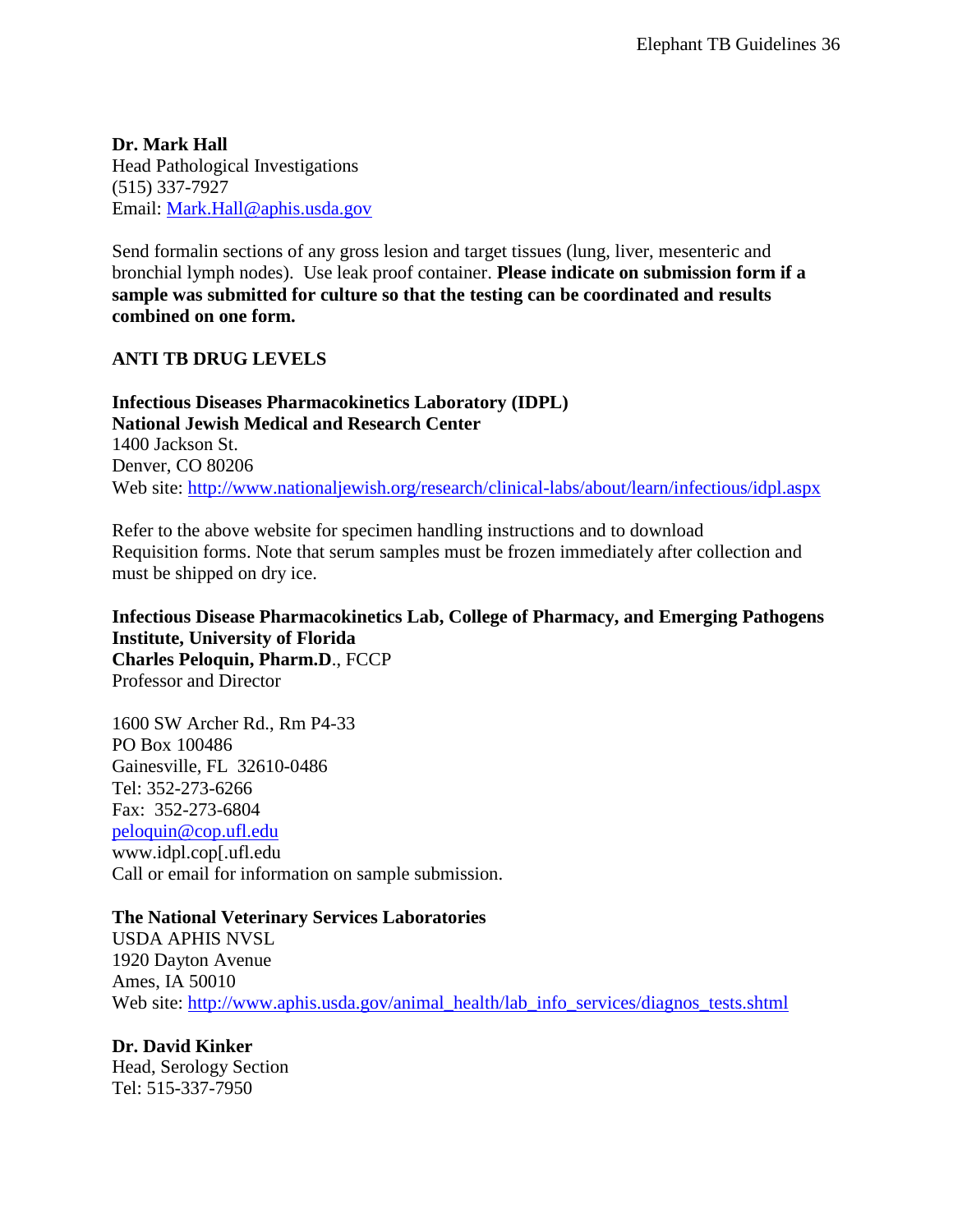**Dr. Mark Hall** Head Pathological Investigations (515) 337-7927 Email: [Mark.Hall@aphis.usda.gov](mailto:Mark.Hall@aphis.usda.gov)

Send formalin sections of any gross lesion and target tissues (lung, liver, mesenteric and bronchial lymph nodes). Use leak proof container. **Please indicate on submission form if a sample was submitted for culture so that the testing can be coordinated and results combined on one form.**

### **ANTI TB DRUG LEVELS**

**Infectious Diseases Pharmacokinetics Laboratory (IDPL) National Jewish Medical and Research Center** 1400 Jackson St. Denver, CO 80206 Web site:<http://www.nationaljewish.org/research/clinical-labs/about/learn/infectious/idpl.aspx>

Refer to the above website for specimen handling instructions and to download Requisition forms. Note that serum samples must be frozen immediately after collection and must be shipped on dry ice.

**Infectious Disease Pharmacokinetics Lab, College of Pharmacy, and Emerging Pathogens Institute, University of Florida Charles Peloquin, Pharm.D**., FCCP Professor and Director

1600 SW Archer Rd., Rm P4-33 PO Box 100486 Gainesville, FL 32610-0486 Tel: 352-273-6266 Fax: 352-273-6804 [peloquin@cop.ufl.edu](mailto:peloquin@cop.ufl.edu) www.idpl.cop[.ufl.edu Call or email for information on sample submission.

### **The National Veterinary Services Laboratories**

USDA APHIS NVSL 1920 Dayton Avenue Ames, IA 50010 Web site: [http://www.aphis.usda.gov/animal\\_health/lab\\_info\\_services/diagnos\\_tests.shtml](http://www.aphis.usda.gov/animal_health/lab_info_services/diagnos_tests.shtml)

**Dr. David Kinker** Head, Serology Section Tel: 515-337-7950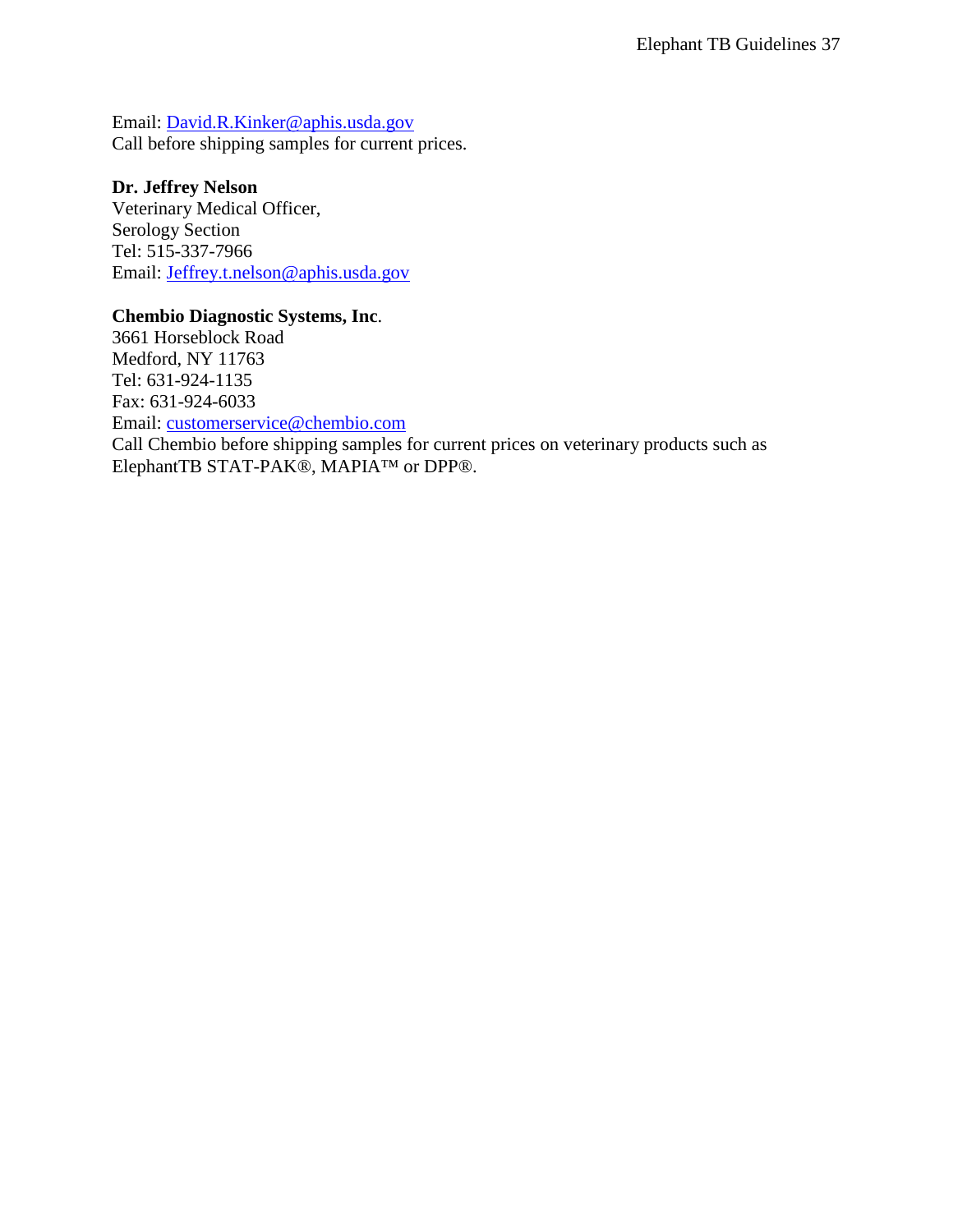Email: [David.R.Kinker@aphis.usda.gov](mailto:David.R.Kinker@aphis.usda.gov) Call before shipping samples for current prices.

#### **Dr. Jeffrey Nelson**

Veterinary Medical Officer, Serology Section Tel: 515-337-7966 Email: [Jeffrey.t.nelson@aphis.usda.gov](mailto:Jeffrey.t.nelson@aphis.usda.gov)

#### **Chembio Diagnostic Systems, Inc**.

<span id="page-36-0"></span>3661 Horseblock Road Medford, NY 11763 Tel: 631-924-1135 Fax: 631-924-6033 Email: [customerservice@chembio.com](mailto:customerservice@chembio.com) Call Chembio before shipping samples for current prices on veterinary products such as ElephantTB STAT-PAK®, MAPIA™ or DPP®.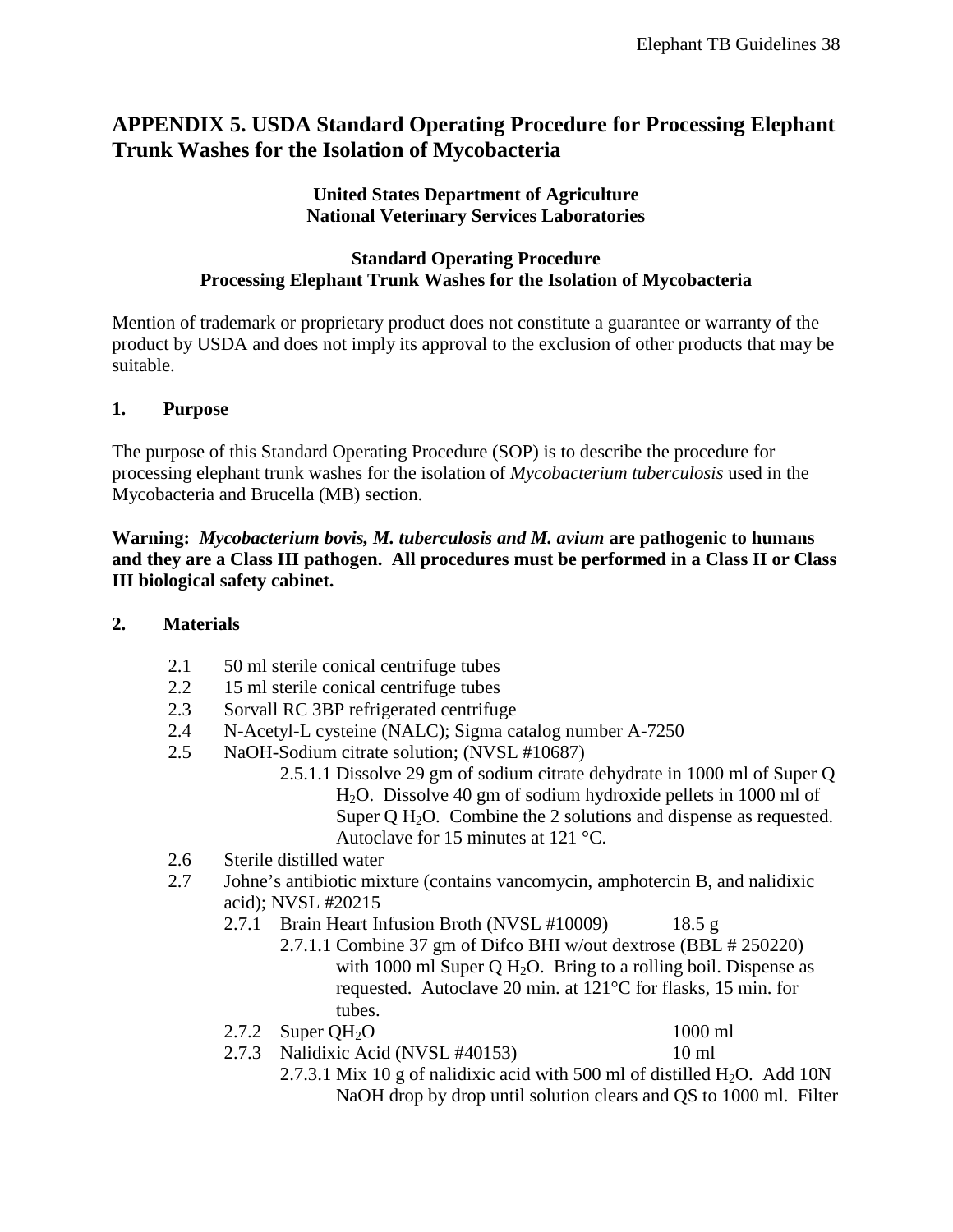## **APPENDIX 5. USDA Standard Operating Procedure for Processing Elephant Trunk Washes for the Isolation of Mycobacteria**

### **United States Department of Agriculture National Veterinary Services Laboratories**

### **Standard Operating Procedure Processing Elephant Trunk Washes for the Isolation of Mycobacteria**

Mention of trademark or proprietary product does not constitute a guarantee or warranty of the product by USDA and does not imply its approval to the exclusion of other products that may be suitable.

### **1. Purpose**

The purpose of this Standard Operating Procedure (SOP) is to describe the procedure for processing elephant trunk washes for the isolation of *Mycobacterium tuberculosis* used in the Mycobacteria and Brucella (MB) section.

### **Warning:** *Mycobacterium bovis, M. tuberculosis and M. avium* **are pathogenic to humans and they are a Class III pathogen. All procedures must be performed in a Class II or Class III biological safety cabinet.**

### **2. Materials**

- 2.1 50 ml sterile conical centrifuge tubes
- 2.2 15 ml sterile conical centrifuge tubes
- 2.3 Sorvall RC 3BP refrigerated centrifuge
- 2.4 N-Acetyl-L cysteine (NALC); Sigma catalog number A-7250
- 2.5 NaOH-Sodium citrate solution; (NVSL #10687)
	- 2.5.1.1 Dissolve 29 gm of sodium citrate dehydrate in 1000 ml of Super Q H2O. Dissolve 40 gm of sodium hydroxide pellets in 1000 ml of Super  $O$  H<sub>2</sub>O. Combine the 2 solutions and dispense as requested. Autoclave for 15 minutes at 121 °C.
- 2.6 Sterile distilled water
- 2.7 Johne's antibiotic mixture (contains vancomycin, amphotercin B, and nalidixic acid); NVSL #20215
	- 2.7.1 Brain Heart Infusion Broth (NVSL #10009) 18.5 g
		- 2.7.1.1 Combine 37 gm of Difco BHI w/out dextrose (BBL # 250220) with 1000 ml Super Q  $H<sub>2</sub>O$ . Bring to a rolling boil. Dispense as requested. Autoclave 20 min. at 121°C for flasks, 15 min. for tubes.
	- $2.7.2$  Super OH<sub>2</sub>O 1000 ml

2.7.3 Nalidixic Acid (NVSL #40153) 10 ml 2.7.3.1 Mix 10 g of nalidixic acid with 500 ml of distilled  $H_2O$ . Add 10N NaOH drop by drop until solution clears and QS to 1000 ml. Filter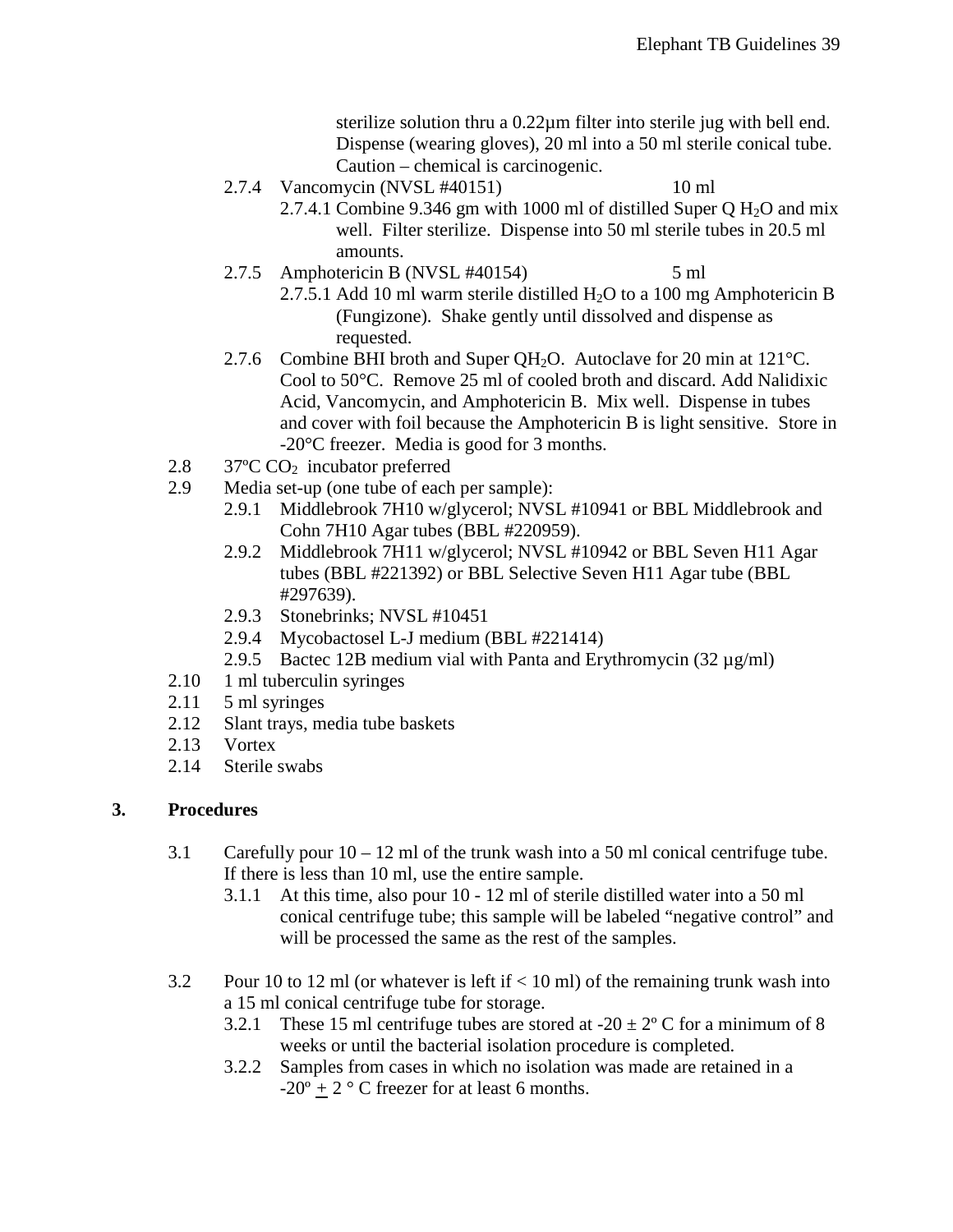sterilize solution thru a 0.22µm filter into sterile jug with bell end. Dispense (wearing gloves), 20 ml into a 50 ml sterile conical tube. Caution – chemical is carcinogenic.

- 2.7.4 Vancomycin (NVSL #40151) 10 ml
	- 2.7.4.1 Combine 9.346 gm with 1000 ml of distilled Super Q  $H_2O$  and mix well. Filter sterilize. Dispense into 50 ml sterile tubes in 20.5 ml amounts.
- 2.7.5 Amphotericin B (NVSL #40154) 5 ml
	- 2.7.5.1 Add 10 ml warm sterile distilled  $H_2O$  to a 100 mg Amphotericin B (Fungizone). Shake gently until dissolved and dispense as requested.
- 2.7.6 Combine BHI broth and Super QH<sub>2</sub>O. Autoclave for 20 min at 121 $^{\circ}$ C. Cool to 50°C. Remove 25 ml of cooled broth and discard. Add Nalidixic Acid, Vancomycin, and Amphotericin B. Mix well. Dispense in tubes and cover with foil because the Amphotericin B is light sensitive. Store in -20°C freezer. Media is good for 3 months.
- 2.8 37°C CO<sub>2</sub> incubator preferred<br>2.9 Media set-up (one tube of each
- Media set-up (one tube of each per sample):
	- 2.9.1 Middlebrook 7H10 w/glycerol; NVSL #10941 or BBL Middlebrook and Cohn 7H10 Agar tubes (BBL #220959).
	- 2.9.2 Middlebrook 7H11 w/glycerol; NVSL #10942 or BBL Seven H11 Agar tubes (BBL #221392) or BBL Selective Seven H11 Agar tube (BBL #297639).
	- 2.9.3 Stonebrinks; NVSL #10451
	- 2.9.4 Mycobactosel L-J medium (BBL #221414)
	- 2.9.5 Bactec 12B medium vial with Panta and Erythromycin  $(32 \mu g/ml)$
- 2.10 1 ml tuberculin syringes
- 2.11 5 ml syringes
- 2.12 Slant trays, media tube baskets
- 2.13 Vortex
- 2.14 Sterile swabs

### **3. Procedures**

- 3.1 Carefully pour  $10 12$  ml of the trunk wash into a 50 ml conical centrifuge tube. If there is less than 10 ml, use the entire sample.
	- 3.1.1 At this time, also pour 10 12 ml of sterile distilled water into a 50 ml conical centrifuge tube; this sample will be labeled "negative control" and will be processed the same as the rest of the samples.
- 3.2 Pour 10 to 12 ml (or whatever is left if < 10 ml) of the remaining trunk wash into a 15 ml conical centrifuge tube for storage.
	- 3.2.1 These 15 ml centrifuge tubes are stored at  $-20 \pm 2^{\circ}$  C for a minimum of 8 weeks or until the bacterial isolation procedure is completed.
	- 3.2.2 Samples from cases in which no isolation was made are retained in a  $-20^\circ + 2^\circ$  C freezer for at least 6 months.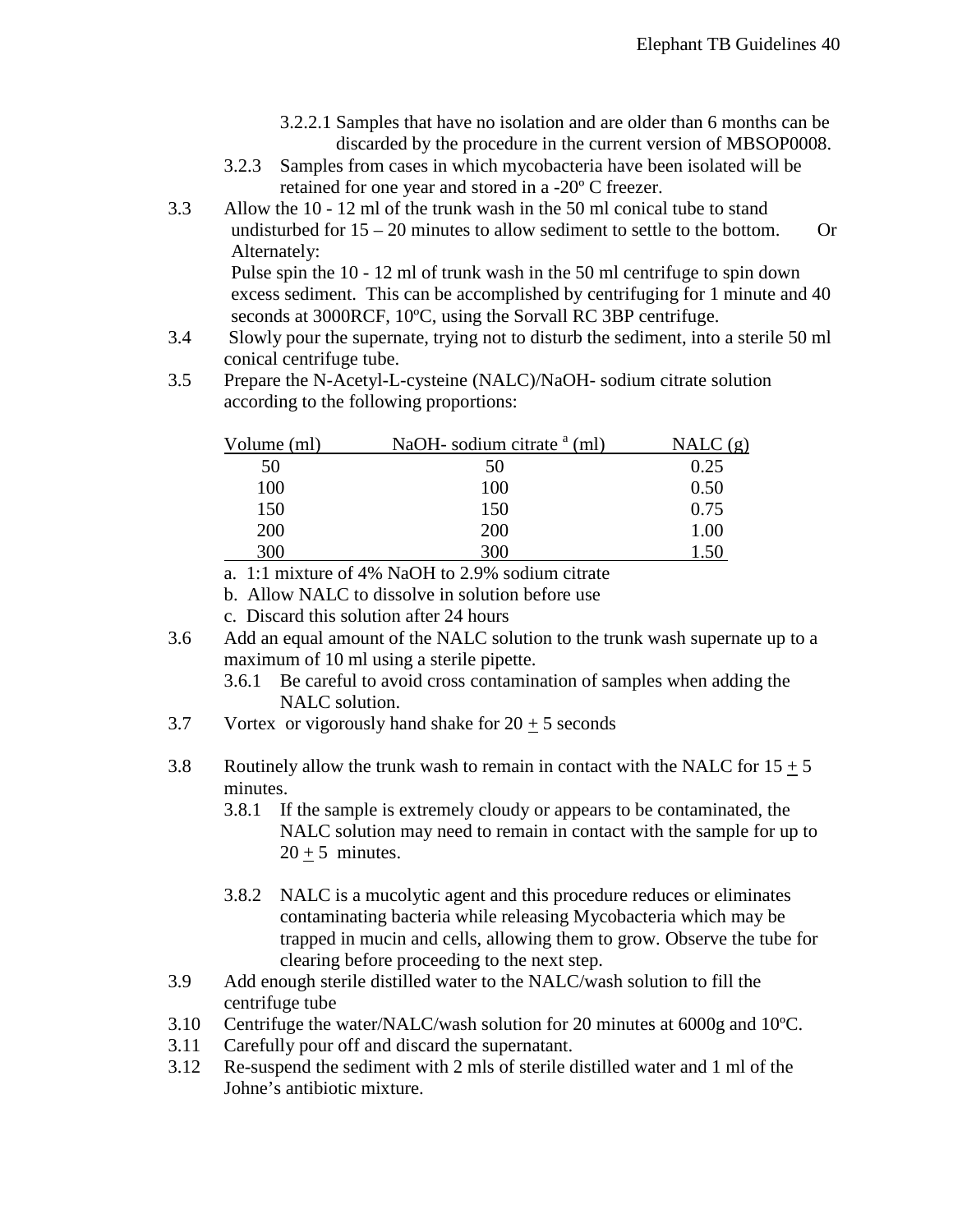- 3.2.2.1 Samples that have no isolation and are older than 6 months can be discarded by the procedure in the current version of MBSOP0008.
- 3.2.3 Samples from cases in which mycobacteria have been isolated will be retained for one year and stored in a -20º C freezer.
- 3.3 Allow the 10 12 ml of the trunk wash in the 50 ml conical tube to stand undisturbed for  $15 - 20$  minutes to allow sediment to settle to the bottom. Or Alternately:

Pulse spin the 10 - 12 ml of trunk wash in the 50 ml centrifuge to spin down excess sediment. This can be accomplished by centrifuging for 1 minute and 40 seconds at 3000RCF, 10°C, using the Sorvall RC 3BP centrifuge.

- 3.4 Slowly pour the supernate, trying not to disturb the sediment, into a sterile 50 ml conical centrifuge tube.
- 3.5 Prepare the N-Acetyl-L-cysteine (NALC)/NaOH- sodium citrate solution according to the following proportions:

| Volume (ml) | NaOH- sodium citrate $^{\alpha}$ (ml) | NALC(g) |
|-------------|---------------------------------------|---------|
| 50          | 50                                    | 0.25    |
| 100         | 100                                   | 0.50    |
| 150         | 150                                   | 0.75    |
| 200         | 200                                   | 1.00    |
| 300         | 300                                   |         |

a. 1:1 mixture of 4% NaOH to 2.9% sodium citrate

b. Allow NALC to dissolve in solution before use

- c. Discard this solution after 24 hours
- 3.6 Add an equal amount of the NALC solution to the trunk wash supernate up to a maximum of 10 ml using a sterile pipette.
	- 3.6.1 Be careful to avoid cross contamination of samples when adding the NALC solution.
- 3.7 Vortex or vigorously hand shake for  $20 \pm 5$  seconds

3.8 Routinely allow the trunk wash to remain in contact with the NALC for  $15 + 5$ minutes.

- 3.8.1 If the sample is extremely cloudy or appears to be contaminated, the NALC solution may need to remain in contact with the sample for up to  $20 \pm 5$  minutes.
- 3.8.2 NALC is a mucolytic agent and this procedure reduces or eliminates contaminating bacteria while releasing Mycobacteria which may be trapped in mucin and cells, allowing them to grow. Observe the tube for clearing before proceeding to the next step.
- 3.9 Add enough sterile distilled water to the NALC/wash solution to fill the centrifuge tube
- 3.10 Centrifuge the water/NALC/wash solution for 20 minutes at 6000g and 10ºC.
- 3.11 Carefully pour off and discard the supernatant.
- 3.12 Re-suspend the sediment with 2 mls of sterile distilled water and 1 ml of the Johne's antibiotic mixture.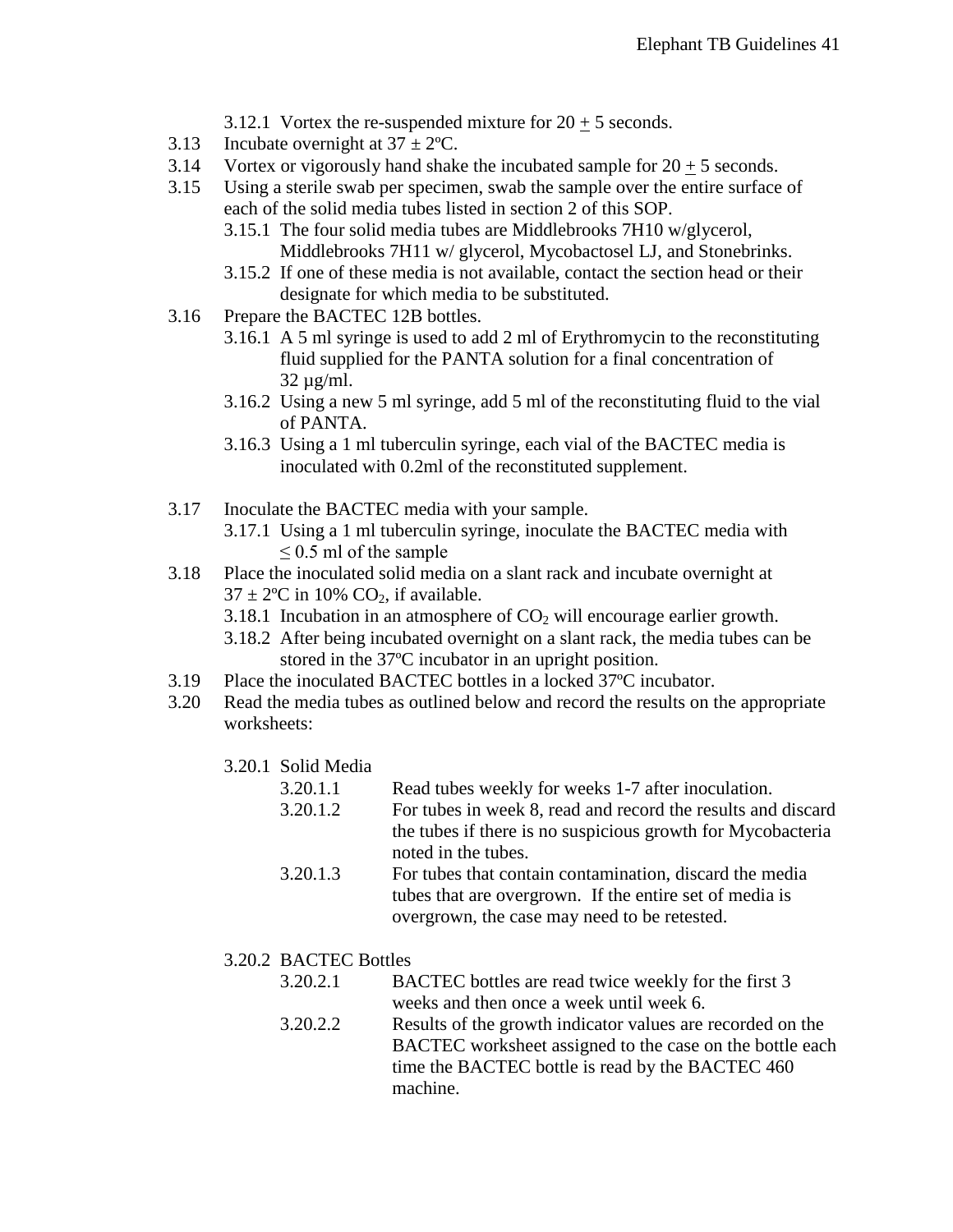- 3.12.1 Vortex the re-suspended mixture for  $20 + 5$  seconds.
- 3.13 Incubate overnight at  $37 \pm 2$ °C.
- 3.14 Vortex or vigorously hand shake the incubated sample for  $20 + 5$  seconds.
- 3.15 Using a sterile swab per specimen, swab the sample over the entire surface of each of the solid media tubes listed in section 2 of this SOP.
	- 3.15.1 The four solid media tubes are Middlebrooks 7H10 w/glycerol, Middlebrooks 7H11 w/ glycerol, Mycobactosel LJ, and Stonebrinks.
	- 3.15.2 If one of these media is not available, contact the section head or their designate for which media to be substituted.
- 3.16 Prepare the BACTEC 12B bottles.
	- 3.16.1 A 5 ml syringe is used to add 2 ml of Erythromycin to the reconstituting fluid supplied for the PANTA solution for a final concentration of  $32 \mu$ g/ml.
	- 3.16.2 Using a new 5 ml syringe, add 5 ml of the reconstituting fluid to the vial of PANTA.
	- 3.16.3 Using a 1 ml tuberculin syringe, each vial of the BACTEC media is inoculated with 0.2ml of the reconstituted supplement.
- 3.17 Inoculate the BACTEC media with your sample.
	- 3.17.1 Using a 1 ml tuberculin syringe, inoculate the BACTEC media with  $\leq$  0.5 ml of the sample
- 3.18 Place the inoculated solid media on a slant rack and incubate overnight at  $37 \pm 2$ °C in 10% CO<sub>2</sub>, if available.
	- 3.18.1 Incubation in an atmosphere of  $CO<sub>2</sub>$  will encourage earlier growth.
	- 3.18.2 After being incubated overnight on a slant rack, the media tubes can be stored in the 37ºC incubator in an upright position.
- 3.19 Place the inoculated BACTEC bottles in a locked 37ºC incubator.
- 3.20 Read the media tubes as outlined below and record the results on the appropriate worksheets:
	- 3.20.1 Solid Media
		- 3.20.1.1 Read tubes weekly for weeks 1-7 after inoculation.
		- 3.20.1.2 For tubes in week 8, read and record the results and discard the tubes if there is no suspicious growth for Mycobacteria noted in the tubes.
		- 3.20.1.3 For tubes that contain contamination, discard the media tubes that are overgrown. If the entire set of media is overgrown, the case may need to be retested.
	- 3.20.2 BACTEC Bottles
		- 3.20.2.1 BACTEC bottles are read twice weekly for the first 3 weeks and then once a week until week 6.
		- 3.20.2.2 Results of the growth indicator values are recorded on the BACTEC worksheet assigned to the case on the bottle each time the BACTEC bottle is read by the BACTEC 460 machine.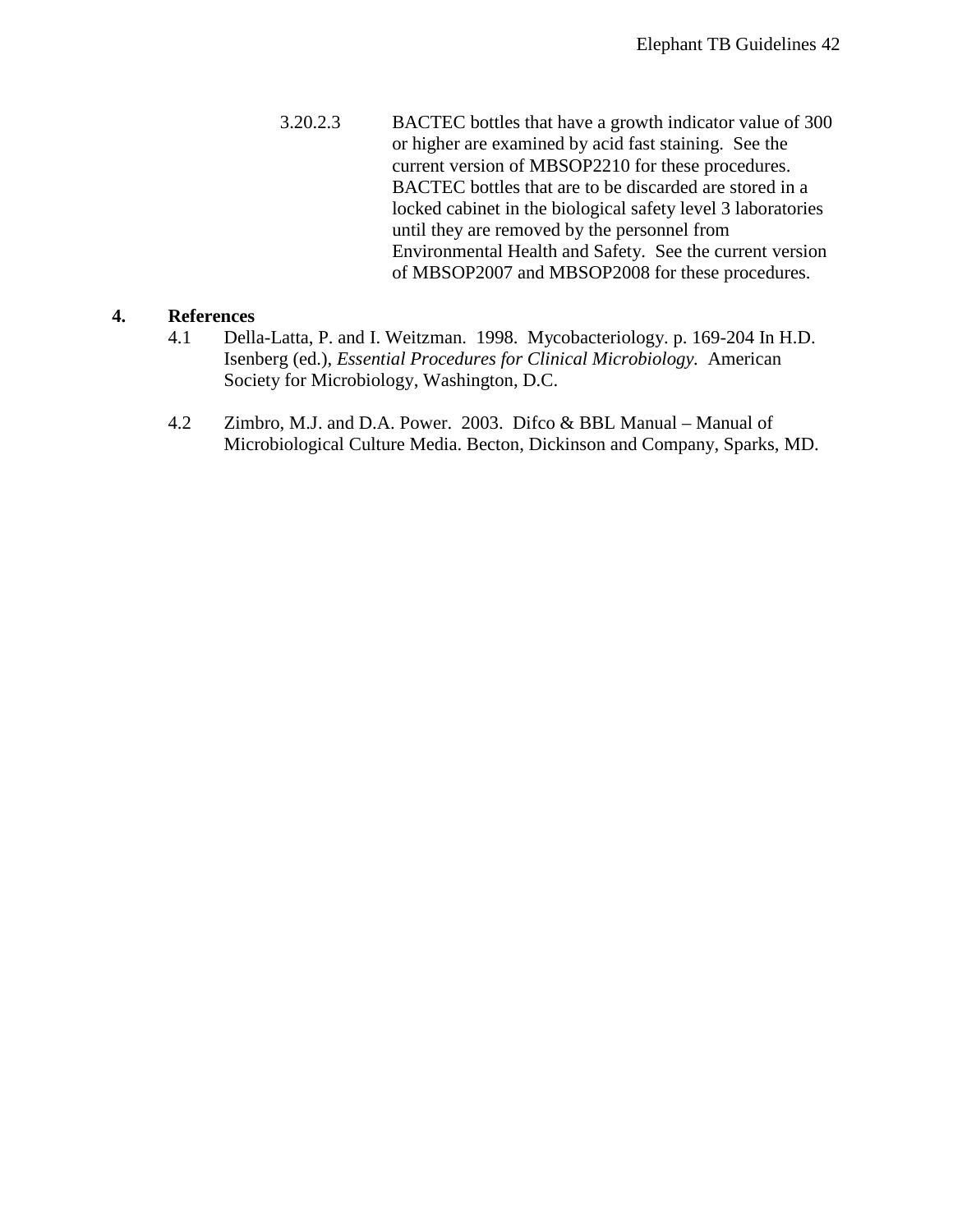3.20.2.3 BACTEC bottles that have a growth indicator value of 300 or higher are examined by acid fast staining. See the current version of MBSOP2210 for these procedures. BACTEC bottles that are to be discarded are stored in a locked cabinet in the biological safety level 3 laboratories until they are removed by the personnel from Environmental Health and Safety. See the current version of MBSOP2007 and MBSOP2008 for these procedures.

#### **4. References**

- 4.1 Della-Latta, P. and I. Weitzman. 1998. Mycobacteriology. p. 169-204 In H.D. Isenberg (ed.), *Essential Procedures for Clinical Microbiology.* American Society for Microbiology, Washington, D.C.
- 4.2 Zimbro, M.J. and D.A. Power. 2003. Difco & BBL Manual Manual of Microbiological Culture Media. Becton, Dickinson and Company, Sparks, MD.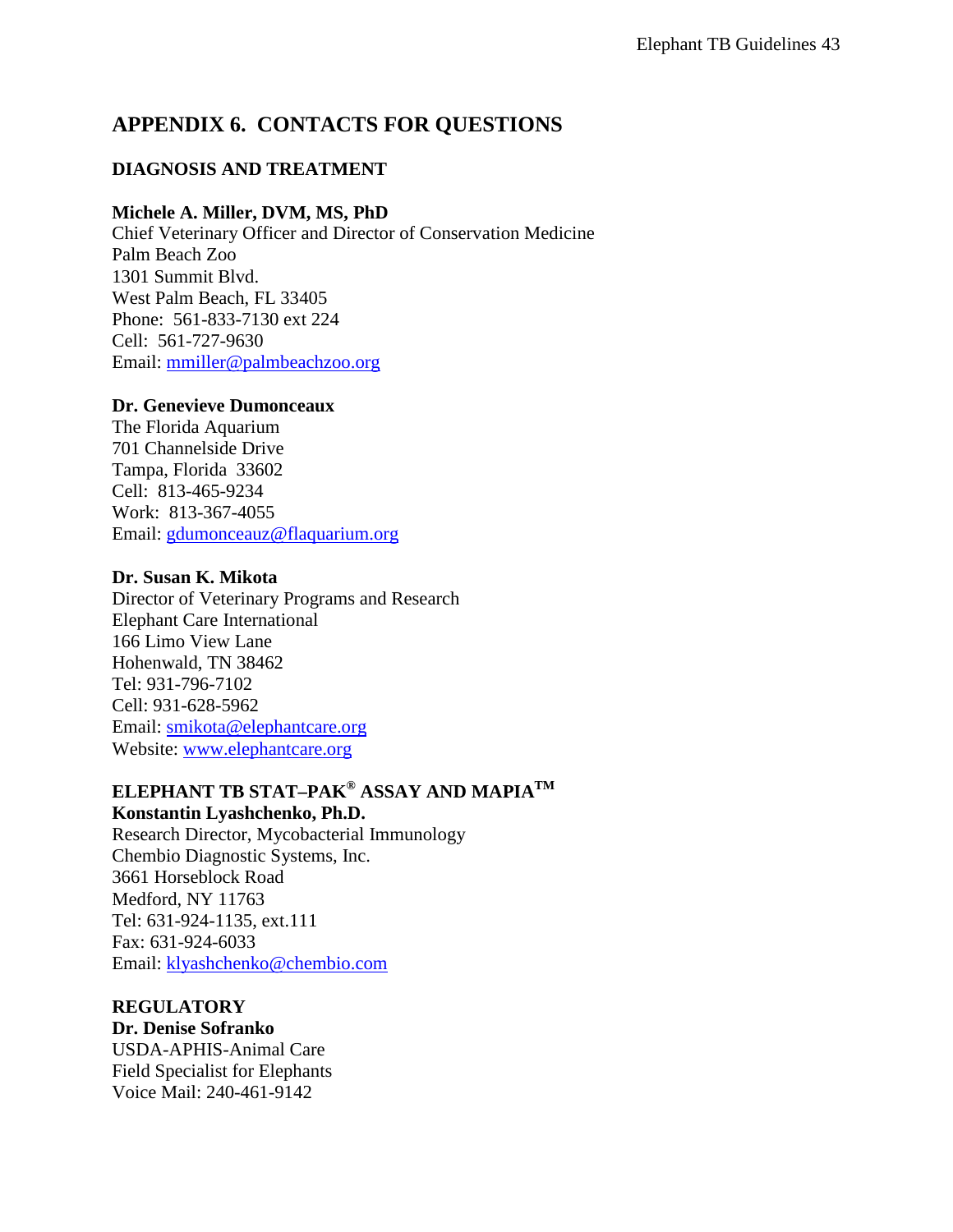## <span id="page-42-0"></span>**APPENDIX 6. CONTACTS FOR QUESTIONS**

### **DIAGNOSIS AND TREATMENT**

#### **Michele A. Miller, DVM, MS, PhD**

Chief Veterinary Officer and Director of Conservation Medicine Palm Beach Zoo 1301 Summit Blvd. West Palm Beach, FL 33405 Phone: 561-833-7130 ext 224 Cell: 561-727-9630 Email: [mmiller@palmbeachzoo.org](mailto:mmiller@palmbeachzoo.org)

#### **Dr. Genevieve Dumonceaux**

The Florida Aquarium 701 Channelside Drive Tampa, Florida 33602 Cell: 813-465-9234 Work: 813-367-4055 Email: [gdumonceauz@flaquarium.org](mailto:gdumonceauz@flaquarium.org)

### **Dr. Susan K. Mikota**

Director of Veterinary Programs and Research Elephant Care International 166 Limo View Lane Hohenwald, TN 38462 Tel: 931-796-7102 Cell: 931-628-5962 Email: [smikota@elephantcare.org](mailto:smikota@elephantcare.org) Website: [www.elephantcare.org](http://www.elephantcare.org/)

## **ELEPHANT TB STAT–PAK® ASSAY AND MAPIATM**

## **Konstantin Lyashchenko, Ph.D.**

Research Director, Mycobacterial Immunology Chembio Diagnostic Systems, Inc. 3661 Horseblock Road Medford, NY 11763 Tel: 631-924-1135, ext.111 Fax: 631-924-6033 Email: [klyashchenko@chembio.com](mailto:klyashchenko@chembio.com)

#### **REGULATORY**

**Dr. Denise Sofranko** USDA-APHIS-Animal Care Field Specialist for Elephants Voice Mail: 240-461-9142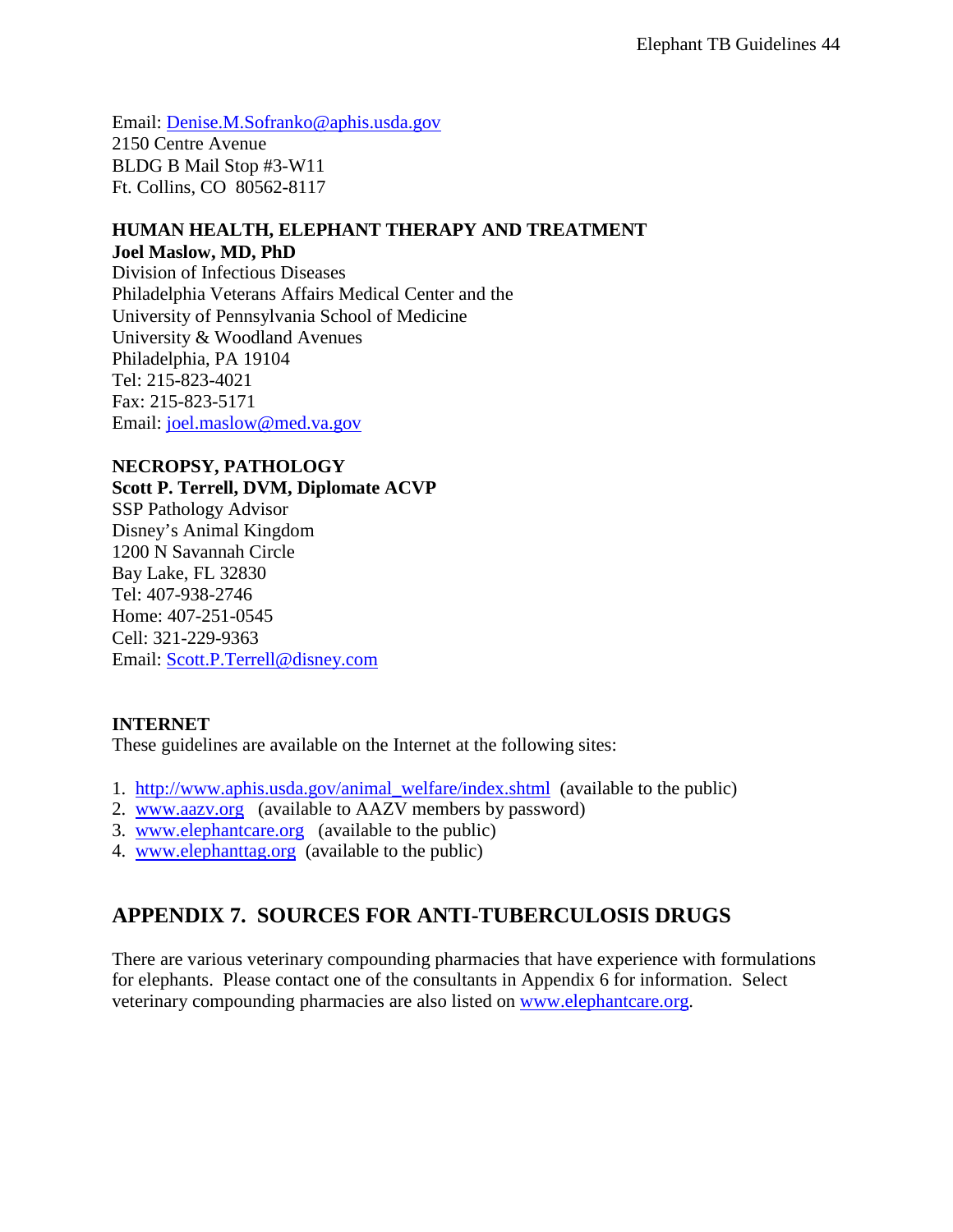Email: [Denise.M.Sofranko@aphis.usda.gov](mailto:Denise.M.Sofranko@aphis.usda.gov) 2150 Centre Avenue BLDG B Mail Stop #3-W11 Ft. Collins, CO 80562-8117

### **HUMAN HEALTH, ELEPHANT THERAPY AND TREATMENT Joel Maslow, MD, PhD**

Division of Infectious Diseases Philadelphia Veterans Affairs Medical Center and the University of Pennsylvania School of Medicine University & Woodland Avenues Philadelphia, PA 19104 Tel: 215-823-4021 Fax: 215-823-5171 Email: [joel.maslow@med.va.gov](mailto:joel.maslow@med.va.gov)

### **NECROPSY, PATHOLOGY**

**Scott P. Terrell, DVM, Diplomate ACVP** SSP Pathology Advisor Disney's Animal Kingdom 1200 N Savannah Circle Bay Lake, FL 32830 Tel: 407-938-2746 Home: 407-251-0545 Cell: 321-229-9363 Email: [Scott.P.Terrell@disney.com](mailto:Scott.P.Terrell@disney.com)

### **INTERNET**

These guidelines are available on the Internet at the following sites:

- 1. [http://www.aphis.usda.gov/animal\\_welfare/index.shtml](http://www.aphis.usda.gov/animal_welfare/index.shtml) (available to the public)
- 2. [www.aazv.org](http://www.aazv.org/) (available to AAZV members by password)
- 3. [www.elephantcare.org](http://www.elephantcare.org/) (available to the public)
- 4. [www.elephanttag.org](http://www.elephanttag.org/) (available to the public)

## <span id="page-43-0"></span>**APPENDIX 7. SOURCES FOR ANTI-TUBERCULOSIS DRUGS**

There are various veterinary compounding pharmacies that have experience with formulations for elephants. Please contact one of the consultants in Appendix 6 for information. Select veterinary compounding pharmacies are also listed on [www.elephantcare.org.](http://www.elephantcare.org/)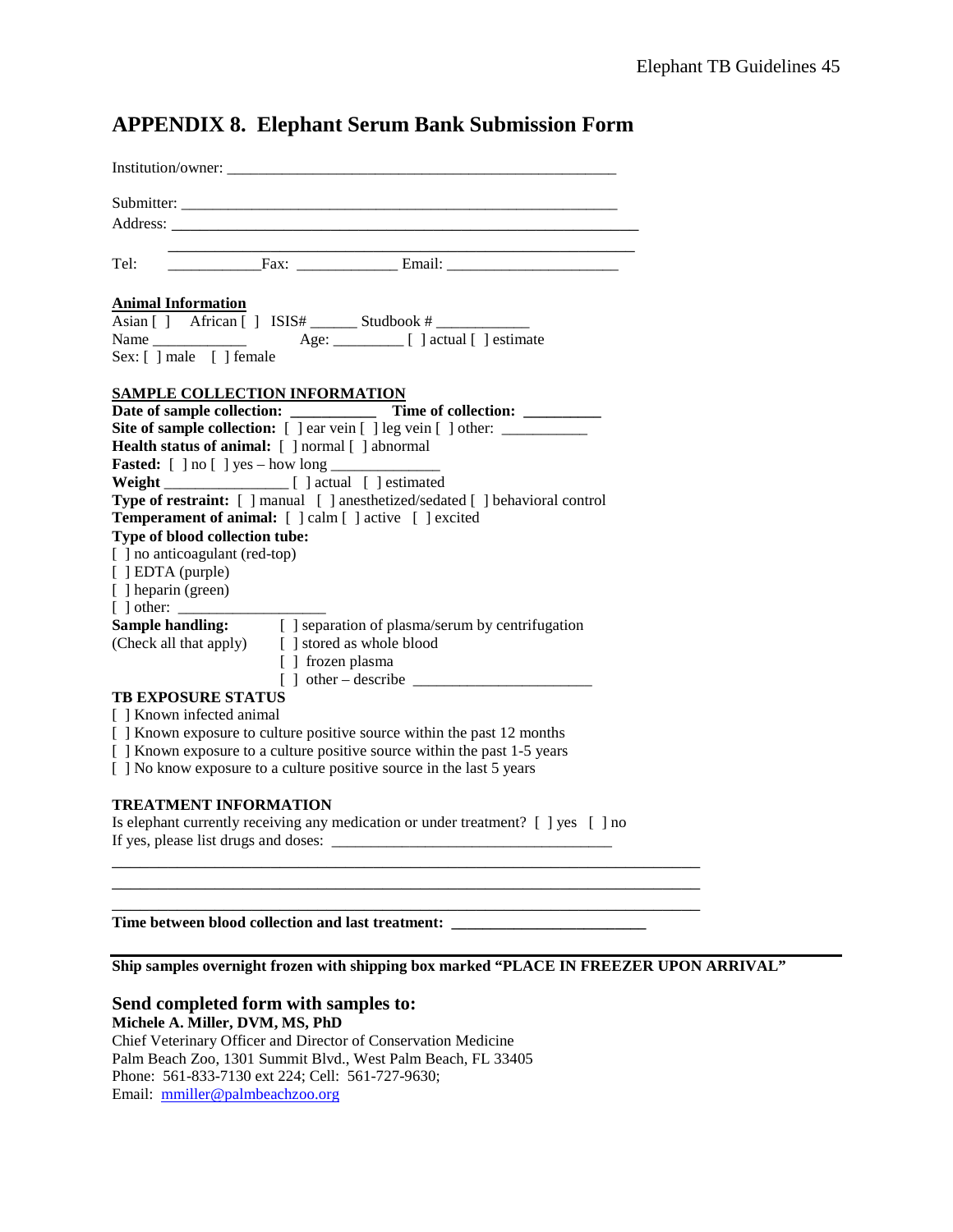| Institution/owner:                                                                                                                                                  |  |  |  |  |  |  |
|---------------------------------------------------------------------------------------------------------------------------------------------------------------------|--|--|--|--|--|--|
|                                                                                                                                                                     |  |  |  |  |  |  |
|                                                                                                                                                                     |  |  |  |  |  |  |
|                                                                                                                                                                     |  |  |  |  |  |  |
| Tel:                                                                                                                                                                |  |  |  |  |  |  |
| <b>Animal Information</b>                                                                                                                                           |  |  |  |  |  |  |
|                                                                                                                                                                     |  |  |  |  |  |  |
|                                                                                                                                                                     |  |  |  |  |  |  |
| Sex: [ ] male [ ] female                                                                                                                                            |  |  |  |  |  |  |
|                                                                                                                                                                     |  |  |  |  |  |  |
| <b>SAMPLE COLLECTION INFORMATION</b>                                                                                                                                |  |  |  |  |  |  |
| Site of sample collection: [ ] ear vein [ ] leg vein [ ] other: ________________                                                                                    |  |  |  |  |  |  |
| Health status of animal: [ ] normal [ ] abnormal                                                                                                                    |  |  |  |  |  |  |
|                                                                                                                                                                     |  |  |  |  |  |  |
|                                                                                                                                                                     |  |  |  |  |  |  |
| Type of restraint: [ ] manual [ ] anesthetized/sedated [ ] behavioral control                                                                                       |  |  |  |  |  |  |
| Temperament of animal: [ ] calm [ ] active [ ] excited                                                                                                              |  |  |  |  |  |  |
| Type of blood collection tube:                                                                                                                                      |  |  |  |  |  |  |
| [] no anticoagulant (red-top)                                                                                                                                       |  |  |  |  |  |  |
| $[$ [ $]$ EDTA (purple)                                                                                                                                             |  |  |  |  |  |  |
| [ ] heparin (green)                                                                                                                                                 |  |  |  |  |  |  |
|                                                                                                                                                                     |  |  |  |  |  |  |
| <b>Sample handling:</b> [ ] separation of plasma/serum by centrifugation                                                                                            |  |  |  |  |  |  |
| (Check all that apply) [ ] stored as whole blood                                                                                                                    |  |  |  |  |  |  |
| [ ] frozen plasma                                                                                                                                                   |  |  |  |  |  |  |
|                                                                                                                                                                     |  |  |  |  |  |  |
| <b>TB EXPOSURE STATUS</b>                                                                                                                                           |  |  |  |  |  |  |
| [ ] Known infected animal                                                                                                                                           |  |  |  |  |  |  |
| [ ] Known exposure to culture positive source within the past 12 months<br>[ ] Known exposure to a culture positive source within the past 1-5 years                |  |  |  |  |  |  |
| [ ] No know exposure to a culture positive source in the last 5 years                                                                                               |  |  |  |  |  |  |
|                                                                                                                                                                     |  |  |  |  |  |  |
| <b>TREATMENT INFORMATION</b><br>$\mathbf{r}$ and $\mathbf{r}$ and $\mathbf{r}$ and $\mathbf{r}$ and $\mathbf{r}$ and $\mathbf{r}$ and $\mathbf{r}$ and $\mathbf{r}$ |  |  |  |  |  |  |

## **APPENDIX 8. Elephant Serum Bank Submission Form**

Is elephant currently receiving any medication or under treatment? [ ] yes [ ] no If yes, please list drugs and doses: \_\_\_\_\_\_\_\_\_\_\_\_\_\_\_\_\_\_\_\_\_\_\_\_\_\_\_\_\_\_\_\_\_\_\_\_ \_\_\_\_\_\_\_\_\_\_\_\_\_\_\_\_\_\_\_\_\_\_\_\_\_\_\_\_\_\_\_\_\_\_\_\_\_\_\_\_\_\_\_\_\_\_\_\_\_\_\_\_\_\_\_\_\_\_\_\_\_\_\_

\_\_\_\_\_\_\_\_\_\_\_\_\_\_\_\_\_\_\_\_\_\_\_\_\_\_\_\_\_\_\_\_\_\_\_\_\_\_\_\_\_\_\_\_\_\_\_\_\_\_\_\_\_\_\_\_\_\_\_\_\_\_\_

**Time between blood collection and last treatment: \_\_\_\_\_\_\_\_\_\_\_\_\_\_\_\_\_\_\_\_\_\_\_\_\_**

**Ship samples overnight frozen with shipping box marked "PLACE IN FREEZER UPON ARRIVAL"**

\_\_\_\_\_\_\_\_\_\_\_\_\_\_\_\_\_\_\_\_\_\_\_\_\_\_\_\_\_\_\_\_\_\_\_\_\_\_\_\_\_\_\_\_\_\_\_\_\_\_\_\_\_\_\_\_\_\_\_\_\_\_\_

#### **Send completed form with samples to:**

**Michele A. Miller, DVM, MS, PhD**

Chief Veterinary Officer and Director of Conservation Medicine Palm Beach Zoo, 1301 Summit Blvd., West Palm Beach, FL 33405 Phone: 561-833-7130 ext 224; Cell: 561-727-9630; Email: [mmiller@palmbeachzoo.org](mailto:mmiller@palmbeachzoo.org)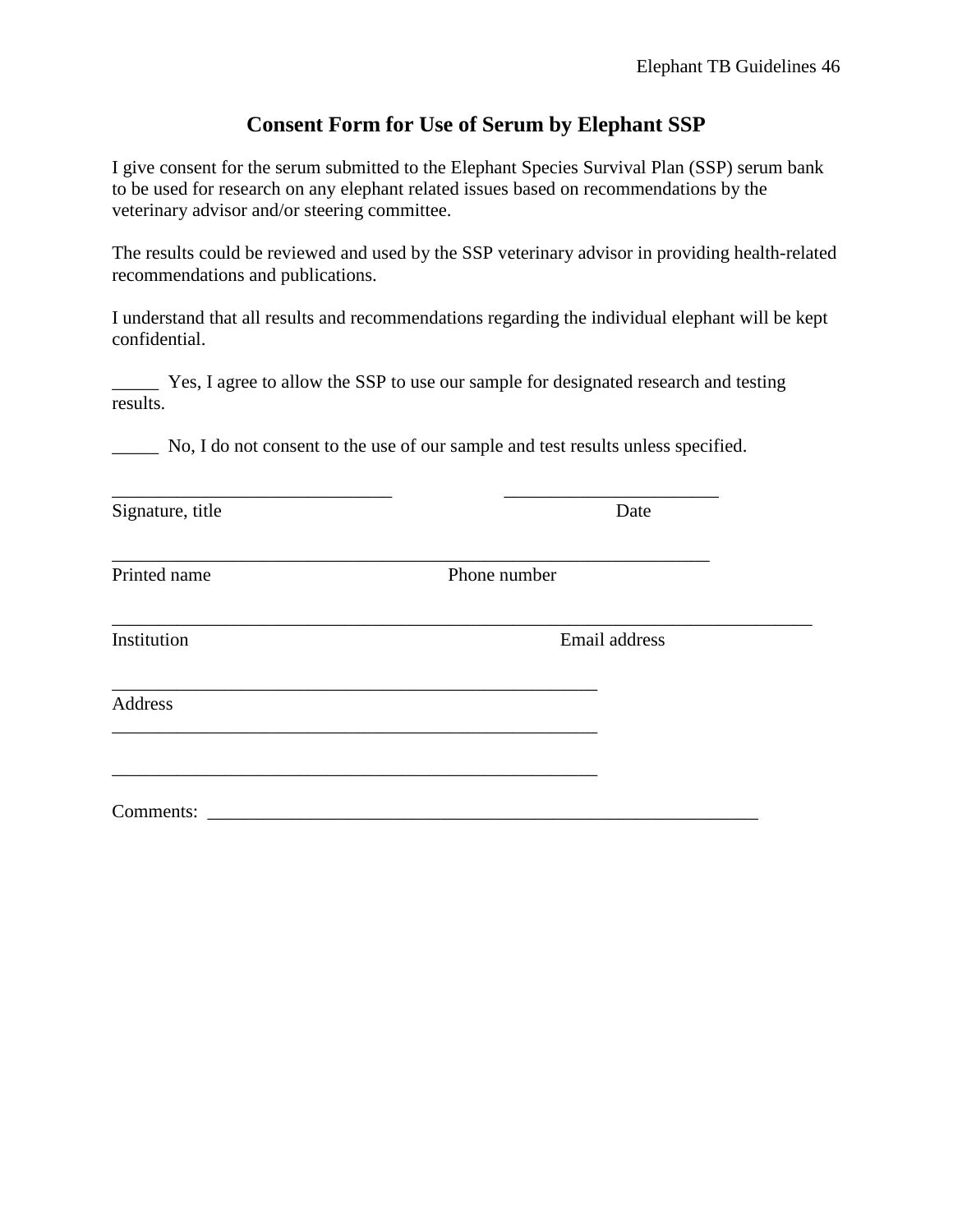## **Consent Form for Use of Serum by Elephant SSP**

I give consent for the serum submitted to the Elephant Species Survival Plan (SSP) serum bank to be used for research on any elephant related issues based on recommendations by the veterinary advisor and/or steering committee.

The results could be reviewed and used by the SSP veterinary advisor in providing health-related recommendations and publications.

I understand that all results and recommendations regarding the individual elephant will be kept confidential.

\_\_\_\_\_ Yes, I agree to allow the SSP to use our sample for designated research and testing results.

No, I do not consent to the use of our sample and test results unless specified.

\_\_\_\_\_\_\_\_\_\_\_\_\_\_\_\_\_\_\_\_\_\_\_\_\_\_\_\_\_\_ \_\_\_\_\_\_\_\_\_\_\_\_\_\_\_\_\_\_\_\_\_\_\_ Signature, title Date

\_\_\_\_\_\_\_\_\_\_\_\_\_\_\_\_\_\_\_\_\_\_\_\_\_\_\_\_\_\_\_\_\_\_\_\_\_\_\_\_\_\_\_\_\_\_\_\_\_\_\_\_\_\_\_\_\_\_\_\_\_\_\_\_ Printed name Phone number

\_\_\_\_\_\_\_\_\_\_\_\_\_\_\_\_\_\_\_\_\_\_\_\_\_\_\_\_\_\_\_\_\_\_\_\_\_\_\_\_\_\_\_\_\_\_\_\_\_\_\_\_\_\_\_\_\_\_\_\_\_\_\_\_\_\_\_\_\_\_\_\_\_\_\_

Institution Email address

Address

\_\_\_\_\_\_\_\_\_\_\_\_\_\_\_\_\_\_\_\_\_\_\_\_\_\_\_\_\_\_\_\_\_\_\_\_\_\_\_\_\_\_\_\_\_\_\_\_\_\_\_\_

\_\_\_\_\_\_\_\_\_\_\_\_\_\_\_\_\_\_\_\_\_\_\_\_\_\_\_\_\_\_\_\_\_\_\_\_\_\_\_\_\_\_\_\_\_\_\_\_\_\_\_\_

Comments: \_\_\_\_\_\_\_\_\_\_\_\_\_\_\_\_\_\_\_\_\_\_\_\_\_\_\_\_\_\_\_\_\_\_\_\_\_\_\_\_\_\_\_\_\_\_\_\_\_\_\_\_\_\_\_\_\_\_\_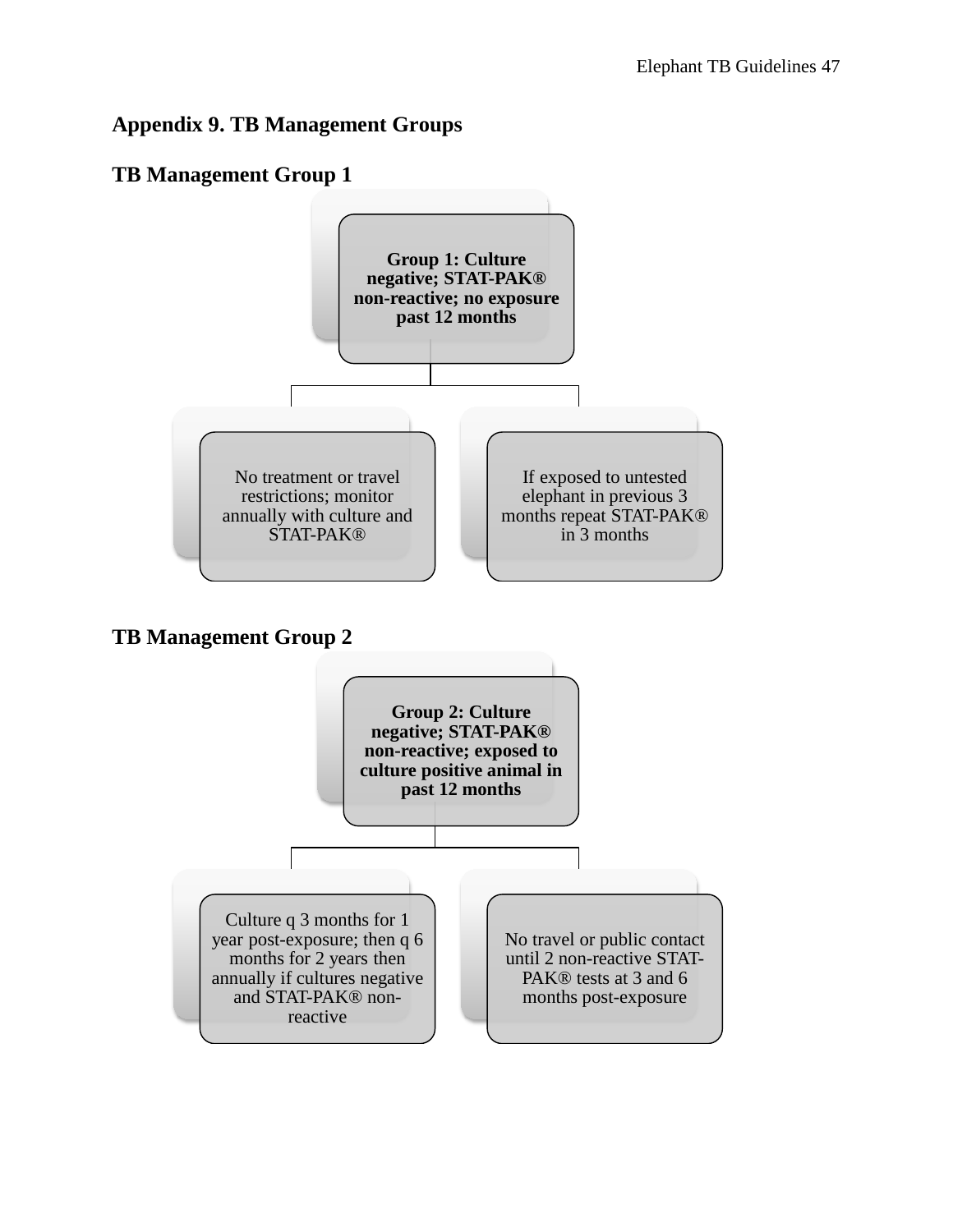# **Appendix 9. TB Management Groups**

# **TB Management Group 1**

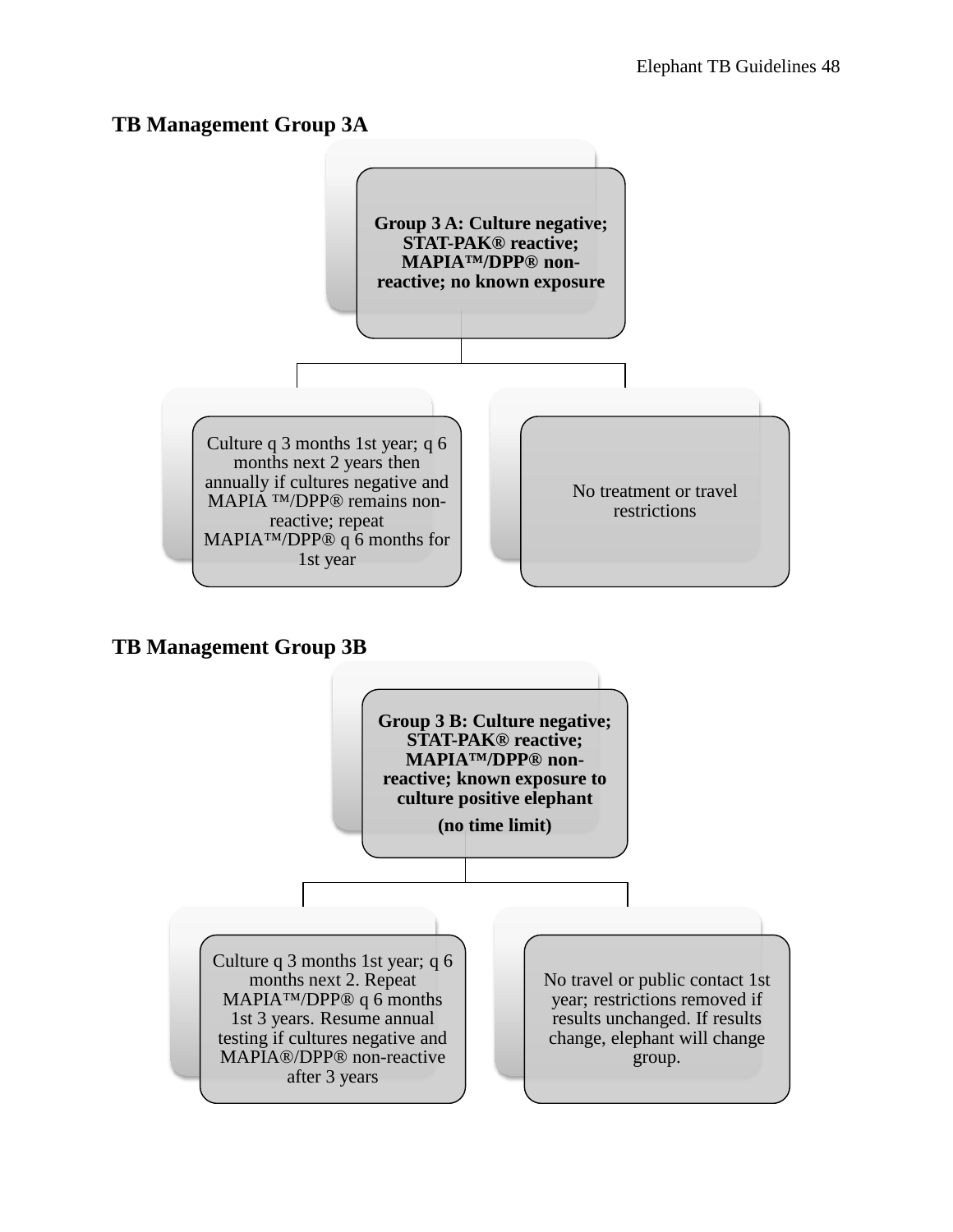## **TB Management Group 3A**



## **TB Management Group 3B**

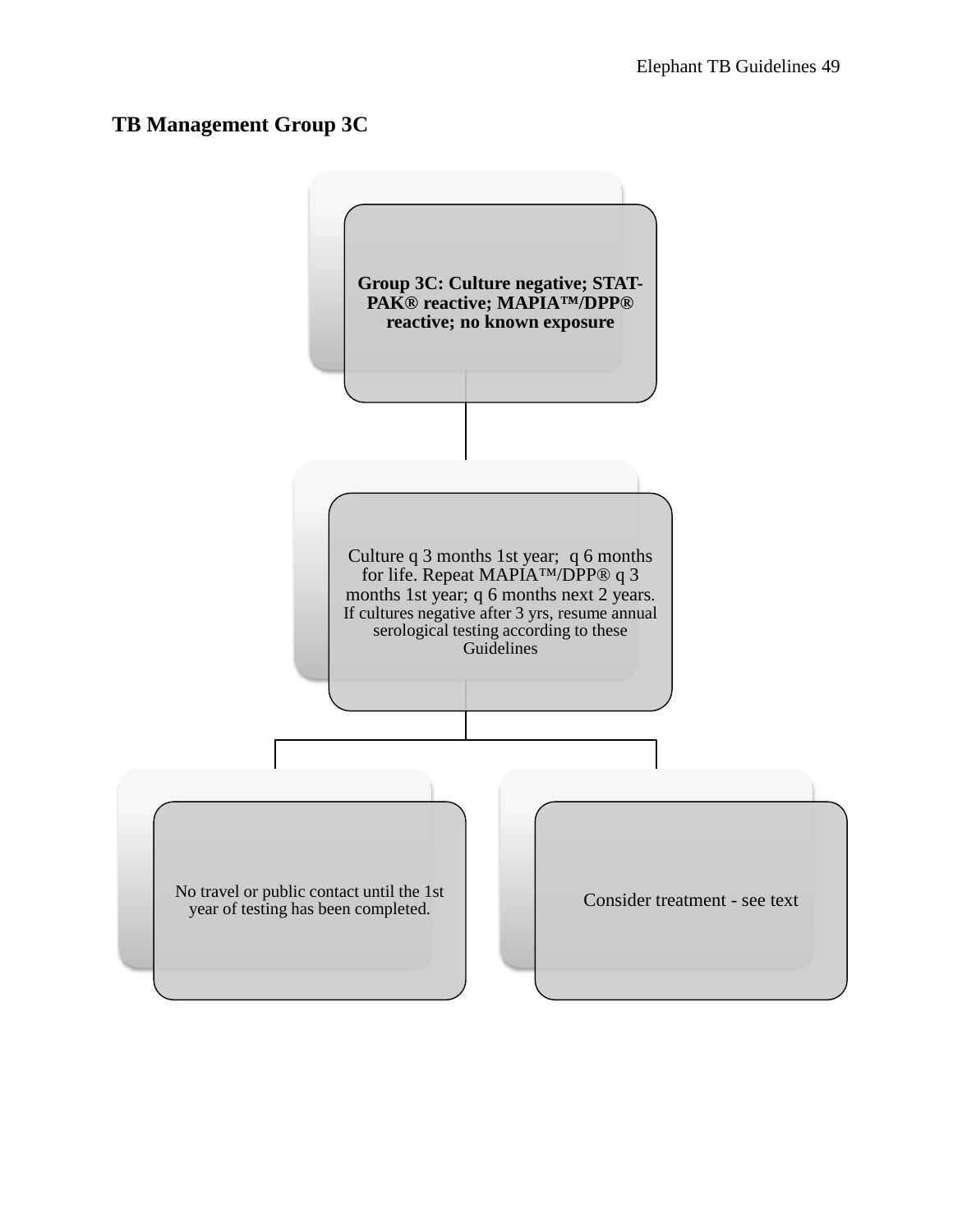# **TB Management Group 3C**

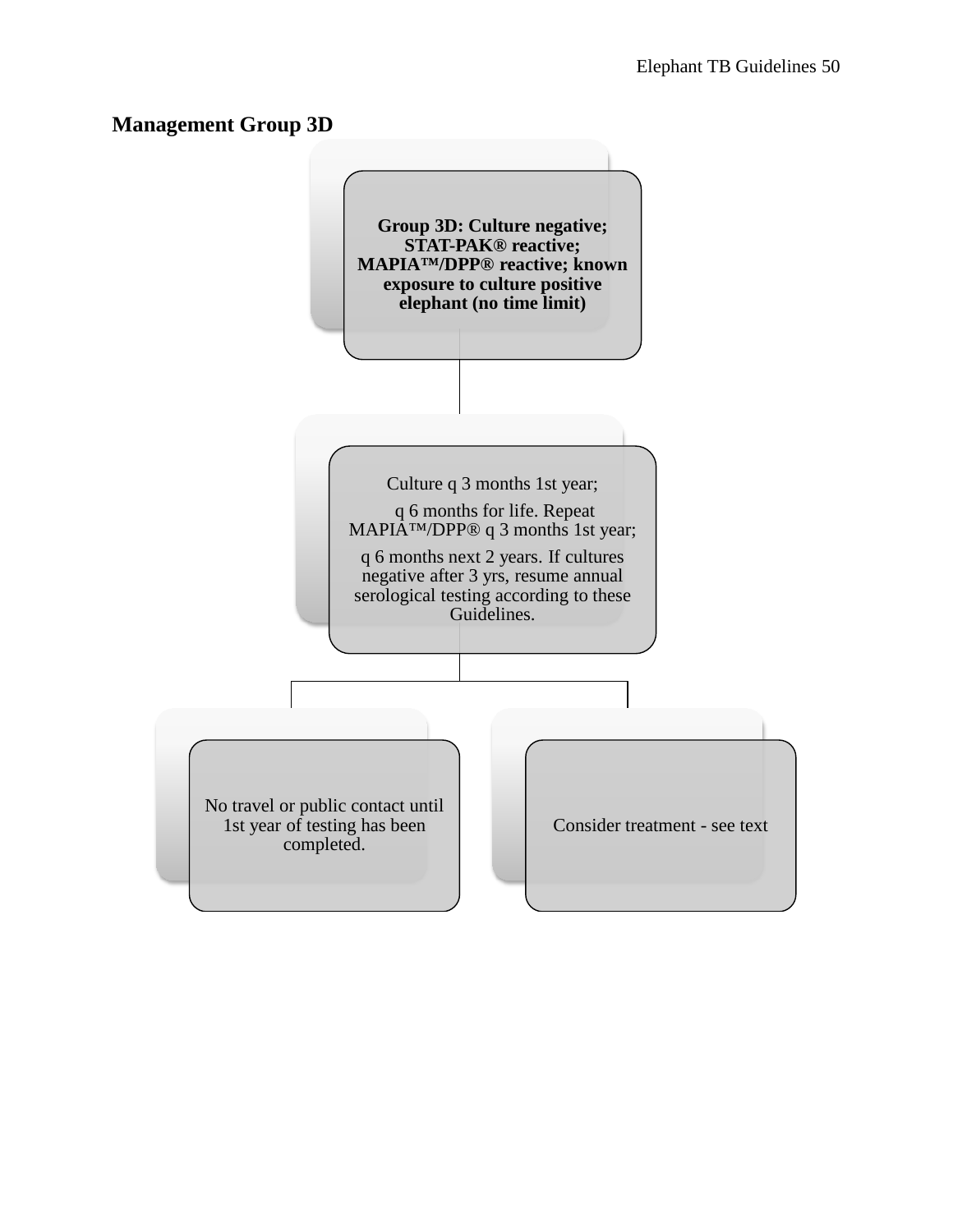## **Management Group 3D**